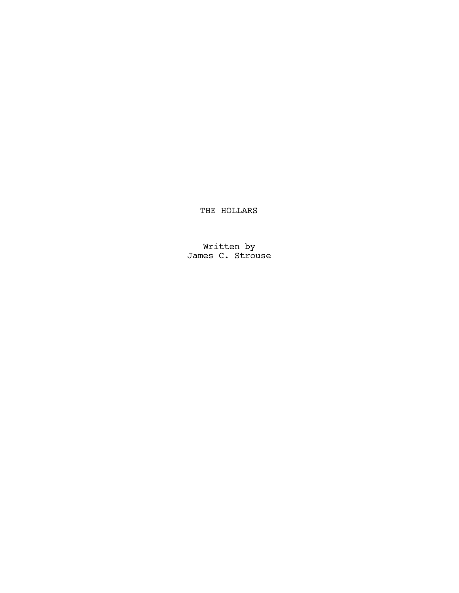THE HOLLARS

Written by James C. Strouse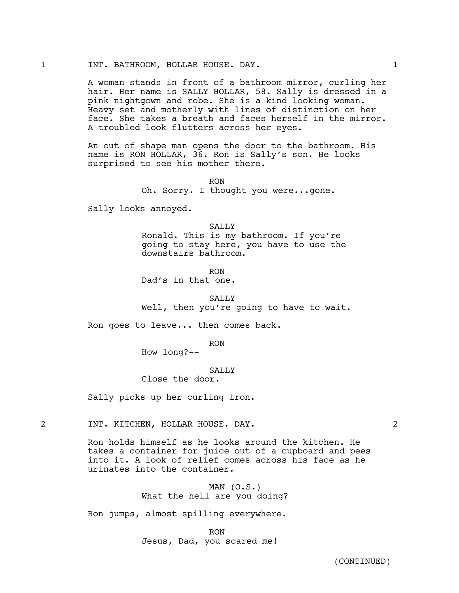A woman stands in front of a bathroom mirror, curling her hair. Her name is SALLY HOLLAR, 58. Sally is dressed in a pink nightgown and robe. She is a kind looking woman. Heavy set and motherly with lines of distinction on her face. She takes a breath and faces herself in the mirror. A troubled look flutters across her eyes.

An out of shape man opens the door to the bathroom. His name is RON HOLLAR, 36. Ron is Sally's son. He looks surprised to see his mother there.

> RON Oh. Sorry. I thought you were...gone.

Sally looks annoyed.

SALLY Ronald. This is my bathroom. If you're going to stay here, you have to use the downstairs bathroom.

RON Dad's in that one.

SALLY<sub>S</sub>

Well, then you're going to have to wait.

Ron goes to leave... then comes back.

RON

How long?--

# **SALLY**

Close the door.

Sally picks up her curling iron.

2 INT. KITCHEN, HOLLAR HOUSE. DAY. 2

Ron holds himself as he looks around the kitchen. He takes a container for juice out of a cupboard and pees into it. A look of relief comes across his face as he urinates into the container.

> $MAN (0.S.)$ What the hell are you doing?

Ron jumps, almost spilling everywhere.

RON Jesus, Dad, you scared me!

(CONTINUED)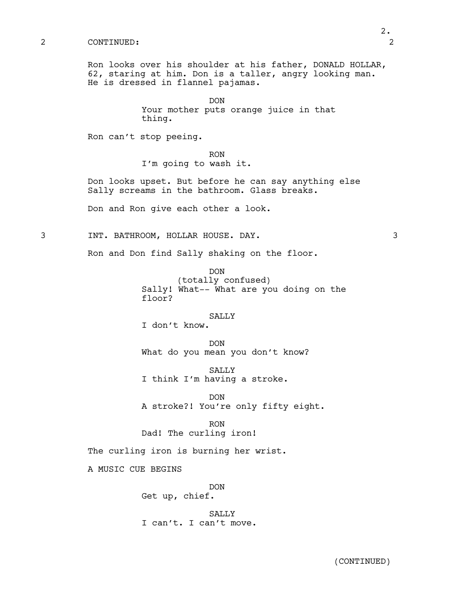#### 2 CONTINUED: 2

Ron looks over his shoulder at his father, DONALD HOLLAR, 62, staring at him. Don is a taller, angry looking man. He is dressed in flannel pajamas.

> DON Your mother puts orange juice in that thing.

Ron can't stop peeing.

RON

I'm going to wash it.

Don looks upset. But before he can say anything else Sally screams in the bathroom. Glass breaks.

Don and Ron give each other a look.

3 INT. BATHROOM, HOLLAR HOUSE. DAY. 3

Ron and Don find Sally shaking on the floor.

DON (totally confused) Sally! What-- What are you doing on the floor?

### SALLY

I don't know.

DON What do you mean you don't know?

SALLY I think I'm having a stroke.

DON A stroke?! You're only fifty eight.

#### RON

Dad! The curling iron!

The curling iron is burning her wrist.

A MUSIC CUE BEGINS

DON Get up, chief.

SALLY I can't. I can't move.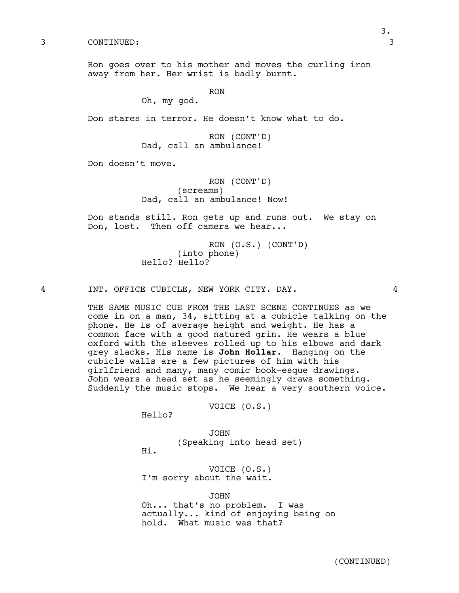3 CONTINUED: 3

Ron goes over to his mother and moves the curling iron away from her. Her wrist is badly burnt.

RON

Oh, my god.

Don stares in terror. He doesn't know what to do.

RON (CONT'D) Dad, call an ambulance!

Don doesn't move.

RON (CONT'D) (screams) Dad, call an ambulance! Now!

Don stands still. Ron gets up and runs out. We stay on Don, lost. Then off camera we hear...

> RON (O.S.) (CONT'D) (into phone) Hello? Hello?

4 INT. OFFICE CUBICLE, NEW YORK CITY. DAY. 4

THE SAME MUSIC CUE FROM THE LAST SCENE CONTINUES as we come in on a man, 34, sitting at a cubicle talking on the phone. He is of average height and weight. He has a common face with a good natured grin. He wears a blue oxford with the sleeves rolled up to his elbows and dark grey slacks. His name is **John Hollar**. Hanging on the cubicle walls are a few pictures of him with his girlfriend and many, many comic book-esque drawings. John wears a head set as he seemingly draws something. Suddenly the music stops. We hear a very southern voice.

VOICE (O.S.)

Hello?

JOHN (Speaking into head set)

Hi.

VOICE (O.S.) I'm sorry about the wait.

JOHN

Oh... that's no problem. I was actually... kind of enjoying being on hold. What music was that?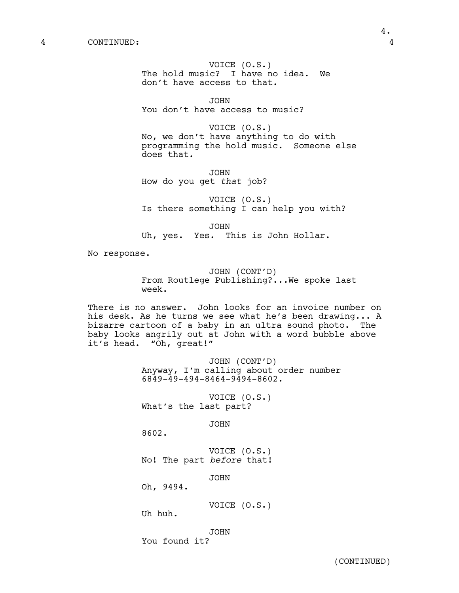VOICE (O.S.) The hold music? I have no idea. We don't have access to that.

JOHN You don't have access to music?

VOICE (O.S.) No, we don't have anything to do with programming the hold music. Someone else does that.

JOHN How do you get *that* job?

VOICE (O.S.) Is there something I can help you with?

JOHN Uh, yes. Yes. This is John Hollar.

No response.

JOHN (CONT'D) From Routlege Publishing?...We spoke last week.

There is no answer. John looks for an invoice number on his desk. As he turns we see what he's been drawing... A bizarre cartoon of a baby in an ultra sound photo. The baby looks angrily out at John with a word bubble above it's head. "Oh, great!"

> JOHN (CONT'D) Anyway, I'm calling about order number 6849-49-494-8464-9494-8602.

VOICE (O.S.) What's the last part?

JOHN

8602.

VOICE (O.S.) No! The part *before* that!

JOHN

Oh, 9494.

VOICE (O.S.)

Uh huh.

JOHN

You found it?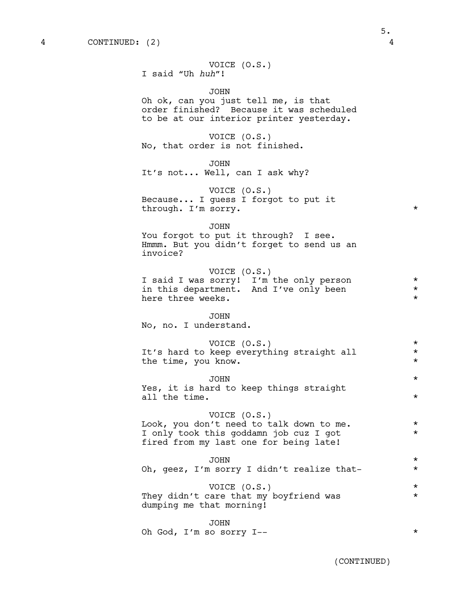|  |                  | VOICE $(0.S.)$ |
|--|------------------|----------------|
|  | I said "Uh huh"! |                |

JOHN Oh ok, can you just tell me, is that order finished? Because it was scheduled to be at our interior printer yesterday.

VOICE (O.S.) No, that order is not finished.

JOHN It's not... Well, can I ask why?

VOICE (O.S.) Because... I guess I forgot to put it through. I'm sorry.

JOHN

You forgot to put it through? I see. Hmmm. But you didn't forget to send us an invoice?

VOICE (O.S.) I said I was sorry! I'm the only person  $*$ <br>in this department. And I've only been  $*$ in this department. And I've only been here three weeks.  $\star$ 

#### JOHN

No, no. I understand.

| VOICE (O.S.)                              |  |
|-------------------------------------------|--|
| It's hard to keep everything straight all |  |
| the time, you know.                       |  |

JOHN \* Yes, it is hard to keep things straight all the time.  $\star$ 

## VOICE (O.S.)

Look, you don't need to talk down to me.  $*$ I only took this goddamn job cuz I got \* fired from my last one for being late!

JOHN \* Oh, geez, I'm sorry I didn't realize that-

VOICE (O.S.) \* They didn't care that my boyfriend was  $*$ dumping me that morning!

#### JOHN

Oh God, I'm so sorry I--  $*$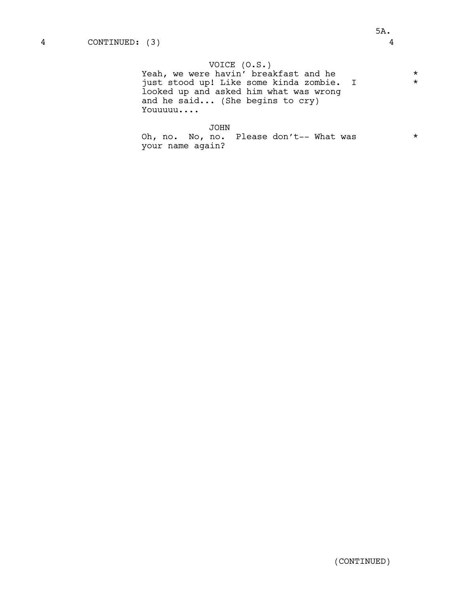# VOICE (O.S.)

Yeah, we were havin' breakfast and he \* just stood up! Like some kinda zombie. I \* looked up and asked him what was wrong and he said... (She begins to cry) Youuuuu....

## JOHN

Oh, no. No, no. Please don't-- What was \* your name again?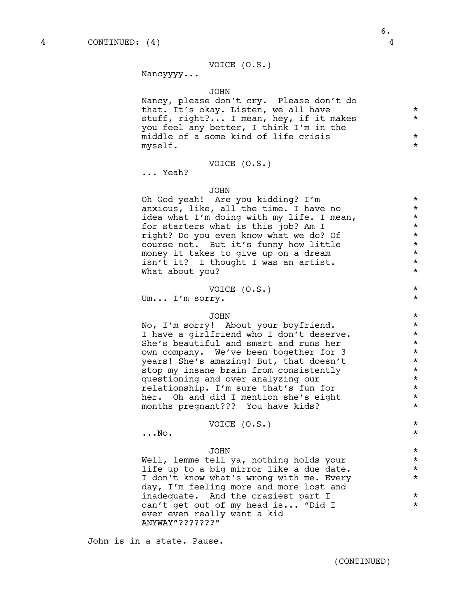Nancyyyy...

#### JOHN

Nancy, please don't cry. Please don't do that. It's okay. Listen, we all have  $*$ stuff, right?... I mean, hey, if it makes \* you feel any better, I think I'm in the middle of a some kind of life crisis  $*$ <br>myself myself. \*

### VOICE (O.S.)

... Yeah?

#### JOHN

Oh God yeah! Are you kidding? I'm \* anxious, like, all the time. I have no  $*$ idea what I'm doing with my life. I mean,<br>for starters what is this iob? Am I for starters what is this job? Am I  $*$ <br>right? Do you even know what we do? Of  $*$ right? Do you even know what we do? Of  $*$ <br>course not, But it's funny how little  $*$ course not. But it's funny how little \* money it takes to give up on a dream  $*$ <br>  $\frac{1}{1}$  isn't it? I thought I was an artist isn't it? I thought I was an artist. \* What about you?

### VOICE (O.S.) \*

Um... I'm sorry.

# JOHN \*

No, I'm sorry! About your boyfriend.  $*$ I have a girlfriend who I don't deserve. \* She's beautiful and smart and runs her own company. We've been together for 3  $*$ <br>years' She's amazing! But that doesn't years! She's amazing! But, that doesn't<br>stop my insane brain from consistently \* \* \* stop my insane brain from consistently  $*$ <br>cuestioning and over analyzing our questioning and over analyzing our  $*$ <br>relationship. I'm sure that's fun for  $*$ relationship. I'm sure that's fun for \* her. Oh and did I mention she's eight  $*$ months pregnant??? You have kids? \*

# VOICE (O.S.) \*

 $\ldots$ No.  $\star$ 

# JOHN \*

Well, lemme tell ya, nothing holds your  $*$ <br>life up to a big mirror like a due date. life up to a big mirror like a due date.<br>I don't know what's wrong with me. Every \*\* I don't know what's wrong with me. Every day, I'm feeling more and more lost and inadequate. And the craziest part I  $*$ can't get out of my head is... "Did I \* ever even really want a kid ANYWAY"???????"

John is in a state. Pause.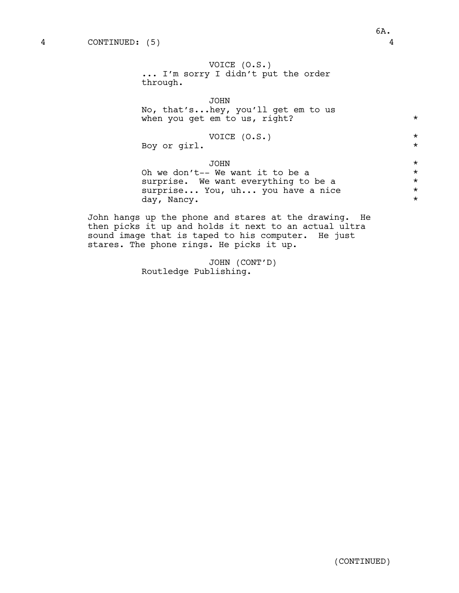JOHN No, that's...hey, you'll get em to us when you get em to us, right? \*

VOICE (O.S.) \* Boy or girl.

JOHN \* Oh we don't-- We want it to be a  $*$ <br>surprise. We want everything to be a  $*$ surprise. We want everything to be a<br>surprise... You, uh... you have a nice \*\*\* surprise... You, uh... you have a nice  $\star$ <br>day. Nancy. day, Nancy.

John hangs up the phone and stares at the drawing. He then picks it up and holds it next to an actual ultra sound image that is taped to his computer. He just stares. The phone rings. He picks it up.

> JOHN (CONT'D) Routledge Publishing.

6A.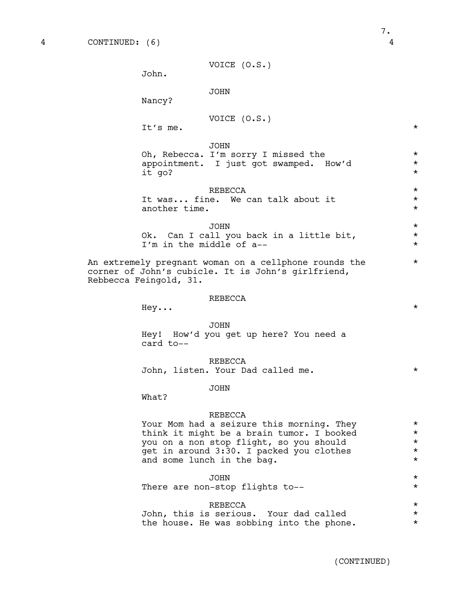```
VOICE (O.S.)
```
John.

JOHN

Nancy?

VOTCE 
$$
(0.S.)
$$

It's me.  $\star$ 

#### JOHN

Oh, Rebecca. I'm sorry I missed the  $*$ appointment. I just got swamped. How'd  $*$ <br>it go? it go?

### $REBECCA$  \*

| It was fine. We can talk about it |  |  |  |  |
|-----------------------------------|--|--|--|--|
| another time.                     |  |  |  |  |

JOHN \* Ok. Can I call you back in a little bit,  $\star$ I'm in the middle of a--

An extremely pregnant woman on a cellphone rounds the \* corner of John's cubicle. It is John's girlfriend, Rebbecca Feingold, 31.

### REBECCA

 $\texttt{Hey} \ldots$  \*

# JOHN Hey! How'd you get up here? You need a card to--

REBECCA John, listen. Your Dad called me. \* \*

### JOHN

What?

### REBECCA

Your Mom had a seizure this morning. They  $*$ think it might be a brain tumor. I booked  $*$ <br>you on a non stop flight, so you should  $*$ you on a non stop flight, so you should \* get in around  $3:30.$  I packed you clothes  $*$ <br>and some lunch in the bag and some lunch in the bag.

# JOHN \*

There are non-stop flights to--

#### $REBECCA$  \*

|  |  | John, this is serious. Your dad called    |  |  |  |
|--|--|-------------------------------------------|--|--|--|
|  |  | the house. He was sobbing into the phone. |  |  |  |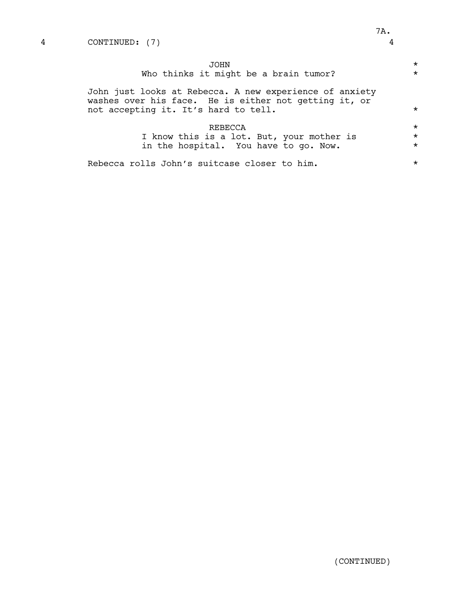| JOHN<br>Who thinks it might be a brain tumor?                                                                                                            | $\star$<br>$\star$ |
|----------------------------------------------------------------------------------------------------------------------------------------------------------|--------------------|
| John just looks at Rebecca. A new experience of anxiety<br>washes over his face. He is either not getting it, or<br>not accepting it. It's hard to tell. | $\star$            |
| REBECCA                                                                                                                                                  | $\star$            |
| I know this is a lot. But, your mother is                                                                                                                | $\star$            |
| in the hospital. You have to go. Now.                                                                                                                    | $\star$            |
| Rebecca rolls John's suitcase closer to him.                                                                                                             | $\star$            |

(CONTINUED)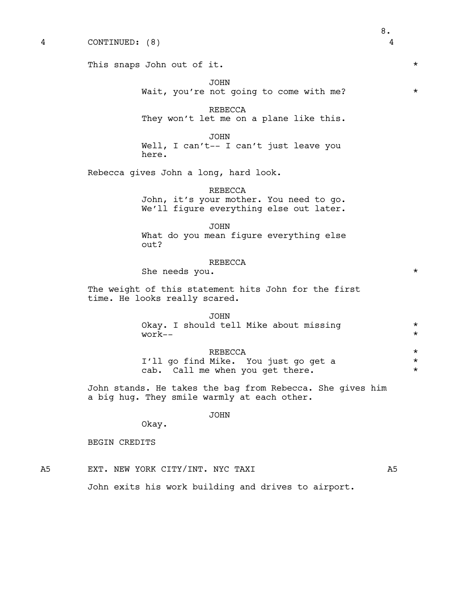This snaps John out of it.  $\star$ JOHN Wait, you're not going to come with me? \* REBECCA They won't let me on a plane like this. JOHN Well, I can't-- I can't just leave you here. Rebecca gives John a long, hard look. REBECCA John, it's your mother. You need to go. We'll figure everything else out later. JOHN What do you mean figure everything else out? REBECCA She needs you. The weight of this statement hits John for the first time. He looks really scared. JOHN Okay. I should tell Mike about missing \*  $work- *$  $REBECCA$  \*  $*$ <br>
Mike, You just go get a  $*$ I'll go find Mike. You just go get a \* cab. Call me when you get there.  $*$ John stands. He takes the bag from Rebecca. She gives him a big hug. They smile warmly at each other. JOHN Okay. BEGIN CREDITS A5 EXT. NEW YORK CITY/INT. NYC TAXI A5 John exits his work building and drives to airport.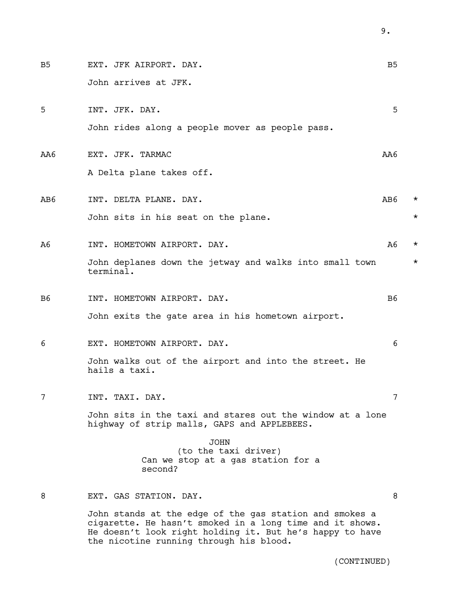B5 EXT. JFK AIRPORT. DAY. B5 John arrives at JFK. 5 INT. JFK. DAY. 5 John rides along a people mover as people pass. AA6 EXT. JFK. TARMAC AA6 A Delta plane takes off. AB6 INT. DELTA PLANE. DAY. AB6 \* John sits in his seat on the plane.  $\star$ A6 INT. HOMETOWN AIRPORT. DAY. The mass of the set of the set of the set of the set of the set of the set of the set of the set of the set of the set of the set of the set of the set of the set of the set of the set of the John deplanes down the jetway and walks into small town  $*$ terminal. B6 INT. HOMETOWN AIRPORT. DAY. THE RESERVE OF STRING OF STRING OF STRING OF STRING OF STRING OF STRING OF STRING OF STRING OF STRING OF STRING OF STRING OF STRING OF STRING OF STRING OF STRING OF STRING OF STRING OF STRING John exits the gate area in his hometown airport. 6 EXT. HOMETOWN AIRPORT. DAY. 6 John walks out of the airport and into the street. He hails a taxi. 7 INT. TAXI. DAY. 7 John sits in the taxi and stares out the window at a lone highway of strip malls, GAPS and APPLEBEES. JOHN (to the taxi driver) Can we stop at a gas station for a second? 8 EXT. GAS STATION. DAY. 8 John stands at the edge of the gas station and smokes a cigarette. He hasn't smoked in a long time and it shows. He doesn't look right holding it. But he's happy to have the nicotine running through his blood.

(CONTINUED)

9.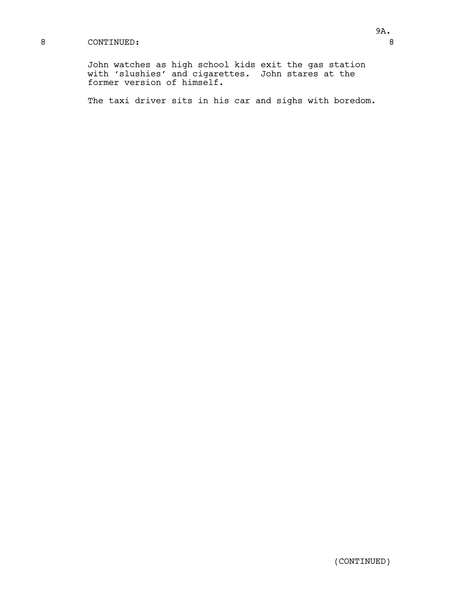# 8 CONTINUED: 8

John watches as high school kids exit the gas station with 'slushies' and cigarettes. John stares at the former version of himself.

The taxi driver sits in his car and sighs with boredom.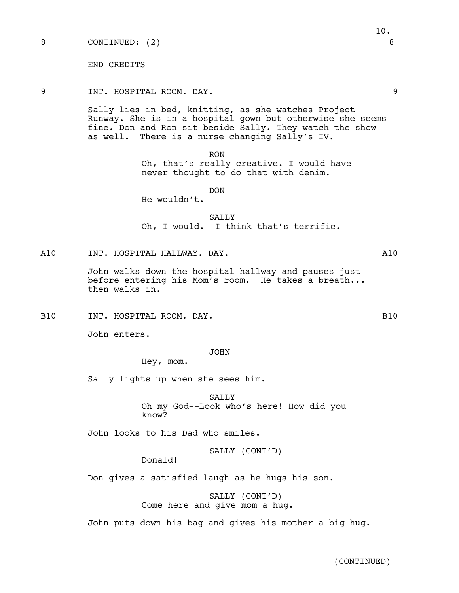END CREDITS

### 9 INT. HOSPITAL ROOM. DAY. 9

Sally lies in bed, knitting, as she watches Project Runway. She is in a hospital gown but otherwise she seems fine. Don and Ron sit beside Sally. They watch the show as well. There is a nurse changing Sally's IV.

> RON Oh, that's really creative. I would have never thought to do that with denim.

> > DON

He wouldn't.

SALLY Oh, I would. I think that's terrific.

A10 INT. HOSPITAL HALLWAY. DAY. A10

John walks down the hospital hallway and pauses just before entering his Mom's room. He takes a breath... then walks in.

B10 INT. HOSPITAL ROOM. DAY. B10

John enters.

JOHN

Hey, mom.

Sally lights up when she sees him.

SALLY<sub>S</sub>

Oh my God--Look who's here! How did you know?

John looks to his Dad who smiles.

SALLY (CONT'D)

Donald!

Don gives a satisfied laugh as he hugs his son.

SALLY (CONT'D) Come here and give mom a hug.

John puts down his bag and gives his mother a big hug.

(CONTINUED)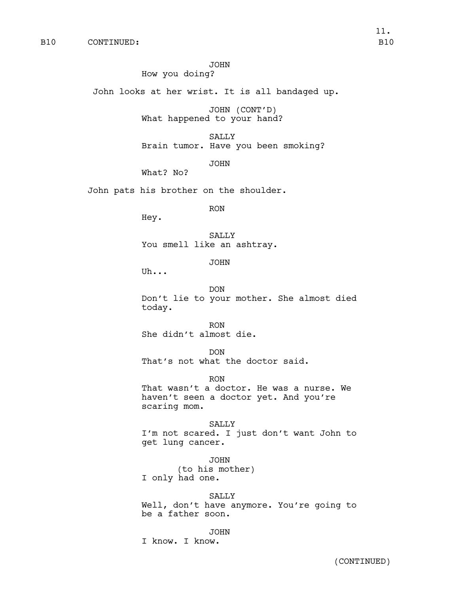#### JOHN

How you doing?

John looks at her wrist. It is all bandaged up.

JOHN (CONT'D) What happened to your hand?

SALLY Brain tumor. Have you been smoking?

JOHN

What? No?

John pats his brother on the shoulder.

RON

Hey.

SALLY You smell like an ashtray.

JOHN

Uh...

DON

Don't lie to your mother. She almost died today.

RON She didn't almost die.

DON

That's not what the doctor said.

RON

That wasn't a doctor. He was a nurse. We haven't seen a doctor yet. And you're scaring mom.

SALLY I'm not scared. I just don't want John to get lung cancer.

JOHN (to his mother) I only had one.

### SALLY

Well, don't have anymore. You're going to be a father soon.

#### JOHN

I know. I know.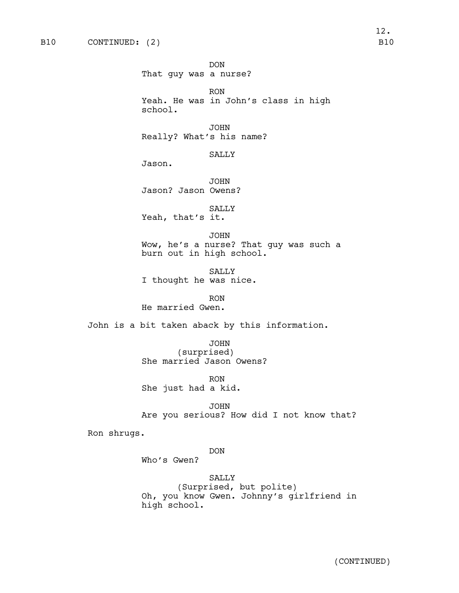DON That guy was a nurse? RON Yeah. He was in John's class in high school. JOHN Really? What's his name? SALLY Jason. JOHN Jason? Jason Owens? SALLY Yeah, that's it. JOHN Wow, he's a nurse? That guy was such a burn out in high school. SALLY I thought he was nice. RON He married Gwen. John is a bit taken aback by this information. JOHN (surprised) She married Jason Owens? RON She just had a kid. JOHN Are you serious? How did I not know that?

Ron shrugs.

# DON

Who's Gwen?

SALLY (Surprised, but polite) Oh, you know Gwen. Johnny's girlfriend in high school.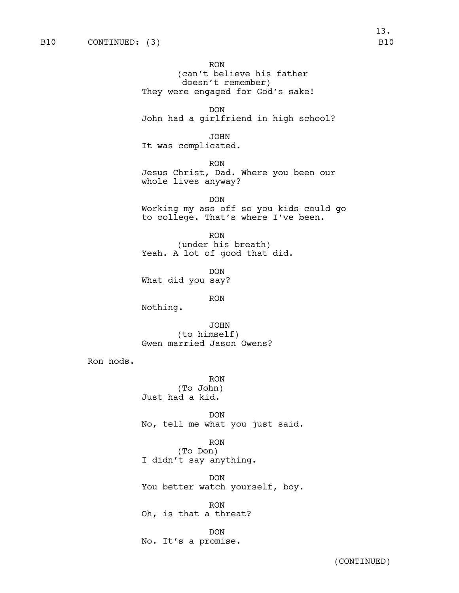RON (can't believe his father doesn't remember) They were engaged for God's sake! DON John had a girlfriend in high school? JOHN It was complicated. RON Jesus Christ, Dad. Where you been our whole lives anyway? DON Working my ass off so you kids could go to college. That's where I've been. RON (under his breath) Yeah. A lot of good that did. DON What did you say? RON Nothing. JOHN (to himself) Gwen married Jason Owens? Ron nods. RON (To John) Just had a kid. DON No, tell me what you just said. RON (To Don) I didn't say anything. DON You better watch yourself, boy. RON Oh, is that a threat? DON No. It's a promise.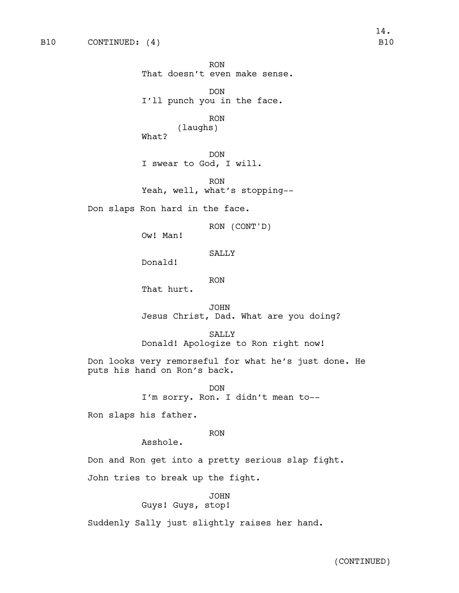RON That doesn't even make sense. DON I'll punch you in the face.

RON (laughs) What?

DON I swear to God, I will.

RON Yeah, well, what's stopping--

Don slaps Ron hard in the face.

RON (CONT'D)

Ow! Man!

### SALLY

Donald!

RON

That hurt.

JOHN Jesus Christ, Dad. What are you doing?

SALLY Donald! Apologize to Ron right now!

Don looks very remorseful for what he's just done. He puts his hand on Ron's back.

> DON I'm sorry. Ron. I didn't mean to--

Ron slaps his father.

# RON

Asshole.

Don and Ron get into a pretty serious slap fight.

John tries to break up the fight.

JOHN Guys! Guys, stop!

Suddenly Sally just slightly raises her hand.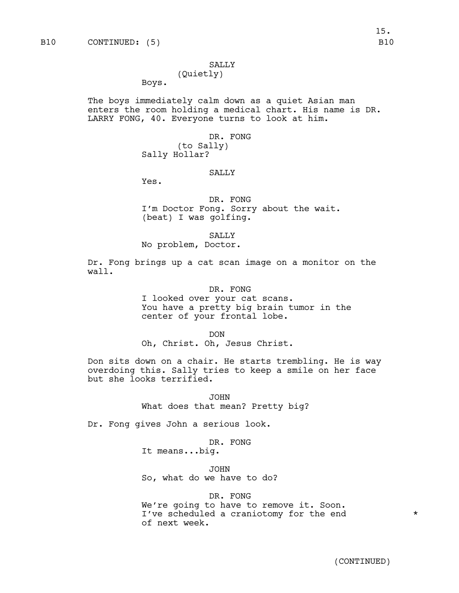#### SALLY

# (Quietly)

Boys.

The boys immediately calm down as a quiet Asian man enters the room holding a medical chart. His name is DR. LARRY FONG, 40. Everyone turns to look at him.

> DR. FONG (to Sally) Sally Hollar?

### SALLY

Yes.

DR. FONG I'm Doctor Fong. Sorry about the wait. (beat) I was golfing.

SALLY

No problem, Doctor.

Dr. Fong brings up a cat scan image on a monitor on the wall.

### DR. FONG

I looked over your cat scans. You have a pretty big brain tumor in the center of your frontal lobe.

DON

Oh, Christ. Oh, Jesus Christ.

Don sits down on a chair. He starts trembling. He is way overdoing this. Sally tries to keep a smile on her face but she looks terrified.

> JOHN What does that mean? Pretty big?

Dr. Fong gives John a serious look.

DR. FONG

It means...big.

JOHN So, what do we have to do?

### DR. FONG

We're going to have to remove it. Soon. I've scheduled a craniotomy for the end  $*$ of next week.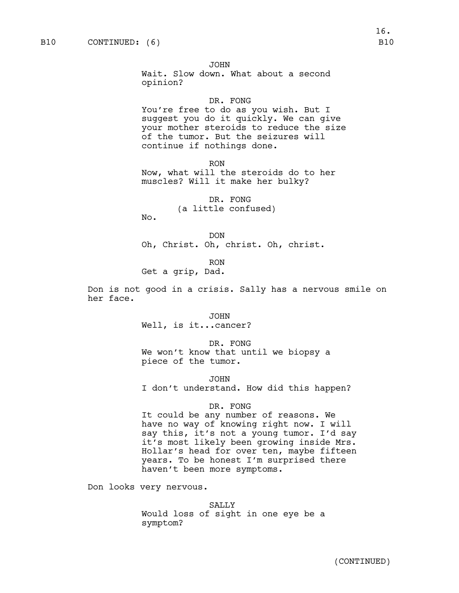JOHN

Wait. Slow down. What about a second opinion?

### DR. FONG

You're free to do as you wish. But I suggest you do it quickly. We can give your mother steroids to reduce the size of the tumor. But the seizures will continue if nothings done.

RON Now, what will the steroids do to her muscles? Will it make her bulky?

> DR. FONG (a little confused)

No.

DON Oh, Christ. Oh, christ. Oh, christ.

RON Get a grip, Dad.

Don is not good in a crisis. Sally has a nervous smile on her face.

> JOHN Well, is it...cancer?

DR. FONG We won't know that until we biopsy a piece of the tumor.

JOHN

I don't understand. How did this happen?

### DR. FONG

It could be any number of reasons. We have no way of knowing right now. I will say this, it's not a young tumor. I'd say it's most likely been growing inside Mrs. Hollar's head for over ten, maybe fifteen years. To be honest I'm surprised there haven't been more symptoms.

Don looks very nervous.

SALLY Would loss of sight in one eye be a symptom?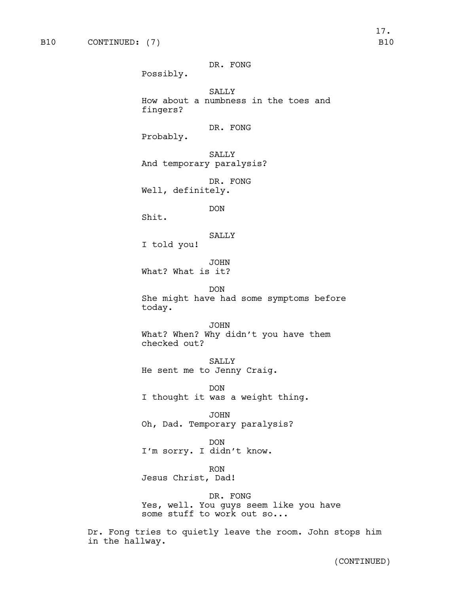DR. FONG

Possibly.

SALLY How about a numbness in the toes and fingers?

DR. FONG

Probably.

SALLY And temporary paralysis?

DR. FONG Well, definitely.

DON

Shit.

SALLY

I told you!

JOHN What? What is it?

DON She might have had some symptoms before today.

JOHN What? When? Why didn't you have them checked out?

SALLY He sent me to Jenny Craig.

DON I thought it was a weight thing.

JOHN Oh, Dad. Temporary paralysis?

DON I'm sorry. I didn't know.

RON Jesus Christ, Dad!

DR. FONG Yes, well. You guys seem like you have some stuff to work out so...

Dr. Fong tries to quietly leave the room. John stops him in the hallway.

17.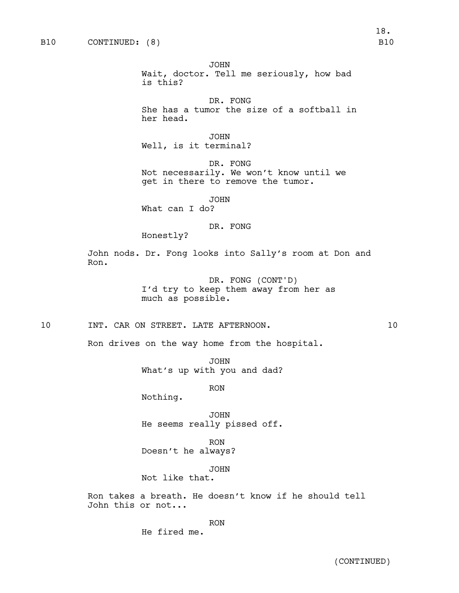Ron.

JOHN Wait, doctor. Tell me seriously, how bad is this? DR. FONG She has a tumor the size of a softball in her head. JOHN Well, is it terminal? DR. FONG Not necessarily. We won't know until we get in there to remove the tumor. JOHN What can I do? DR. FONG Honestly? John nods. Dr. Fong looks into Sally's room at Don and DR. FONG (CONT'D) I'd try to keep them away from her as much as possible. 10 INT. CAR ON STREET. LATE AFTERNOON. 10 Ron drives on the way home from the hospital. JOHN What's up with you and dad? RON Nothing. JOHN He seems really pissed off. RON

Doesn't he always?

JOHN Not like that.

Ron takes a breath. He doesn't know if he should tell John this or not...

RON

He fired me.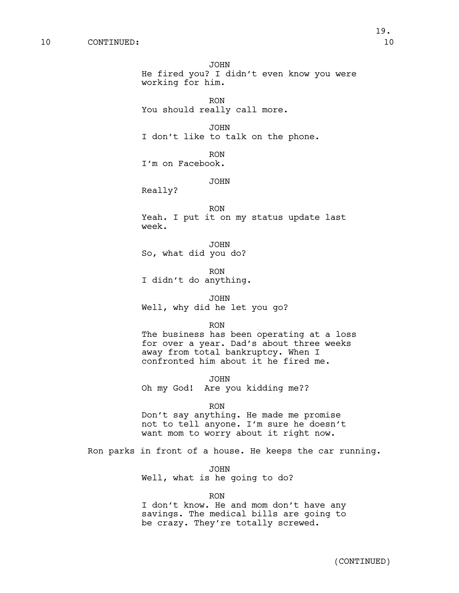JOHN He fired you? I didn't even know you were working for him. RON You should really call more. JOHN I don't like to talk on the phone. RON I'm on Facebook. JOHN Really? RON Yeah. I put it on my status update last week. JOHN So, what did you do? RON I didn't do anything. JOHN Well, why did he let you go? RON The business has been operating at a loss for over a year. Dad's about three weeks away from total bankruptcy. When I confronted him about it he fired me. JOHN Oh my God! Are you kidding me?? RON Don't say anything. He made me promise not to tell anyone. I'm sure he doesn't want mom to worry about it right now. Ron parks in front of a house. He keeps the car running.

> JOHN Well, what is he going to do?

> > RON

I don't know. He and mom don't have any savings. The medical bills are going to be crazy. They're totally screwed.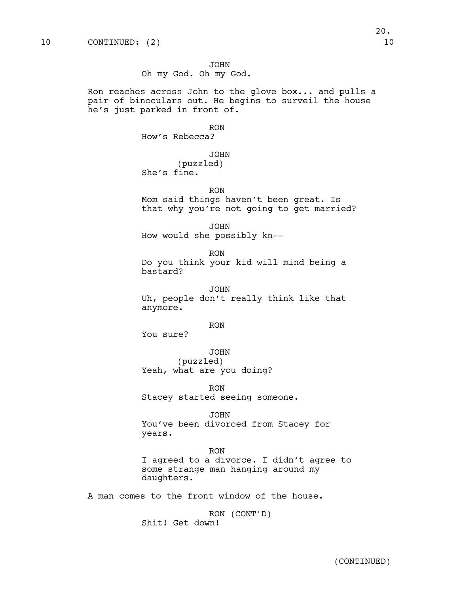JOHN Oh my God. Oh my God.

Ron reaches across John to the glove box... and pulls a pair of binoculars out. He begins to surveil the house he's just parked in front of.

> RON How's Rebecca?

JOHN (puzzled) She's fine.

RON Mom said things haven't been great. Is that why you're not going to get married?

JOHN How would she possibly kn--

RON Do you think your kid will mind being a bastard?

JOHN Uh, people don't really think like that anymore.

RON

You sure?

JOHN (puzzled) Yeah, what are you doing?

RON Stacey started seeing someone.

JOHN

You've been divorced from Stacey for years.

RON I agreed to a divorce. I didn't agree to some strange man hanging around my daughters.

A man comes to the front window of the house.

RON (CONT'D) Shit! Get down!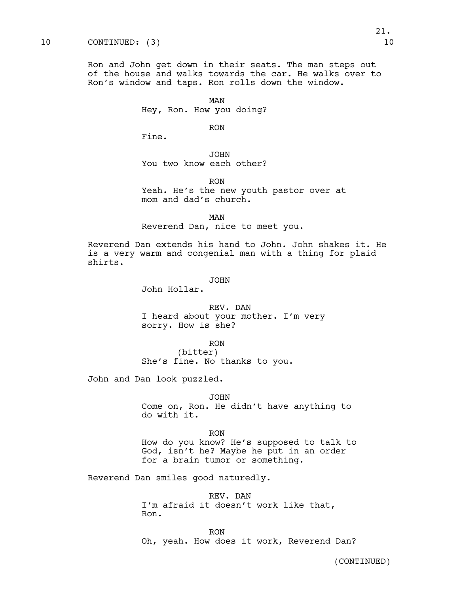# 10 CONTINUED: (3) 10

Ron and John get down in their seats. The man steps out of the house and walks towards the car. He walks over to Ron's window and taps. Ron rolls down the window.

> MAN Hey, Ron. How you doing?

> > RON

Fine.

JOHN You two know each other?

RON

Yeah. He's the new youth pastor over at mom and dad's church.

MAN

Reverend Dan, nice to meet you.

Reverend Dan extends his hand to John. John shakes it. He is a very warm and congenial man with a thing for plaid shirts.

### JOHN

John Hollar.

REV. DAN I heard about your mother. I'm very sorry. How is she?

RON

(bitter) She's fine. No thanks to you.

John and Dan look puzzled.

#### JOHN

Come on, Ron. He didn't have anything to do with it.

RON

How do you know? He's supposed to talk to God, isn't he? Maybe he put in an order for a brain tumor or something.

Reverend Dan smiles good naturedly.

REV. DAN I'm afraid it doesn't work like that, Ron.

RON Oh, yeah. How does it work, Reverend Dan?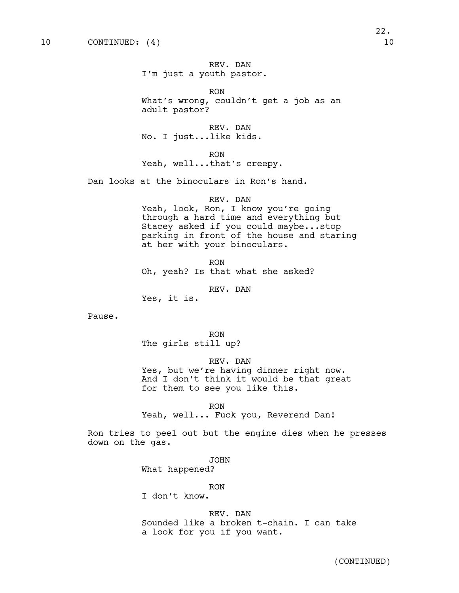# REV. DAN I'm just a youth pastor.

RON What's wrong, couldn't get a job as an adult pastor?

REV. DAN No. I just...like kids.

RON

Yeah, well...that's creepy.

Dan looks at the binoculars in Ron's hand.

### REV. DAN

Yeah, look, Ron, I know you're going through a hard time and everything but Stacey asked if you could maybe...stop parking in front of the house and staring at her with your binoculars.

RON Oh, yeah? Is that what she asked?

REV. DAN

Yes, it is.

Pause.

RON The girls still up?

REV. DAN

Yes, but we're having dinner right now. And I don't think it would be that great for them to see you like this.

RON

Yeah, well... Fuck you, Reverend Dan!

Ron tries to peel out but the engine dies when he presses down on the gas.

> JOHN What happened?

> > RON

I don't know.

REV. DAN Sounded like a broken t-chain. I can take a look for you if you want.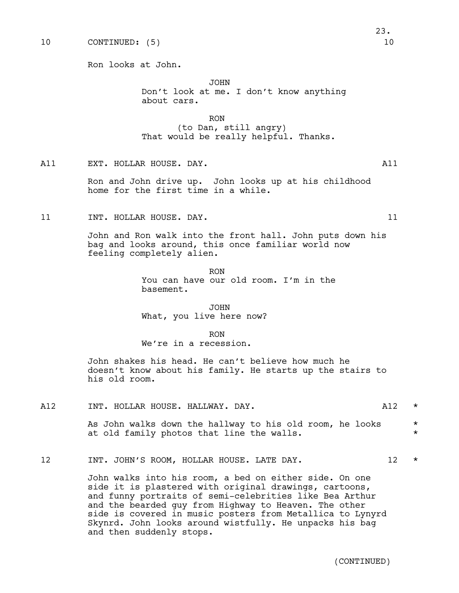Ron looks at John.

JOHN Don't look at me. I don't know anything about cars.

RON (to Dan, still angry) That would be really helpful. Thanks.

A11 EXT. HOLLAR HOUSE. DAY. A11

Ron and John drive up. John looks up at his childhood home for the first time in a while.

11 11 INT. HOLLAR HOUSE. DAY. 11

John and Ron walk into the front hall. John puts down his bag and looks around, this once familiar world now feeling completely alien.

> RON You can have our old room. I'm in the basement.

JOHN What, you live here now?

RON We're in a recession.

John shakes his head. He can't believe how much he doesn't know about his family. He starts up the stairs to his old room.

A12 INT. HOLLAR HOUSE. HALLWAY. DAY. The mass of the contract of the contract of the contract of the contract of  $\star$ 

As John walks down the hallway to his old room, he looks  $*$ at old family photos that line the walls.  $*$ 

12 INT. JOHN'S ROOM, HOLLAR HOUSE. LATE DAY. 12 \*

John walks into his room, a bed on either side. On one side it is plastered with original drawings, cartoons, and funny portraits of semi-celebrities like Bea Arthur and the bearded guy from Highway to Heaven. The other side is covered in music posters from Metallica to Lynyrd Skynrd. John looks around wistfully. He unpacks his bag and then suddenly stops.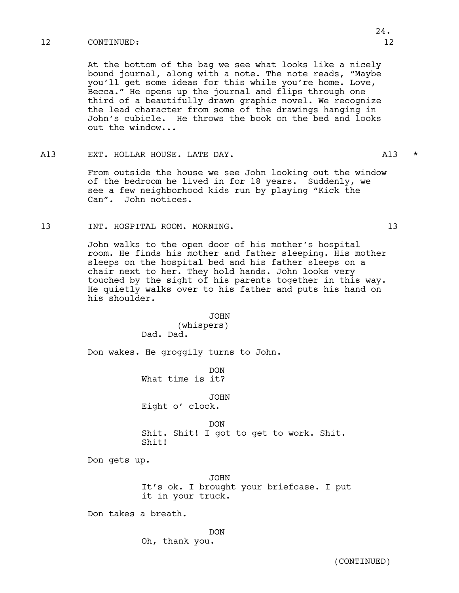### 12 CONTINUED: 12

At the bottom of the bag we see what looks like a nicely bound journal, along with a note. The note reads, "Maybe you'll get some ideas for this while you're home. Love, Becca." He opens up the journal and flips through one third of a beautifully drawn graphic novel. We recognize the lead character from some of the drawings hanging in John's cubicle. He throws the book on the bed and looks out the window...

### A13 EXT. HOLLAR HOUSE. LATE DAY. A13 \*

From outside the house we see John looking out the window of the bedroom he lived in for 18 years. Suddenly, we see a few neighborhood kids run by playing "Kick the Can". John notices.

# 13 INT. HOSPITAL ROOM. MORNING. 13

John walks to the open door of his mother's hospital room. He finds his mother and father sleeping. His mother sleeps on the hospital bed and his father sleeps on a chair next to her. They hold hands. John looks very touched by the sight of his parents together in this way. He quietly walks over to his father and puts his hand on his shoulder.

> JOHN (whispers) Dad. Dad.

Don wakes. He groggily turns to John.

DON What time is it?

JOHN Eight o' clock.

DON Shit. Shit! I got to get to work. Shit. Shit!

Don gets up.

JOHN It's ok. I brought your briefcase. I put it in your truck.

Don takes a breath.

DON Oh, thank you.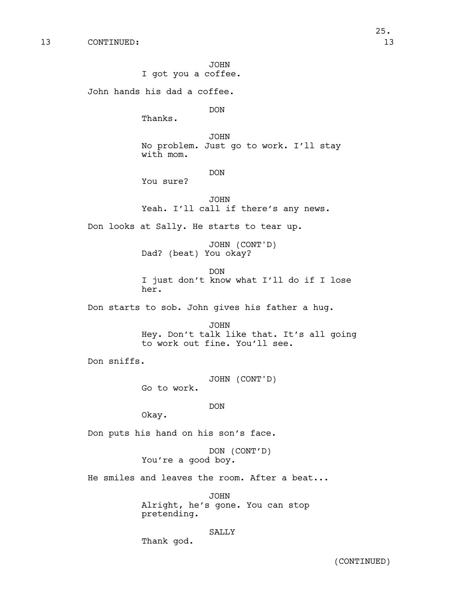JOHN I got you a coffee.

John hands his dad a coffee.

DON

Thanks.

JOHN No problem. Just go to work. I'll stay with mom.

DON

You sure?

JOHN Yeah. I'll call if there's any news.

Don looks at Sally. He starts to tear up.

JOHN (CONT'D) Dad? (beat) You okay?

DON I just don't know what I'll do if I lose her.

Don starts to sob. John gives his father a hug.

JOHN Hey. Don't talk like that. It's all going to work out fine. You'll see.

Don sniffs.

JOHN (CONT'D) Go to work.

DON

Okay.

Don puts his hand on his son's face.

Thank god.

DON (CONT'D) You're a good boy.

He smiles and leaves the room. After a beat...

JOHN Alright, he's gone. You can stop pretending.

SALLY

(CONTINUED)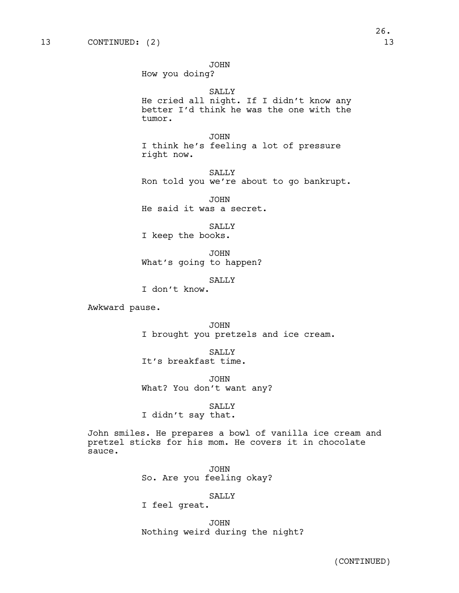JOHN

How you doing?

SALLY

He cried all night. If I didn't know any better I'd think he was the one with the tumor.

JOHN I think he's feeling a lot of pressure right now.

SALLY Ron told you we're about to go bankrupt.

JOHN He said it was a secret.

SALLY I keep the books.

JOHN What's going to happen?

SALLY

I don't know.

Awkward pause.

JOHN I brought you pretzels and ice cream.

**SALLY** 

It's breakfast time.

JOHN What? You don't want any?

SALLY I didn't say that.

John smiles. He prepares a bowl of vanilla ice cream and pretzel sticks for his mom. He covers it in chocolate sauce.

> JOHN So. Are you feeling okay?

### SALLY

I feel great.

JOHN Nothing weird during the night?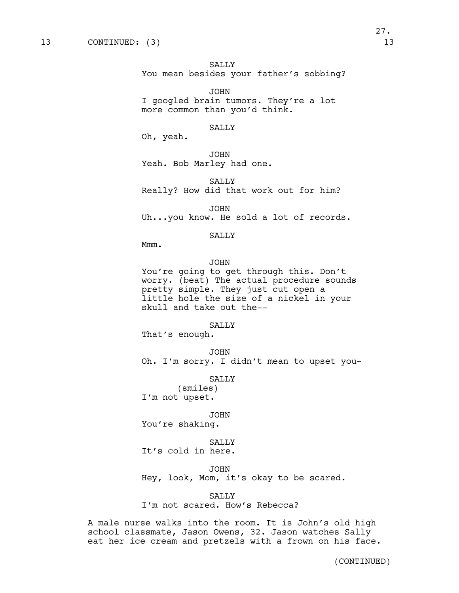SALLY

You mean besides your father's sobbing?

JOHN I googled brain tumors. They're a lot more common than you'd think.

# SALLY

Oh, yeah.

JOHN Yeah. Bob Marley had one.

SALLY Really? How did that work out for him?

JOHN Uh...you know. He sold a lot of records.

SALLY

Mmm.

### JOHN

You're going to get through this. Don't worry. (beat) The actual procedure sounds pretty simple. They just cut open a little hole the size of a nickel in your skull and take out the--

### SALLY

That's enough.

JOHN Oh. I'm sorry. I didn't mean to upset you-

### SALLY

(smiles) I'm not upset.

#### JOHN

You're shaking.

### SALLY

It's cold in here.

#### JOHN

Hey, look, Mom, it's okay to be scared.

#### SALLY

I'm not scared. How's Rebecca?

A male nurse walks into the room. It is John's old high school classmate, Jason Owens, 32. Jason watches Sally eat her ice cream and pretzels with a frown on his face.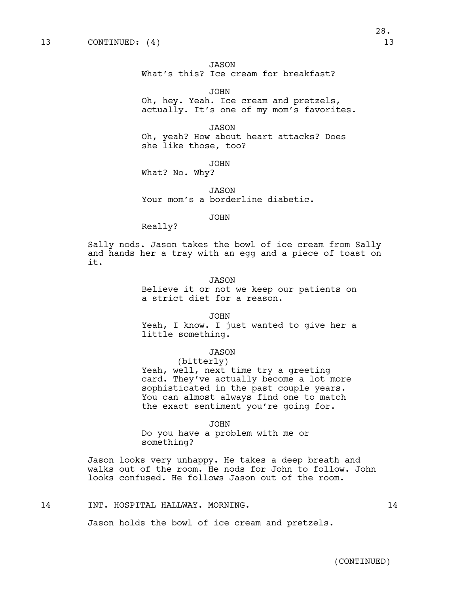JASON

What's this? Ice cream for breakfast?

JOHN Oh, hey. Yeah. Ice cream and pretzels, actually. It's one of my mom's favorites.

JASON Oh, yeah? How about heart attacks? Does she like those, too?

JOHN

What? No. Why?

JASON Your mom's a borderline diabetic.

JOHN

Really?

Sally nods. Jason takes the bowl of ice cream from Sally and hands her a tray with an egg and a piece of toast on it.

#### JASON

Believe it or not we keep our patients on a strict diet for a reason.

JOHN

Yeah, I know. I just wanted to give her a little something.

### JASON

(bitterly) Yeah, well, next time try a greeting card. They've actually become a lot more sophisticated in the past couple years. You can almost always find one to match the exact sentiment you're going for.

JOHN

Do you have a problem with me or something?

Jason looks very unhappy. He takes a deep breath and walks out of the room. He nods for John to follow. John looks confused. He follows Jason out of the room.

14 INT. HOSPITAL HALLWAY. MORNING. 14

Jason holds the bowl of ice cream and pretzels.

28.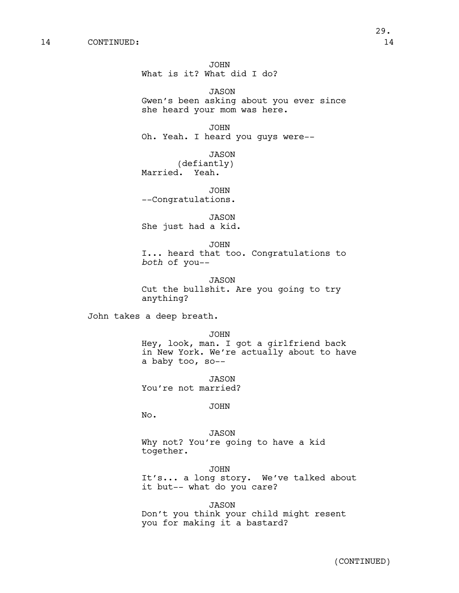JOHN What is it? What did I do?

JASON Gwen's been asking about you ever since she heard your mom was here.

JOHN Oh. Yeah. I heard you guys were--

JASON (defiantly) Married. Yeah.

JOHN --Congratulations.

JASON She just had a kid.

JOHN I... heard that too. Congratulations to *both* of you--

JASON Cut the bullshit. Are you going to try anything?

John takes a deep breath.

JOHN Hey, look, man. I got a girlfriend back in New York. We're actually about to have a baby too, so--

JASON You're not married?

JOHN

No.

JASON Why not? You're going to have a kid together.

JOHN

It's... a long story. We've talked about it but-- what do you care?

JASON

Don't you think your child might resent you for making it a bastard?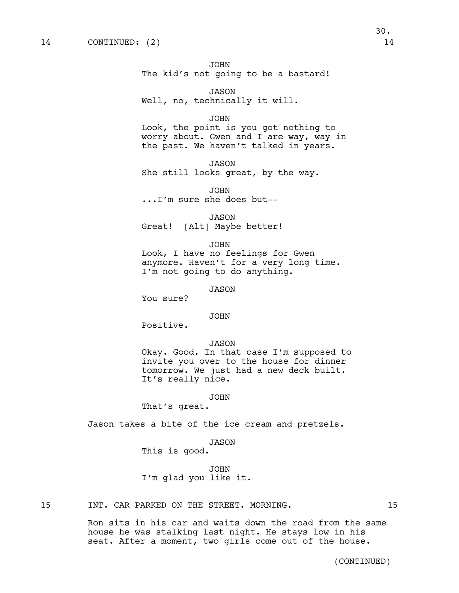JOHN The kid's not going to be a bastard!

JASON Well, no, technically it will.

#### JOHN

Look, the point is you got nothing to worry about. Gwen and I are way, way in the past. We haven't talked in years.

JASON She still looks great, by the way.

JOHN ...I'm sure she does but--

JASON Great! [Alt] Maybe better!

#### JOHN

Look, I have no feelings for Gwen anymore. Haven't for a very long time. I'm not going to do anything.

JASON

You sure?

### JOHN

Positive.

#### JASON

Okay. Good. In that case I'm supposed to invite you over to the house for dinner tomorrow. We just had a new deck built. It's really nice.

### JOHN

That's great.

Jason takes a bite of the ice cream and pretzels.

JASON

This is good.

JOHN I'm glad you like it.

## 15 INT. CAR PARKED ON THE STREET. MORNING.  $15$

Ron sits in his car and waits down the road from the same house he was stalking last night. He stays low in his seat. After a moment, two girls come out of the house.

(CONTINUED)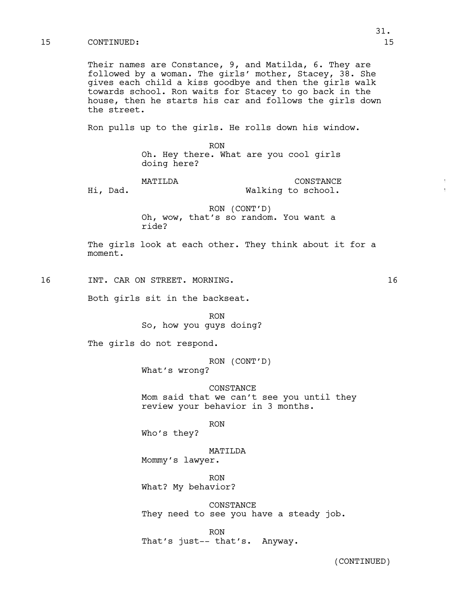## 15 CONTINUED: 15

Their names are Constance, 9, and Matilda, 6. They are followed by a woman. The girls' mother, Stacey, 38. She gives each child a kiss goodbye and then the girls walk towards school. Ron waits for Stacey to go back in the house, then he starts his car and follows the girls down the street.

Ron pulls up to the girls. He rolls down his window.

RON Oh. Hey there. What are you cool girls doing here?

MATILDA \* CONSTANCE Hi, Dad. The Malking to school.

RON (CONT'D) Oh, wow, that's so random. You want a ride?

The girls look at each other. They think about it for a moment.

16 INT. CAR ON STREET. MORNING. 16

Both girls sit in the backseat.

RON So, how you guys doing?

The girls do not respond.

RON (CONT'D) What's wrong?

CONSTANCE Mom said that we can't see you until they review your behavior in 3 months.

RON

Who's they?

MATILDA Mommy's lawyer.

RON What? My behavior?

CONSTANCE They need to see you have a steady job.

RON That's just-- that's. Anyway.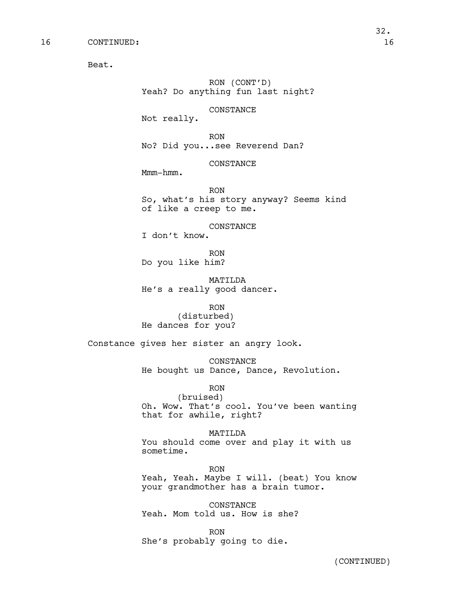Beat.

RON (CONT'D) Yeah? Do anything fun last night?

CONSTANCE

Not really.

RON No? Did you...see Reverend Dan?

CONSTANCE

Mmm-hmm.

RON So, what's his story anyway? Seems kind of like a creep to me.

CONSTANCE

I don't know.

RON Do you like him?

MATILDA He's a really good dancer.

RON (disturbed) He dances for you?

Constance gives her sister an angry look.

CONSTANCE He bought us Dance, Dance, Revolution.

RON

(bruised) Oh. Wow. That's cool. You've been wanting that for awhile, right?

# MATILDA

You should come over and play it with us sometime.

RON Yeah, Yeah. Maybe I will. (beat) You know your grandmother has a brain tumor.

CONSTANCE Yeah. Mom told us. How is she?

RON She's probably going to die.

(CONTINUED)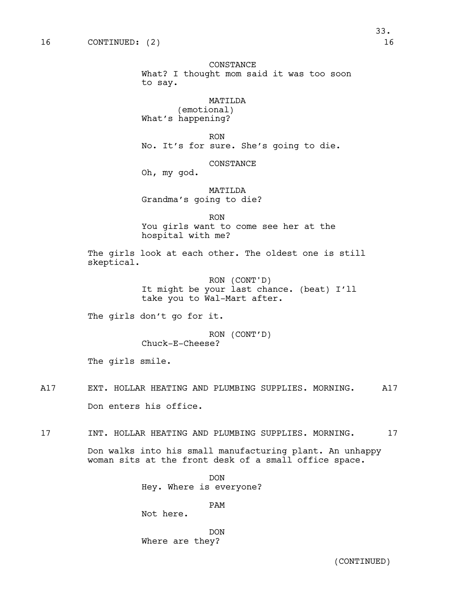# CONSTANCE

What? I thought mom said it was too soon to say.

# MATILDA

(emotional) What's happening?

RON No. It's for sure. She's going to die.

#### CONSTANCE

Oh, my god.

MATILDA Grandma's going to die?

RON

You girls want to come see her at the hospital with me?

The girls look at each other. The oldest one is still skeptical.

> RON (CONT'D) It might be your last chance. (beat) I'll take you to Wal-Mart after.

The girls don't go for it.

RON (CONT'D) Chuck-E-Cheese?

The girls smile.

- A17 EXT. HOLLAR HEATING AND PLUMBING SUPPLIES. MORNING. A17 Don enters his office.
- 17 INT. HOLLAR HEATING AND PLUMBING SUPPLIES. MORNING. 17

Don walks into his small manufacturing plant. An unhappy woman sits at the front desk of a small office space.

> DON Hey. Where is everyone?

> > PAM

Not here.

DON Where are they?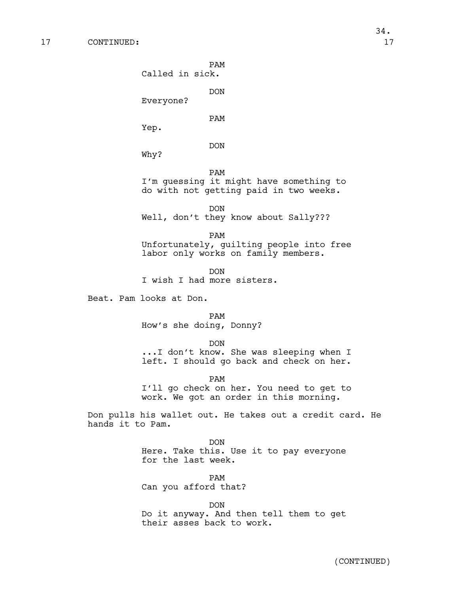PAM

Called in sick.

DON

Everyone?

PAM

Yep.

DON

Why?

PAM

I'm guessing it might have something to do with not getting paid in two weeks.

DON Well, don't they know about Sally???

PAM Unfortunately, guilting people into free labor only works on family members.

DON I wish I had more sisters.

Beat. Pam looks at Don.

PAM How's she doing, Donny?

DON

...I don't know. She was sleeping when I left. I should go back and check on her.

PAM

I'll go check on her. You need to get to work. We got an order in this morning.

Don pulls his wallet out. He takes out a credit card. He hands it to Pam.

> DON Here. Take this. Use it to pay everyone for the last week.

> > PAM

Can you afford that?

DON Do it anyway. And then tell them to get their asses back to work.

34.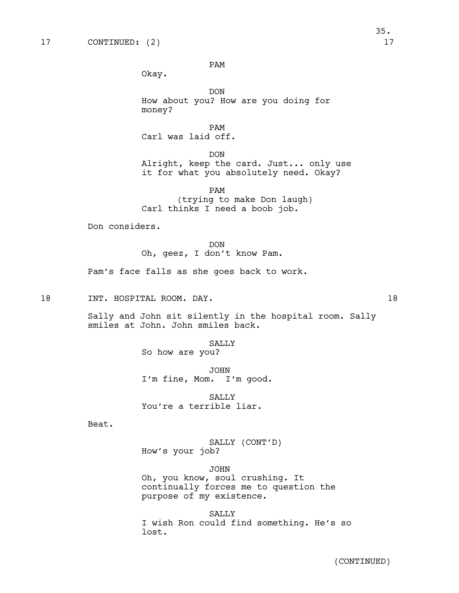PAM

Okay.

DON How about you? How are you doing for money?

PAM Carl was laid off.

DON Alright, keep the card. Just... only use it for what you absolutely need. Okay?

PAM (trying to make Don laugh) Carl thinks I need a boob job.

Don considers.

DON Oh, geez, I don't know Pam.

Pam's face falls as she goes back to work.

18 INT. HOSPITAL ROOM. DAY. 18

Sally and John sit silently in the hospital room. Sally smiles at John. John smiles back.

> SALLY So how are you?

JOHN

I'm fine, Mom. I'm good.

**SALLY** You're a terrible liar.

Beat.

SALLY (CONT'D) How's your job?

JOHN Oh, you know, soul crushing. It continually forces me to question the purpose of my existence.

SALLY I wish Ron could find something. He's so lost.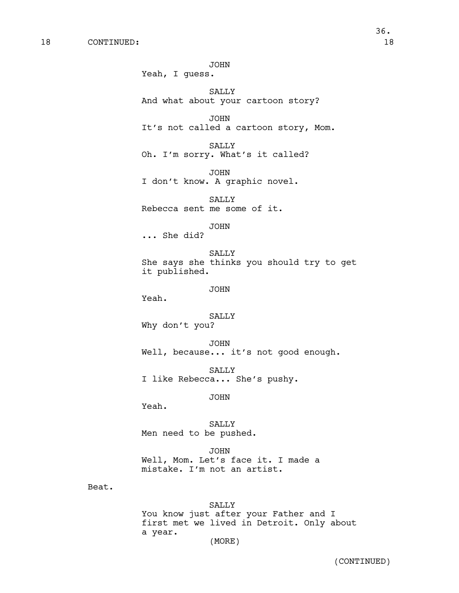JOHN Yeah, I guess. SALLY And what about your cartoon story? JOHN It's not called a cartoon story, Mom. SALLY Oh. I'm sorry. What's it called? JOHN I don't know. A graphic novel. SALLY Rebecca sent me some of it. JOHN ... She did? SALLY She says she thinks you should try to get it published. JOHN SALLY Why don't you? JOHN Well, because... it's not good enough. SALLY

I like Rebecca... She's pushy.

JOHN

Yeah.

Yeah.

SALLY Men need to be pushed.

JOHN Well, Mom. Let's face it. I made a mistake. I'm not an artist.

Beat.

SALLY You know just after your Father and I first met we lived in Detroit. Only about a year. (MORE)

(CONTINUED)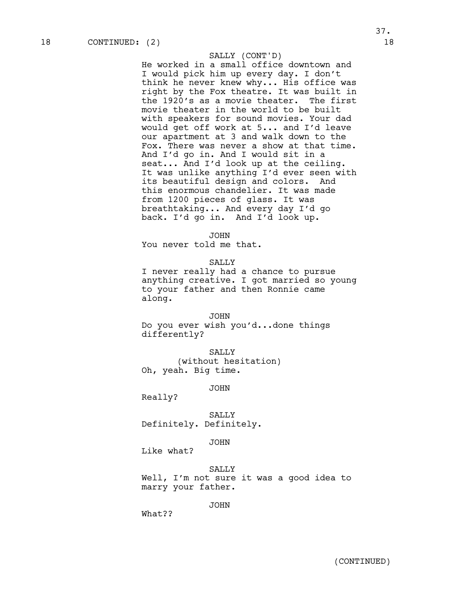### SALLY (CONT'D)

He worked in a small office downtown and I would pick him up every day. I don't think he never knew why... His office was right by the Fox theatre. It was built in the 1920's as a movie theater. The first movie theater in the world to be built with speakers for sound movies. Your dad would get off work at 5... and I'd leave our apartment at 3 and walk down to the Fox. There was never a show at that time. And I'd go in. And I would sit in a seat... And I'd look up at the ceiling. It was unlike anything I'd ever seen with its beautiful design and colors. And this enormous chandelier. It was made from 1200 pieces of glass. It was breathtaking... And every day I'd go back. I'd go in. And I'd look up.

# JOHN

You never told me that.

SALLY

I never really had a chance to pursue anything creative. I got married so young to your father and then Ronnie came along.

#### JOHN

Do you ever wish you'd...done things differently?

SALLY<sub>S</sub> (without hesitation) Oh, yeah. Big time.

JOHN

Really?

SALLY Definitely. Definitely.

#### JOHN

Like what?

SALLY Well, I'm not sure it was a good idea to marry your father.

JOHN

What??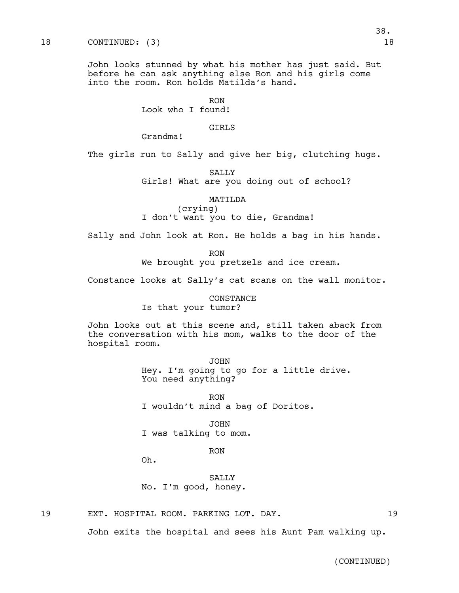# 18 CONTINUED: (3) 18

John looks stunned by what his mother has just said. But before he can ask anything else Ron and his girls come into the room. Ron holds Matilda's hand.

RON

Look who I found!

# GIRLS

Grandma!

The girls run to Sally and give her big, clutching hugs.

SALLY

Girls! What are you doing out of school?

MATILDA

(crying) I don't want you to die, Grandma!

Sally and John look at Ron. He holds a bag in his hands.

RON

We brought you pretzels and ice cream.

Constance looks at Sally's cat scans on the wall monitor.

CONSTANCE Is that your tumor?

John looks out at this scene and, still taken aback from the conversation with his mom, walks to the door of the hospital room.

> JOHN Hey. I'm going to go for a little drive. You need anything?

RON I wouldn't mind a bag of Doritos.

JOHN I was talking to mom.

RON

Oh.

SALLY No. I'm good, honey.

19 EXT. HOSPITAL ROOM. PARKING LOT. DAY. 19

John exits the hospital and sees his Aunt Pam walking up.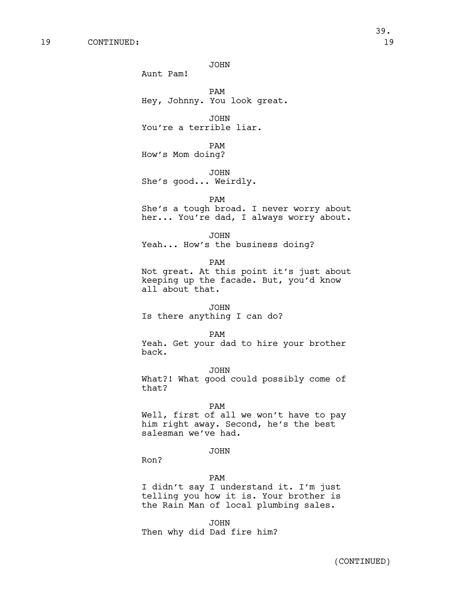JOHN

Aunt Pam!

PAM Hey, Johnny. You look great.

JOHN You're a terrible liar.

PAM How's Mom doing?

JOHN She's good... Weirdly.

PAM

She's a tough broad. I never worry about her... You're dad, I always worry about.

JOHN

Yeah... How's the business doing?

PAM

Not great. At this point it's just about keeping up the facade. But, you'd know all about that.

#### JOHN

Is there anything I can do?

### PAM

Yeah. Get your dad to hire your brother back.

JOHN

What?! What good could possibly come of that?

#### PAM

Well, first of all we won't have to pay him right away. Second, he's the best salesman we've had.

# JOHN

Ron?

#### PAM

I didn't say I understand it. I'm just telling you how it is. Your brother is the Rain Man of local plumbing sales.

JOHN Then why did Dad fire him?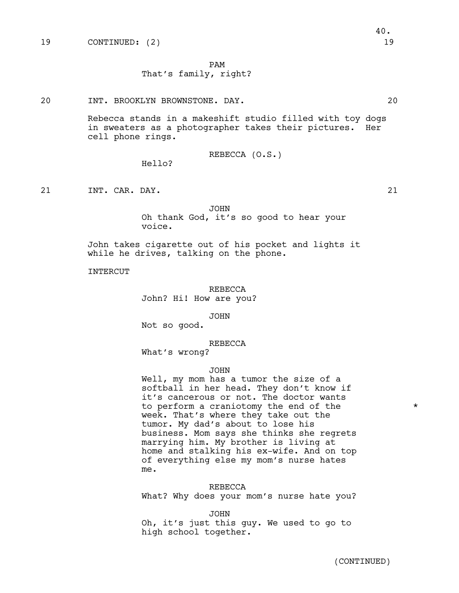PAM

# That's family, right?

20 INT. BROOKLYN BROWNSTONE. DAY. 20

Rebecca stands in a makeshift studio filled with toy dogs in sweaters as a photographer takes their pictures. Her cell phone rings.

REBECCA (O.S.)

Hello?

21 INT. CAR. DAY. 21 21

JOHN Oh thank God, it's so good to hear your voice.

John takes cigarette out of his pocket and lights it while he drives, talking on the phone.

INTERCUT

REBECCA John? Hi! How are you?

JOHN

Not so good.

REBECCA

What's wrong?

### JOHN

Well, my mom has a tumor the size of a softball in her head. They don't know if it's cancerous or not. The doctor wants to perform a craniotomy the end of the  $*$ week. That's where they take out the tumor. My dad's about to lose his business. Mom says she thinks she regrets marrying him. My brother is living at home and stalking his ex-wife. And on top of everything else my mom's nurse hates me.

# REBECCA

What? Why does your mom's nurse hate you?

JOHN

Oh, it's just this guy. We used to go to high school together.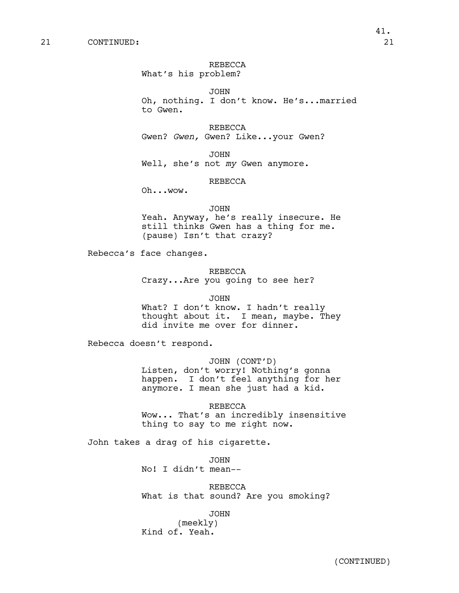# REBECCA

What's his problem?

JOHN Oh, nothing. I don't know. He's...married to Gwen.

REBECCA Gwen? *Gwen,* Gwen? Like...your Gwen?

JOHN Well, she's not *my* Gwen anymore.

# REBECCA

Oh...wow.

#### JOHN

Yeah. Anyway, he's really insecure. He still thinks Gwen has a thing for me. (pause) Isn't that crazy?

Rebecca's face changes.

### REBECCA

Crazy...Are you going to see her?

#### JOHN

What? I don't know. I hadn't really thought about it. I mean, maybe. They did invite me over for dinner.

Rebecca doesn't respond.

### JOHN (CONT'D)

Listen, don't worry! Nothing's gonna happen. I don't feel anything for her anymore. I mean she just had a kid.

REBECCA

Wow... That's an incredibly insensitive thing to say to me right now.

# John takes a drag of his cigarette.

JOHN No! I didn't mean--

REBECCA What is that sound? Are you smoking?

JOHN

(meekly) Kind of. Yeah.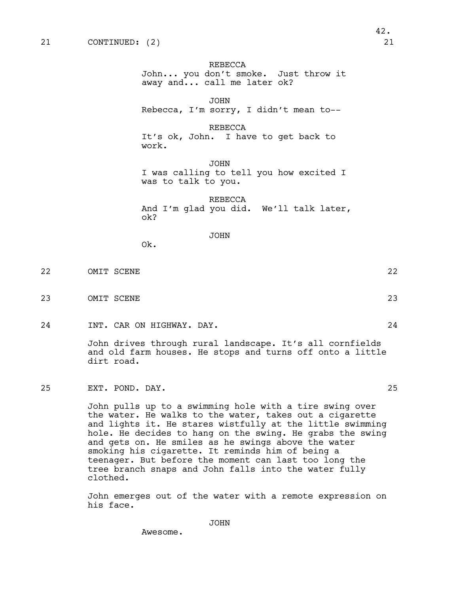#### REBECCA

John... you don't smoke. Just throw it away and... call me later ok?

JOHN

Rebecca, I'm sorry, I didn't mean to--

REBECCA

It's ok, John. I have to get back to work.

JOHN I was calling to tell you how excited I was to talk to you.

REBECCA And I'm glad you did. We'll talk later, ok?

JOHN

Ok.

22 OMIT SCENE 22

23 OMIT SCENE 23

24 INT. CAR ON HIGHWAY. DAY. 24

John drives through rural landscape. It's all cornfields and old farm houses. He stops and turns off onto a little dirt road.

25 EXT. POND. DAY. 25

John pulls up to a swimming hole with a tire swing over the water. He walks to the water, takes out a cigarette and lights it. He stares wistfully at the little swimming hole. He decides to hang on the swing. He grabs the swing and gets on. He smiles as he swings above the water smoking his cigarette. It reminds him of being a teenager. But before the moment can last too long the tree branch snaps and John falls into the water fully clothed.

John emerges out of the water with a remote expression on his face.

Awesome.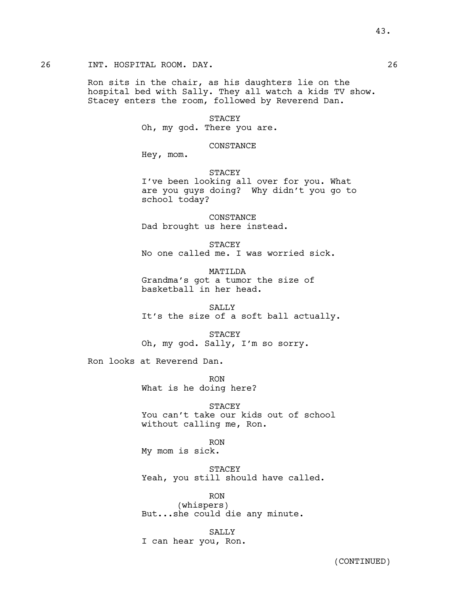# 26 INT. HOSPITAL ROOM. DAY. 26

Ron sits in the chair, as his daughters lie on the hospital bed with Sally. They all watch a kids TV show. Stacey enters the room, followed by Reverend Dan.

# STACEY

Oh, my god. There you are.

### CONSTANCE

Hey, mom.

# STACEY

I've been looking all over for you. What are you guys doing? Why didn't you go to school today?

CONSTANCE Dad brought us here instead.

STACEY No one called me. I was worried sick.

MATILDA Grandma's got a tumor the size of basketball in her head.

SALLY It's the size of a soft ball actually.

STACEY Oh, my god. Sally, I'm so sorry.

Ron looks at Reverend Dan.

RON What is he doing here?

**STACEY** You can't take our kids out of school without calling me, Ron.

RON

My mom is sick.

STACEY Yeah, you still should have called.

RON (whispers) But...she could die any minute.

SALLY I can hear you, Ron.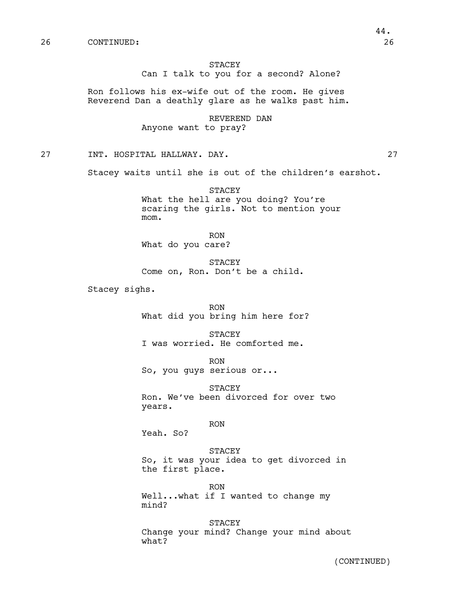# STACEY Can I talk to you for a second? Alone?

Ron follows his ex-wife out of the room. He gives Reverend Dan a deathly glare as he walks past him.

> REVEREND DAN Anyone want to pray?

27 INT. HOSPITAL HALLWAY. DAY. 27

Stacey waits until she is out of the children's earshot.

STACEY What the hell are you doing? You're scaring the girls. Not to mention your mom.

RON What do you care?

STACEY Come on, Ron. Don't be a child.

Stacey sighs.

RON What did you bring him here for?

STACEY I was worried. He comforted me.

RON So, you guys serious or...

STACEY Ron. We've been divorced for over two years.

RON

Yeah. So?

#### STACEY

So, it was your idea to get divorced in the first place.

RON Well...what if I wanted to change my mind?

STACEY Change your mind? Change your mind about what?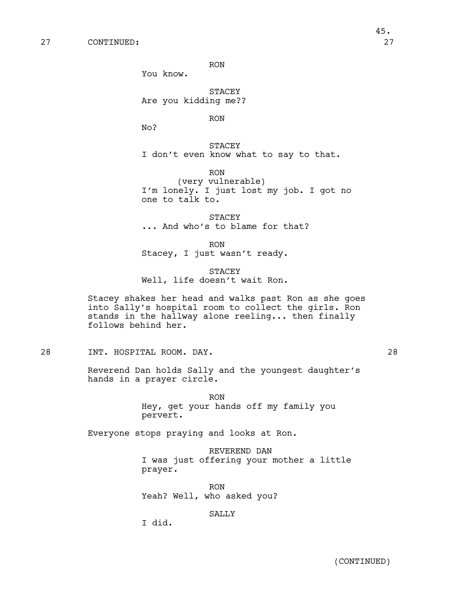RON

You know.

STACEY Are you kidding me??

RON

No?

STACEY I don't even know what to say to that.

RON (very vulnerable) I'm lonely. I just lost my job. I got no one to talk to.

STACEY ... And who's to blame for that?

RON

Stacey, I just wasn't ready.

**STACEY** Well, life doesn't wait Ron.

Stacey shakes her head and walks past Ron as she goes into Sally's hospital room to collect the girls. Ron stands in the hallway alone reeling... then finally follows behind her.

28 INT. HOSPITAL ROOM. DAY. 28

Reverend Dan holds Sally and the youngest daughter's hands in a prayer circle.

> RON Hey, get your hands off my family you pervert.

Everyone stops praying and looks at Ron.

REVEREND DAN I was just offering your mother a little prayer.

RON Yeah? Well, who asked you?

SALLY

I did.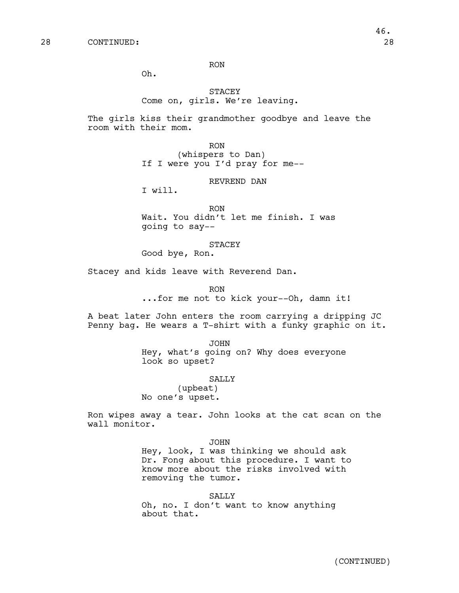RON

Oh.

# STACEY Come on, girls. We're leaving.

The girls kiss their grandmother goodbye and leave the room with their mom.

> RON (whispers to Dan) If I were you I'd pray for me--

# REVREND DAN

I will.

RON Wait. You didn't let me finish. I was going to say--

### STACEY

Good bye, Ron.

Stacey and kids leave with Reverend Dan.

RON

...for me not to kick your--Oh, damn it!

A beat later John enters the room carrying a dripping JC Penny bag. He wears a T-shirt with a funky graphic on it.

JOHN

Hey, what's going on? Why does everyone look so upset?

# SALLY

(upbeat) No one's upset.

Ron wipes away a tear. John looks at the cat scan on the wall monitor.

#### JOHN

Hey, look, I was thinking we should ask Dr. Fong about this procedure. I want to know more about the risks involved with removing the tumor.

#### SALLY

Oh, no. I don't want to know anything about that.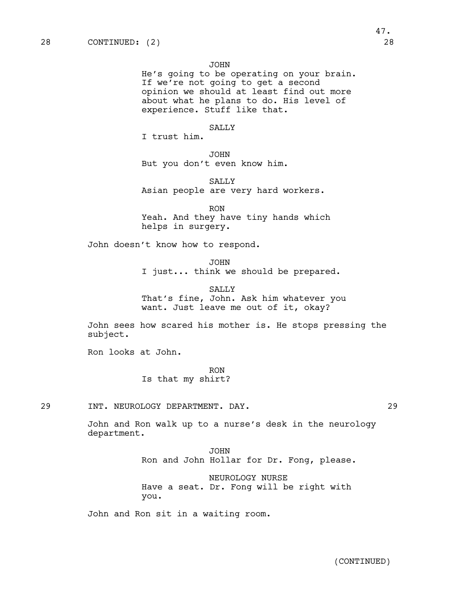JOHN

He's going to be operating on your brain. If we're not going to get a second opinion we should at least find out more about what he plans to do. His level of experience. Stuff like that.

# SALLY

I trust him.

JOHN But you don't even know him.

SALLY Asian people are very hard workers.

RON Yeah. And they have tiny hands which helps in surgery.

John doesn't know how to respond.

JOHN

I just... think we should be prepared.

SALLY That's fine, John. Ask him whatever you want. Just leave me out of it, okay?

John sees how scared his mother is. He stops pressing the subject.

Ron looks at John.

RON Is that my shirt?

29 INT. NEUROLOGY DEPARTMENT. DAY. 29

John and Ron walk up to a nurse's desk in the neurology department.

> JOHN Ron and John Hollar for Dr. Fong, please.

NEUROLOGY NURSE Have a seat. Dr. Fong will be right with you.

John and Ron sit in a waiting room.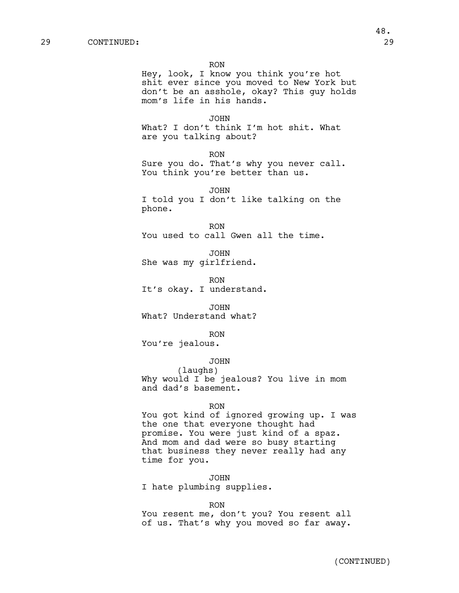RON

Hey, look, I know you think you're hot shit ever since you moved to New York but don't be an asshole, okay? This guy holds mom's life in his hands.

JOHN What? I don't think I'm hot shit. What are you talking about?

RON

Sure you do. That's why you never call. You think you're better than us.

JOHN I told you I don't like talking on the phone.

RON You used to call Gwen all the time.

JOHN She was my girlfriend.

RON It's okay. I understand.

JOHN What? Understand what?

RON You're jealous.

# JOHN

(laughs) Why would I be jealous? You live in mom and dad's basement.

#### RON

You got kind of ignored growing up. I was the one that everyone thought had promise. You were just kind of a spaz. And mom and dad were so busy starting that business they never really had any time for you.

JOHN

I hate plumbing supplies.

#### RON

You resent me, don't you? You resent all of us. That's why you moved so far away.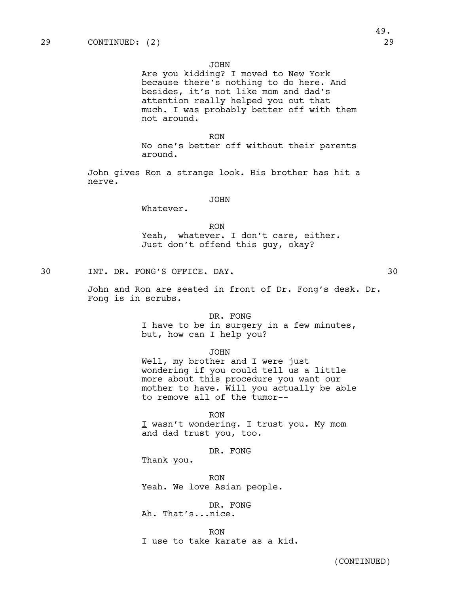#### JOHN

Are you kidding? I moved to New York because there's nothing to do here. And besides, it's not like mom and dad's attention really helped you out that much. I was probably better off with them not around.

### RON

No one's better off without their parents around.

John gives Ron a strange look. His brother has hit a nerve.

### JOHN

Whatever.

#### RON

Yeah, whatever. I don't care, either. Just don't offend this guy, okay?

30 INT. DR. FONG'S OFFICE. DAY. 30

John and Ron are seated in front of Dr. Fong's desk. Dr. Fong is in scrubs.

DR. FONG

I have to be in surgery in a few minutes, but, how can I help you?

JOHN

Well, my brother and I were just wondering if you could tell us a little more about this procedure you want our mother to have. Will you actually be able to remove all of the tumor--

RON I wasn't wondering. I trust you. My mom and dad trust you, too.

DR. FONG

Thank you.

RON Yeah. We love Asian people.

DR. FONG Ah. That's...nice.

RON I use to take karate as a kid.

(CONTINUED)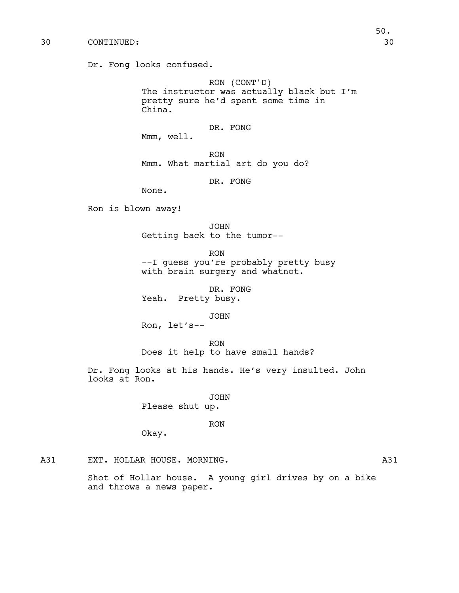Dr. Fong looks confused.

RON (CONT'D) The instructor was actually black but I'm pretty sure he'd spent some time in China.

DR. FONG

Mmm, well.

RON Mmm. What martial art do you do?

DR. FONG

None.

Ron is blown away!

JOHN Getting back to the tumor--

RON --I guess you're probably pretty busy with brain surgery and whatnot.

DR. FONG Yeah. Pretty busy.

JOHN

Ron, let's--

RON Does it help to have small hands?

Dr. Fong looks at his hands. He's very insulted. John looks at Ron.

> JOHN Please shut up.

> > RON

Okay.

A31 EXT. HOLLAR HOUSE. MORNING. THE SAME OF THE MASS ASSESSED.

Shot of Hollar house. A young girl drives by on a bike and throws a news paper.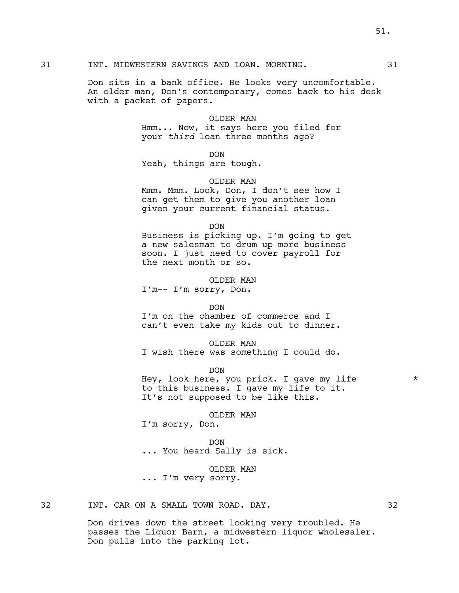#### 31 INT. MIDWESTERN SAVINGS AND LOAN. MORNING. 31

Don sits in a bank office. He looks very uncomfortable. An older man, Don's contemporary, comes back to his desk with a packet of papers.

### OLDER MAN

Hmm... Now, it says here you filed for your *third* loan three months ago?

DON

Yeah, things are tough.

# OLDER MAN

Mmm. Mmm. Look, Don, I don't see how I can get them to give you another loan given your current financial status.

DON

Business is picking up. I'm going to get a new salesman to drum up more business soon. I just need to cover payroll for the next month or so.

OLDER MAN

I'm-- I'm sorry, Don.

DON

I'm on the chamber of commerce and I can't even take my kids out to dinner.

#### OLDER MAN

I wish there was something I could do.

DON

Hey, look here, you prick. I gave my life  $\overline{\phantom{a}}$ to this business. I gave my life to it. It's not supposed to be like this.

# OLDER MAN

I'm sorry, Don.

DON ... You heard Sally is sick.

# OLDER MAN

... I'm very sorry.

32 INT. CAR ON A SMALL TOWN ROAD. DAY. 32

Don drives down the street looking very troubled. He passes the Liquor Barn, a midwestern liquor wholesaler. Don pulls into the parking lot.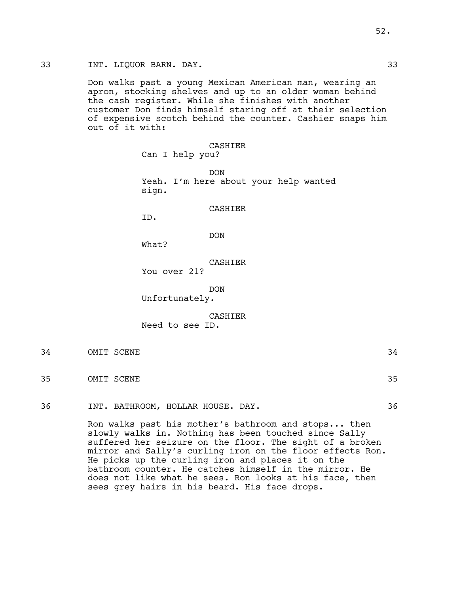# 33 INT. LIQUOR BARN. DAY. 33

Don walks past a young Mexican American man, wearing an apron, stocking shelves and up to an older woman behind the cash register. While she finishes with another customer Don finds himself staring off at their selection of expensive scotch behind the counter. Cashier snaps him out of it with:

### CASHIER

Can I help you?

DON Yeah. I'm here about your help wanted sign.

# CASHIER

ID.

# DON

What?

# CASHIER

You over 21?

DON

Unfortunately.

### CASHIER

Need to see ID.

- 34 OMIT SCENE 34
- 35 OMIT SCENE 35

36 INT. BATHROOM, HOLLAR HOUSE. DAY. 36

Ron walks past his mother's bathroom and stops... then slowly walks in. Nothing has been touched since Sally suffered her seizure on the floor. The sight of a broken mirror and Sally's curling iron on the floor effects Ron. He picks up the curling iron and places it on the bathroom counter. He catches himself in the mirror. He does not like what he sees. Ron looks at his face, then sees grey hairs in his beard. His face drops.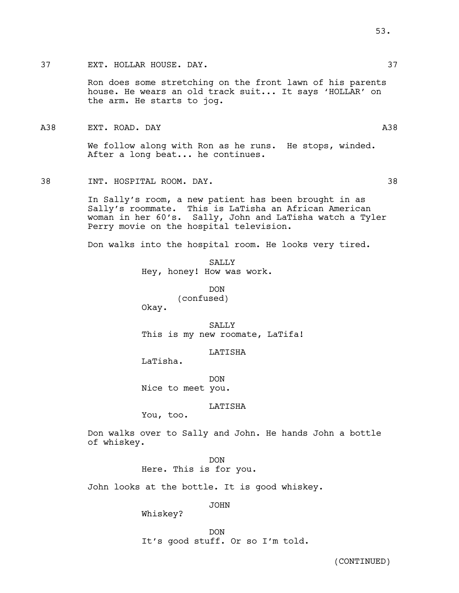Ron does some stretching on the front lawn of his parents house. He wears an old track suit... It says 'HOLLAR' on the arm. He starts to jog.

We follow along with Ron as he runs. He stops, winded. After a long beat... he continues.

38 INT. HOSPITAL ROOM. DAY. 38

In Sally's room, a new patient has been brought in as Sally's roommate. This is LaTisha an African American woman in her 60's. Sally, John and LaTisha watch a Tyler Perry movie on the hospital television.

Don walks into the hospital room. He looks very tired.

SALLY Hey, honey! How was work.

> DON (confused)

Okay.

SALLY This is my new roomate, LaTifa!

**LATISHA** 

LaTisha.

DON Nice to meet you.

LATISHA

You, too.

Don walks over to Sally and John. He hands John a bottle of whiskey.

> DON Here. This is for you.

John looks at the bottle. It is good whiskey.

JOHN

Whiskey?

DON It's good stuff. Or so I'm told.

(CONTINUED)

A38 EXT. ROAD. DAY A38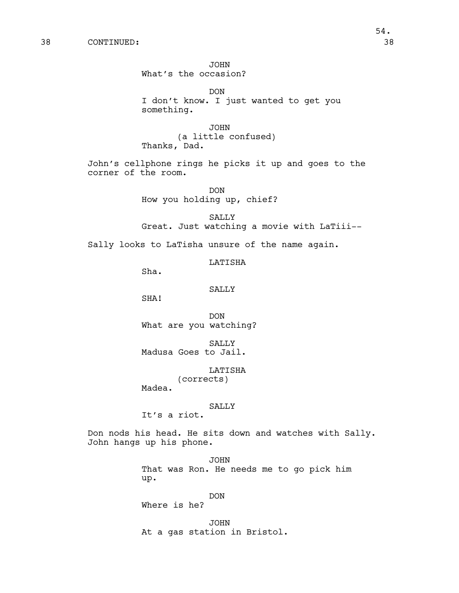38 CONTINUED: 38

JOHN What's the occasion?

DON I don't know. I just wanted to get you something.

JOHN (a little confused) Thanks, Dad.

John's cellphone rings he picks it up and goes to the corner of the room.

> DON How you holding up, chief?

SALLY Great. Just watching a movie with LaTiii--

Sally looks to LaTisha unsure of the name again.

LATISHA

Sha.

SALLY

SHA!

DON What are you watching?

SALLY Madusa Goes to Jail.

LATISHA

(corrects) Madea.

SALLY

It's a riot.

Don nods his head. He sits down and watches with Sally. John hangs up his phone.

> JOHN That was Ron. He needs me to go pick him up.

> > DON

Where is he?

JOHN At a gas station in Bristol.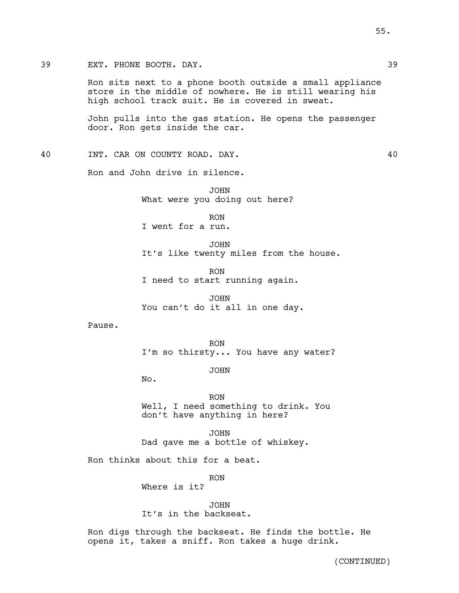Ron sits next to a phone booth outside a small appliance store in the middle of nowhere. He is still wearing his high school track suit. He is covered in sweat.

John pulls into the gas station. He opens the passenger door. Ron gets inside the car.

40 INT. CAR ON COUNTY ROAD. DAY. 40

Ron and John drive in silence.

JOHN What were you doing out here?

RON I went for a run.

JOHN It's like twenty miles from the house.

RON I need to start running again.

JOHN You can't do it all in one day.

Pause.

RON I'm so thirsty... You have any water?

JOHN

No.

RON Well, I need something to drink. You don't have anything in here?

JOHN Dad gave me a bottle of whiskey.

Ron thinks about this for a beat.

RON

Where is it?

JOHN It's in the backseat.

Ron digs through the backseat. He finds the bottle. He opens it, takes a sniff. Ron takes a huge drink.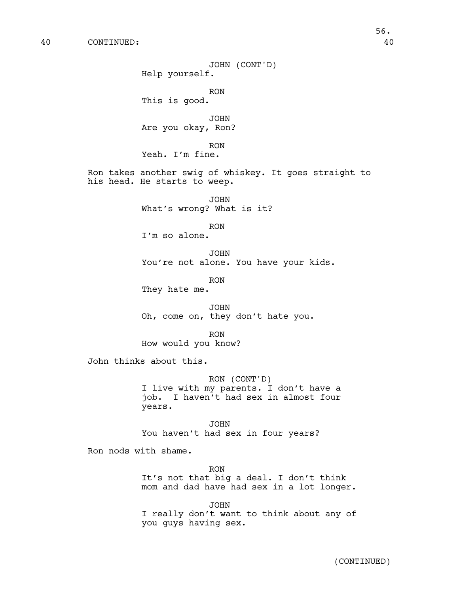40 CONTINUED: 40

JOHN (CONT'D) Help yourself. RON This is good. JOHN Are you okay, Ron? RON Yeah. I'm fine. Ron takes another swig of whiskey. It goes straight to his head. He starts to weep. JOHN What's wrong? What is it? RON I'm so alone. JOHN You're not alone. You have your kids. RON They hate me. JOHN Oh, come on, they don't hate you. RON How would you know? John thinks about this. RON (CONT'D) I live with my parents. I don't have a job. I haven't had sex in almost four years. JOHN You haven't had sex in four years? Ron nods with shame. RON It's not that big a deal. I don't think mom and dad have had sex in a lot longer. JOHN

> I really don't want to think about any of you guys having sex.

56.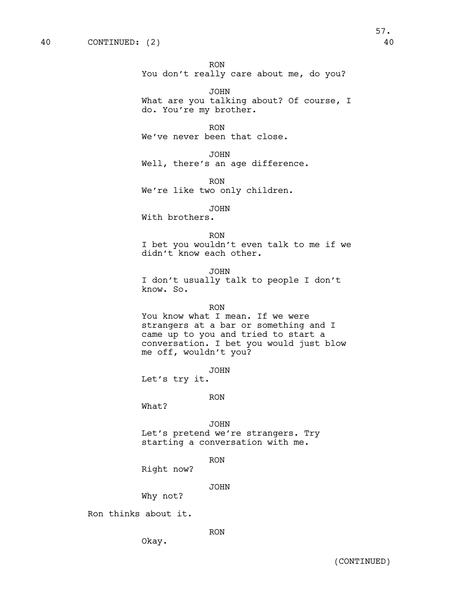RON You don't really care about me, do you?

JOHN What are you talking about? Of course, I do. You're my brother.

RON We've never been that close.

JOHN Well, there's an age difference.

RON We're like two only children.

JOHN

With brothers.

RON

I bet you wouldn't even talk to me if we didn't know each other.

JOHN I don't usually talk to people I don't know. So.

# RON

You know what I mean. If we were strangers at a bar or something and I came up to you and tried to start a conversation. I bet you would just blow me off, wouldn't you?

JOHN

Let's try it.

RON

What?

# JOHN

Let's pretend we're strangers. Try starting a conversation with me.

RON

Right now?

JOHN

Why not?

Okay.

Ron thinks about it.

RON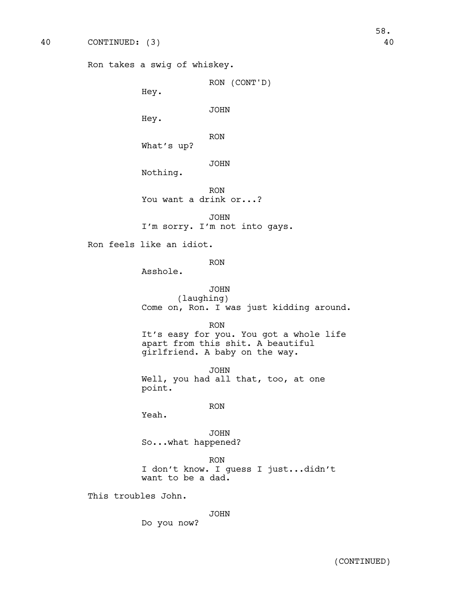```
Ron takes a swig of whiskey.
```
RON (CONT'D)

Hey.

JOHN

Hey.

RON

What's up?

JOHN

Nothing.

RON You want a drink or...?

JOHN I'm sorry. I'm not into gays.

Ron feels like an idiot.

RON

Asshole.

# JOHN (laughing) Come on, Ron. I was just kidding around.

RON

It's easy for you. You got a whole life apart from this shit. A beautiful girlfriend. A baby on the way.

JOHN Well, you had all that, too, at one point.

RON

Yeah.

JOHN So...what happened?

RON I don't know. I guess I just...didn't want to be a dad.

This troubles John.

JOHN

Do you now?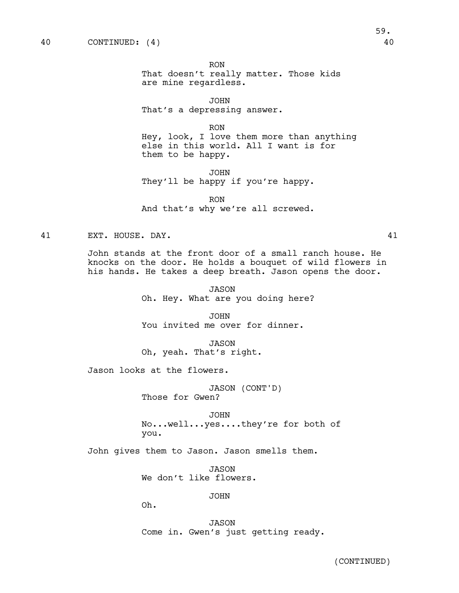RON That doesn't really matter. Those kids are mine regardless.

JOHN That's a depressing answer.

RON Hey, look, I love them more than anything else in this world. All I want is for them to be happy.

JOHN They'll be happy if you're happy.

RON And that's why we're all screwed.

41 EXT. HOUSE. DAY. 41

John stands at the front door of a small ranch house. He knocks on the door. He holds a bouquet of wild flowers in his hands. He takes a deep breath. Jason opens the door.

> JASON Oh. Hey. What are you doing here?

JOHN You invited me over for dinner.

JASON Oh, yeah. That's right.

Jason looks at the flowers.

JASON (CONT'D) Those for Gwen?

JOHN No...well...yes....they're for both of you.

John gives them to Jason. Jason smells them.

JASON We don't like flowers.

JOHN

Oh.

JASON Come in. Gwen's just getting ready.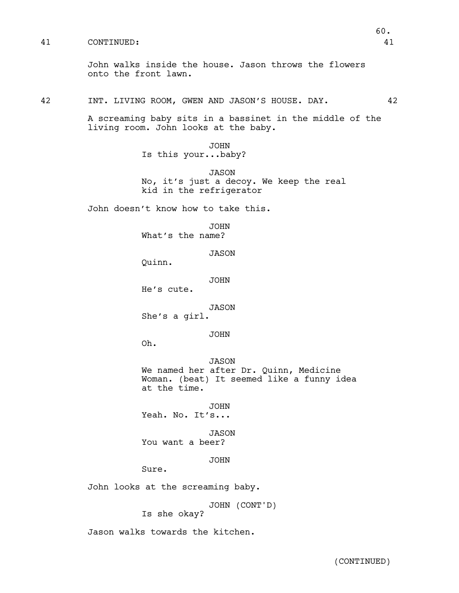# 41 CONTINUED: 41

42 INT. LIVING ROOM, GWEN AND JASON'S HOUSE. DAY. 42

A screaming baby sits in a bassinet in the middle of the living room. John looks at the baby.

> JOHN Is this your...baby?

JASON No, it's just a decoy. We keep the real kid in the refrigerator

John doesn't know how to take this.

JOHN What's the name?

JASON

Quinn.

JOHN

He's cute.

JASON

She's a girl.

JOHN

Oh.

JASON We named her after Dr. Quinn, Medicine Woman. (beat) It seemed like a funny idea at the time.

JOHN Yeah. No. It's...

JASON You want a beer?

JOHN

Sure.

John looks at the screaming baby.

JOHN (CONT'D)

Is she okay?

Jason walks towards the kitchen.

60.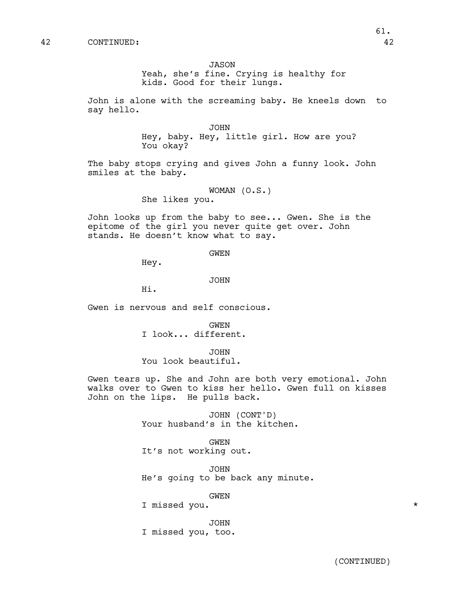#### JASON

Yeah, she's fine. Crying is healthy for kids. Good for their lungs.

John is alone with the screaming baby. He kneels down to say hello.

> JOHN Hey, baby. Hey, little girl. How are you? You okay?

The baby stops crying and gives John a funny look. John smiles at the baby.

> WOMAN (O.S.) She likes you.

John looks up from the baby to see... Gwen. She is the epitome of the girl you never quite get over. John stands. He doesn't know what to say.

### GWEN

Hey.

#### JOHN

Hi.

Gwen is nervous and self conscious.

GWEN I look... different.

JOHN

You look beautiful.

Gwen tears up. She and John are both very emotional. John walks over to Gwen to kiss her hello. Gwen full on kisses John on the lips. He pulls back.

> JOHN (CONT'D) Your husband's in the kitchen.

GWEN It's not working out.

JOHN He's going to be back any minute.

GWEN

I missed you. \*

JOHN I missed you, too.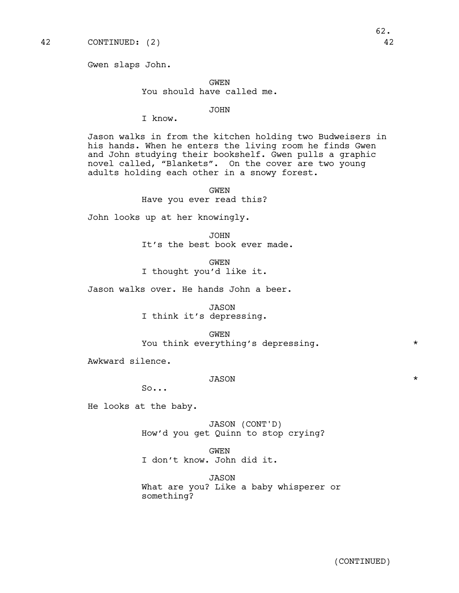Gwen slaps John.

GWEN You should have called me.

# JOHN

I know.

Jason walks in from the kitchen holding two Budweisers in his hands. When he enters the living room he finds Gwen and John studying their bookshelf. Gwen pulls a graphic novel called, "Blankets". On the cover are two young adults holding each other in a snowy forest.

> GWEN Have you ever read this?

John looks up at her knowingly.

JOHN It's the best book ever made.

GWEN I thought you'd like it.

Jason walks over. He hands John a beer.

JASON I think it's depressing.

GWEN You think everything's depressing.  $*$ 

Awkward silence.

# JASON \*

So...

He looks at the baby.

JASON (CONT'D) How'd you get Quinn to stop crying?

GWEN I don't know. John did it.

JASON What are you? Like a baby whisperer or something?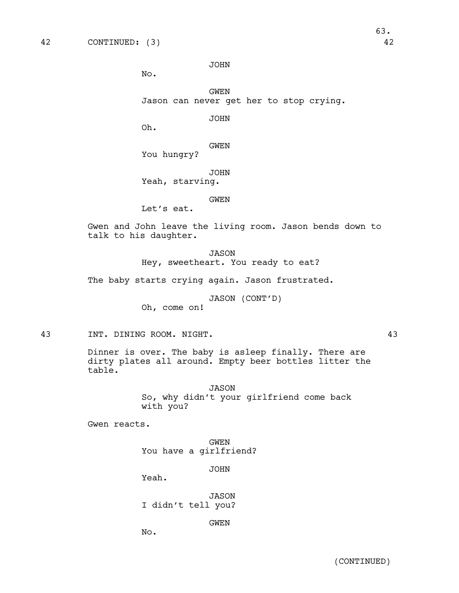JOHN

No.

GWEN Jason can never get her to stop crying.

JOHN

Oh.

GWEN

You hungry?

JOHN Yeah, starving.

GWEN

Let's eat.

Gwen and John leave the living room. Jason bends down to talk to his daughter.

> JASON Hey, sweetheart. You ready to eat?

The baby starts crying again. Jason frustrated.

JASON (CONT'D)

Oh, come on!

43 INT. DINING ROOM. NIGHT. 43

Dinner is over. The baby is asleep finally. There are dirty plates all around. Empty beer bottles litter the table.

> JASON So, why didn't your girlfriend come back with you?

Gwen reacts.

GWEN You have a girlfriend?

JOHN

Yeah.

JASON I didn't tell you?

GWEN

No.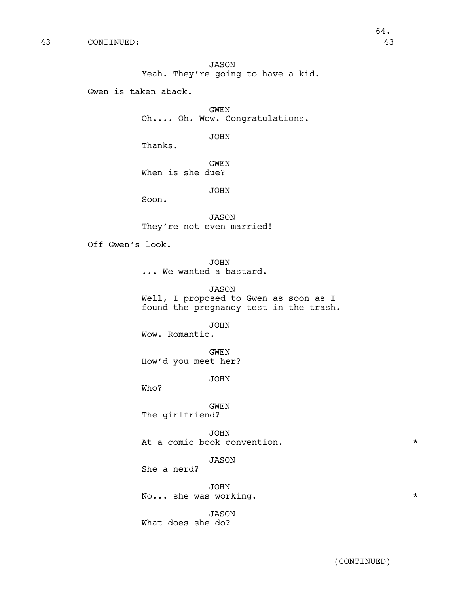JASON Yeah. They're going to have a kid.

Gwen is taken aback.

GWEN Oh.... Oh. Wow. Congratulations.

JOHN

Thanks.

GWEN

When is she due?

JOHN

Soon.

JASON They're not even married!

Off Gwen's look.

JOHN ... We wanted a bastard.

JASON Well, I proposed to Gwen as soon as I

found the pregnancy test in the trash.

JOHN

Wow. Romantic.

GWEN How'd you meet her?

JOHN

Who?

GWEN The girlfriend?

JOHN At a comic book convention.

JASON

She a nerd?

JOHN No... she was working.  $*$ 

JASON What does she do?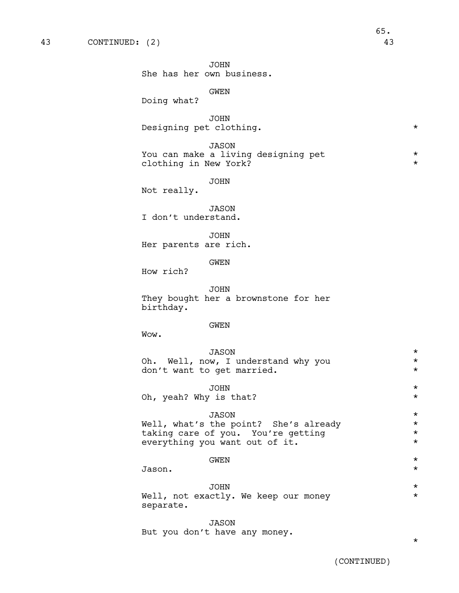JOHN She has her own business.

GWEN

Doing what?

JOHN Designing pet clothing. \*

JASON You can make a living designing pet  $*$ clothing in New York? \*

JOHN

Not really.

JASON I don't understand.

JOHN Her parents are rich.

GWEN

How rich?

JOHN They bought her a brownstone for her birthday.

# GWEN

Wow.

JASON \* Oh. Well, now, I understand why you  $\star$ <br>don't want to get married. don't want to get married.

JOHN \* Oh, yeah? Why is that?  $*$ 

# JASON \*

Well, what's the point? She's already \* taking care of you. You're getting  $\star$ <br>everything you want out of it. everything you want out of it.

# $\overrightarrow{GWEN}$  \*

Jason. \*

# JOHN \*

Well, not exactly. We keep our money \* separate.

JASON But you don't have any money.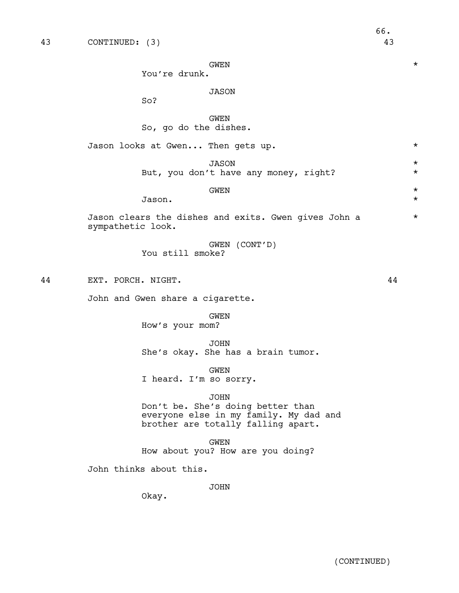$\overrightarrow{GWEN}$  \*

You're drunk.

# JASON

So?

GWEN So, go do the dishes.

Jason looks at Gwen... Then gets up. \* JASON \* But, you don't have any money, right? \*

 $\overrightarrow{GWEN}$  \*

Jason. \*

Jason clears the dishes and exits. Gwen gives John a \* sympathetic look.

> GWEN (CONT'D) You still smoke?

44 EXT. PORCH. NIGHT. 44

John and Gwen share a cigarette.

GWEN How's your mom?

JOHN She's okay. She has a brain tumor.

GWEN I heard. I'm so sorry.

#### JOHN

Don't be. She's doing better than everyone else in my family. My dad and brother are totally falling apart.

GWEN How about you? How are you doing?

John thinks about this.

JOHN

Okay.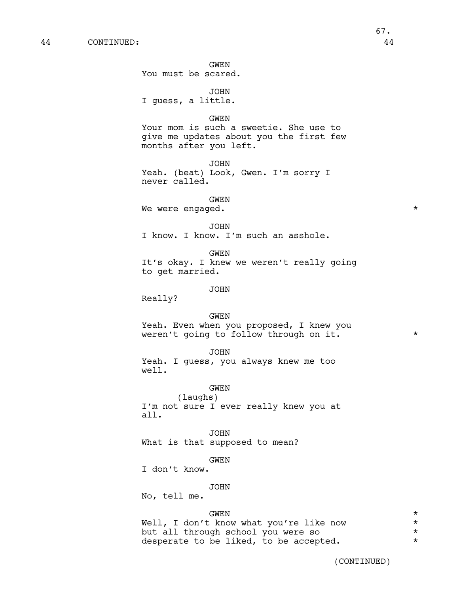GWEN You must be scared.

JOHN I guess, a little.

# GWEN Your mom is such a sweetie. She use to give me updates about you the first few months after you left.

JOHN Yeah. (beat) Look, Gwen. I'm sorry I never called.

GWEN

We were engaged.  $*$ 

#### JOHN

I know. I know. I'm such an asshole.

**GWEN** 

It's okay. I knew we weren't really going to get married.

### JOHN

Really?

#### GWEN

Yeah. Even when you proposed, I knew you weren't going to follow through on it.  $*$ 

#### JOHN

Yeah. I guess, you always knew me too well.

# GWEN

(laughs) I'm not sure I ever really knew you at all.

# JOHN

What is that supposed to mean?

#### GWEN

I don't know.

#### JOHN

No, tell me.

# $\overrightarrow{GWEN}$  \*

Well, I don't know what you're like now \* but all through school you were so  $*$ <br>desperate to be liked, to be accepted. desperate to be liked, to be accepted.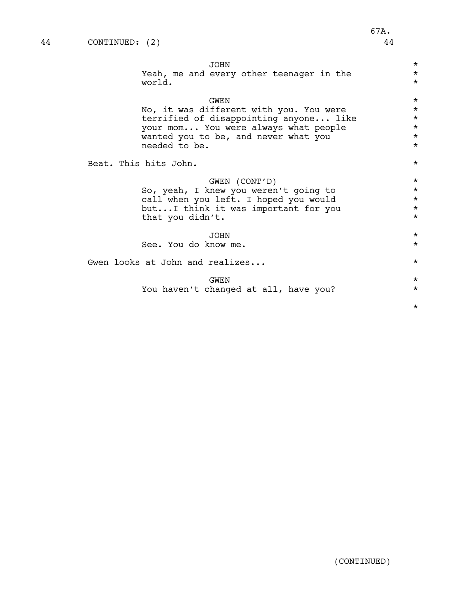| <b>JOHN</b><br>Yeah, me and every other teenager in the                      | $\star$<br>$\star$ |  |  |  |
|------------------------------------------------------------------------------|--------------------|--|--|--|
| world.                                                                       | $\star$            |  |  |  |
| <b>GWEN</b>                                                                  | $\star$            |  |  |  |
| No, it was different with you. You were                                      | $\star$            |  |  |  |
| terrified of disappointing anyone like                                       | $\star$<br>$\star$ |  |  |  |
| your mom You were always what people<br>wanted you to be, and never what you | $\star$            |  |  |  |
| needed to be.                                                                | $\star$            |  |  |  |
|                                                                              |                    |  |  |  |
| Beat. This hits John.                                                        | $\star$            |  |  |  |
|                                                                              |                    |  |  |  |
| GWEN (CONT'D)<br>So, yeah, I knew you weren't going to                       | $\star$<br>$\star$ |  |  |  |
| call when you left. I hoped you would                                        | $\star$            |  |  |  |
| butI think it was important for you                                          | $\star$            |  |  |  |
| that you didn't.                                                             | $\star$            |  |  |  |
|                                                                              |                    |  |  |  |
| <b>JOHN</b>                                                                  | $\star$            |  |  |  |
| See. You do know me.                                                         | $\star$            |  |  |  |
| Gwen looks at John and realizes                                              |                    |  |  |  |
| <b>GWEN</b>                                                                  | $\star$            |  |  |  |
| You haven't changed at all, have you?                                        | $\star$            |  |  |  |
|                                                                              |                    |  |  |  |
|                                                                              | $\star$            |  |  |  |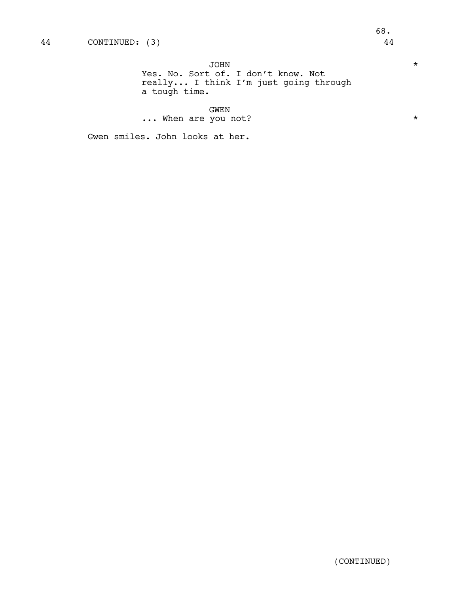JOHN \*

Yes. No. Sort of. I don't know. Not really... I think I'm just going through a tough time.

GWEN

... When are you not?  $\star$ 

Gwen smiles. John looks at her.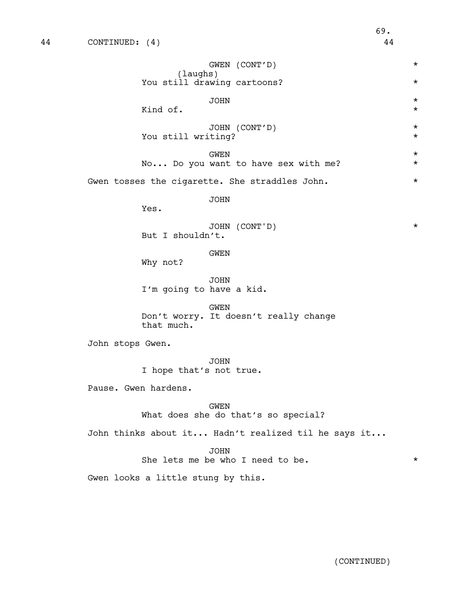GWEN (CONT'D) \* (laughs) You still drawing cartoons? \* JOHN \* Kind of  $\star$ JOHN (CONT'D) \* You still writing?  $*$  $\overrightarrow{GWEN}$  \* No... Do you want to have sex with me?  $*$ Gwen tosses the cigarette. She straddles John. \* JOHN Yes. JOHN (CONT'D) \* But I shouldn't. GWEN Why not? JOHN I'm going to have a kid. GWEN Don't worry. It doesn't really change that much. John stops Gwen. JOHN I hope that's not true. Pause. Gwen hardens. GWEN What does she do that's so special? John thinks about it... Hadn't realized til he says it... JOHN She lets me be who I need to be.  $*$ Gwen looks a little stung by this.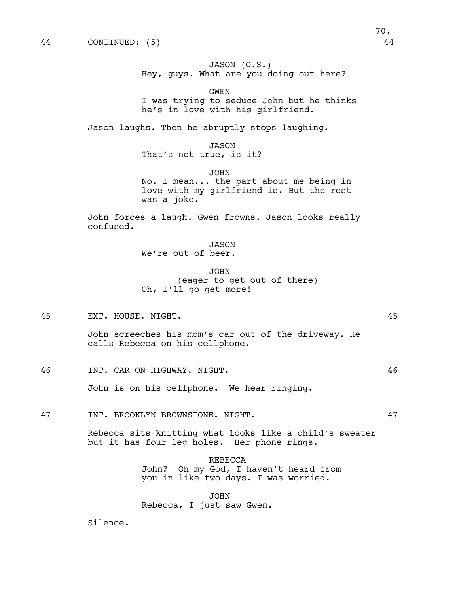JASON (O.S.) Hey, guys. What are you doing out here?

GWEN I was trying to seduce John but he thinks he's in love with his girlfriend.

Jason laughs. Then he abruptly stops laughing.

JASON

That's not true, is it?

JOHN No. I mean... the part about me being in love with my girlfriend is. But the rest was a joke.

John forces a laugh. Gwen frowns. Jason looks really confused.

JASON

We're out of beer.

JOHN (eager to get out of there) Oh, I'll go get more!

45 EXT. HOUSE. NIGHT. 45

John screeches his mom's car out of the driveway. He calls Rebecca on his cellphone.

46 INT. CAR ON HIGHWAY. NIGHT. 46

John is on his cellphone. We hear ringing.

47 INT. BROOKLYN BROWNSTONE. NIGHT. 47

Rebecca sits knitting what looks like a child's sweater but it has four leg holes. Her phone rings.

> REBECCA John? Oh my God, I haven't heard from you in like two days. I was worried.

JOHN Rebecca, I just saw Gwen.

Silence.

70.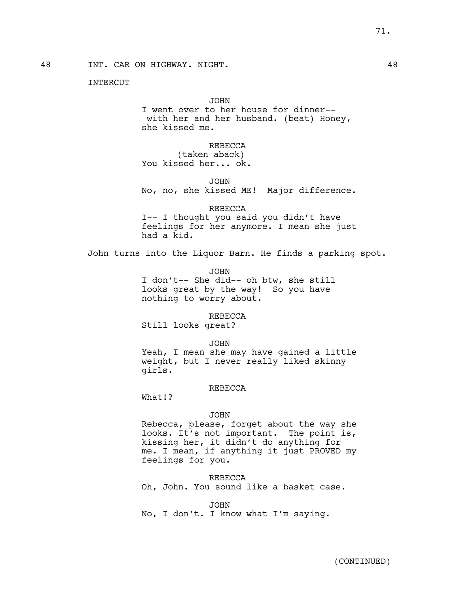48 INT. CAR ON HIGHWAY. NIGHT. 48

INTERCUT

JOHN

I went over to her house for dinner- with her and her husband. (beat) Honey, she kissed me.

REBECCA

(taken aback) You kissed her... ok.

JOHN No, no, she kissed ME! Major difference.

REBECCA

I-- I thought you said you didn't have feelings for her anymore. I mean she just had a kid.

John turns into the Liquor Barn. He finds a parking spot.

JOHN I don't-- She did-- oh btw, she still looks great by the way! So you have nothing to worry about.

REBECCA

Still looks great?

JOHN

Yeah, I mean she may have gained a little weight, but I never really liked skinny girls.

### REBECCA

What!?

### JOHN

Rebecca, please, forget about the way she looks. It's not important. The point is, kissing her, it didn't do anything for me. I mean, if anything it just PROVED my feelings for you.

REBECCA

Oh, John. You sound like a basket case.

JOHN

No, I don't. I know what I'm saying.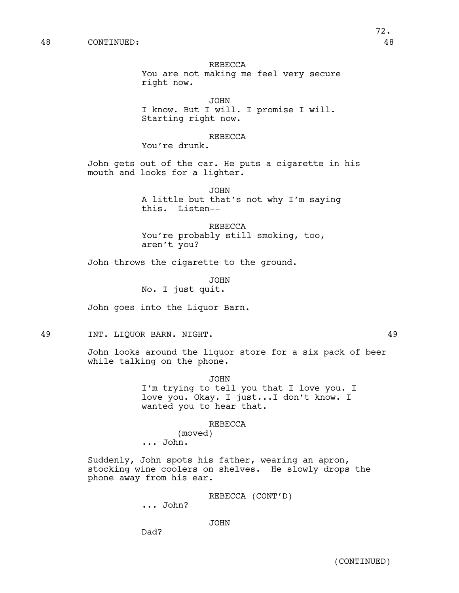REBECCA You are not making me feel very secure right now.

JOHN I know. But I will. I promise I will. Starting right now.

## REBECCA

You're drunk.

John gets out of the car. He puts a cigarette in his mouth and looks for a lighter.

> JOHN A little but that's not why I'm saying this. Listen--

REBECCA You're probably still smoking, too, aren't you?

John throws the cigarette to the ground.

JOHN No. I just quit.

John goes into the Liquor Barn.

49 INT. LIQUOR BARN. NIGHT. 49

John looks around the liquor store for a six pack of beer while talking on the phone.

JOHN

I'm trying to tell you that I love you. I love you. Okay. I just...I don't know. I wanted you to hear that.

### REBECCA

(moved)

... John.

Suddenly, John spots his father, wearing an apron, stocking wine coolers on shelves. He slowly drops the phone away from his ear.

REBECCA (CONT'D)

... John?

JOHN

Dad?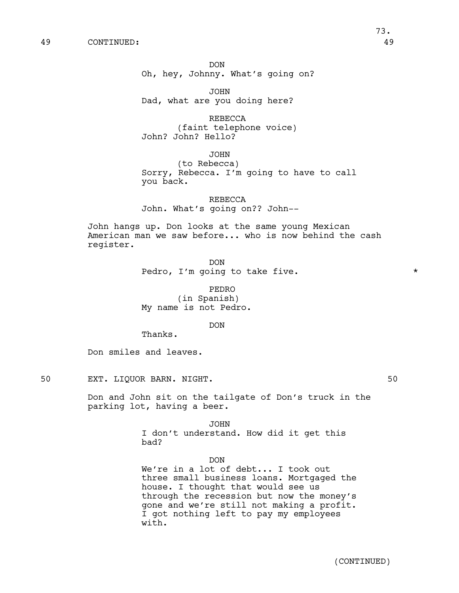DON Oh, hey, Johnny. What's going on?

JOHN Dad, what are you doing here?

REBECCA (faint telephone voice) John? John? Hello?

JOHN

(to Rebecca) Sorry, Rebecca. I'm going to have to call you back.

REBECCA John. What's going on?? John--

John hangs up. Don looks at the same young Mexican American man we saw before... who is now behind the cash register.

> DON Pedro, I'm going to take five.  $*$

PEDRO (in Spanish) My name is not Pedro.

DON

Thanks.

Don smiles and leaves.

50 EXT. LIQUOR BARN. NIGHT. **50** 

Don and John sit on the tailgate of Don's truck in the parking lot, having a beer.

> JOHN I don't understand. How did it get this bad?

> > DON

We're in a lot of debt... I took out three small business loans. Mortgaged the house. I thought that would see us through the recession but now the money's gone and we're still not making a profit. I got nothing left to pay my employees with.

73.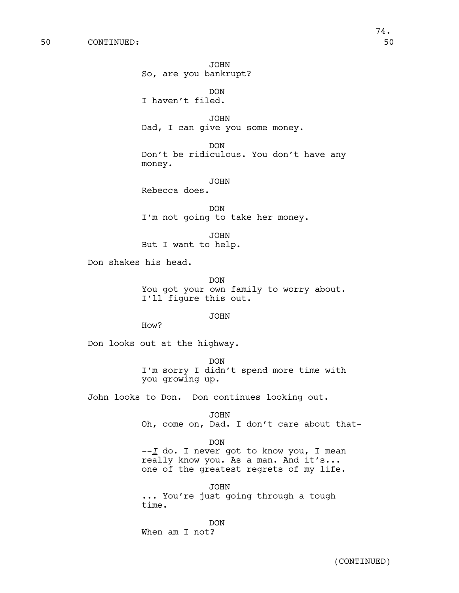JOHN So, are you bankrupt?

DON I haven't filed.

JOHN Dad, I can give you some money.

DON Don't be ridiculous. You don't have any money.

JOHN

Rebecca does.

DON I'm not going to take her money.

JOHN But I want to help.

Don shakes his head.

DON You got your own family to worry about. I'll figure this out.

JOHN

How?

Don looks out at the highway.

DON I'm sorry I didn't spend more time with you growing up.

John looks to Don. Don continues looking out.

JOHN Oh, come on, Dad. I don't care about that-

DON

--*I* do. I never got to know you, I mean really know you. As a man. And it's... one of the greatest regrets of my life.

JOHN ... You're just going through a tough time.

DON When am I not?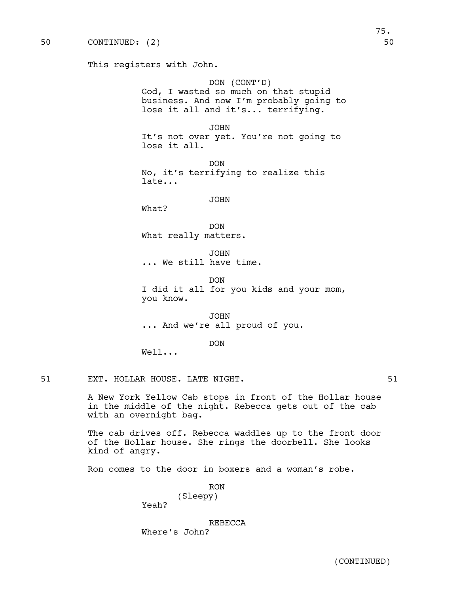This registers with John.

DON (CONT'D) God, I wasted so much on that stupid business. And now I'm probably going to lose it all and it's... terrifying.

JOHN It's not over yet. You're not going to lose it all.

DON No, it's terrifying to realize this late...

### JOHN

What?

DON What really matters.

JOHN ... We still have time.

DON I did it all for you kids and your mom, you know.

JOHN ... And we're all proud of you.

DON

Well...

51 EXT. HOLLAR HOUSE. LATE NIGHT. THE SERIES OF STRAINING STRAINING STRAINING STRAINING STRAINING STRAINING ST

A New York Yellow Cab stops in front of the Hollar house in the middle of the night. Rebecca gets out of the cab with an overnight bag.

The cab drives off. Rebecca waddles up to the front door of the Hollar house. She rings the doorbell. She looks kind of angry.

Ron comes to the door in boxers and a woman's robe.

RON (Sleepy)

Yeah?

REBECCA

Where's John?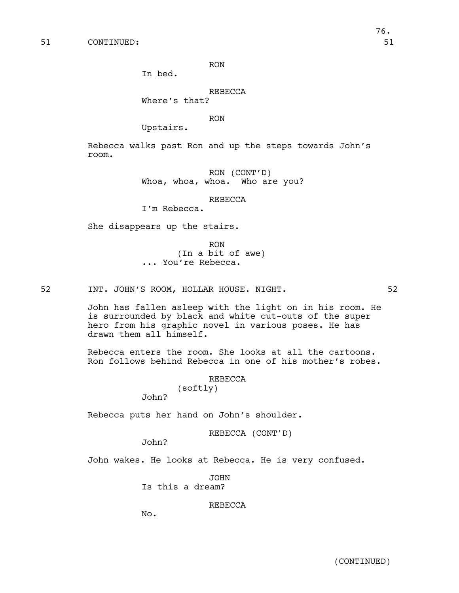RON

In bed.

## REBECCA

Where's that?

RON

Upstairs.

Rebecca walks past Ron and up the steps towards John's room.

> RON (CONT'D) Whoa, whoa, whoa. Who are you?

> > REBECCA

I'm Rebecca.

She disappears up the stairs.

RON (In a bit of awe) ... You're Rebecca.

52 INT. JOHN'S ROOM, HOLLAR HOUSE. NIGHT. 52

John has fallen asleep with the light on in his room. He is surrounded by black and white cut-outs of the super hero from his graphic novel in various poses. He has drawn them all himself.

Rebecca enters the room. She looks at all the cartoons. Ron follows behind Rebecca in one of his mother's robes.

REBECCA

(softly)

John?

Rebecca puts her hand on John's shoulder.

REBECCA (CONT'D)

John?

John wakes. He looks at Rebecca. He is very confused.

JOHN Is this a dream?

REBECCA

No.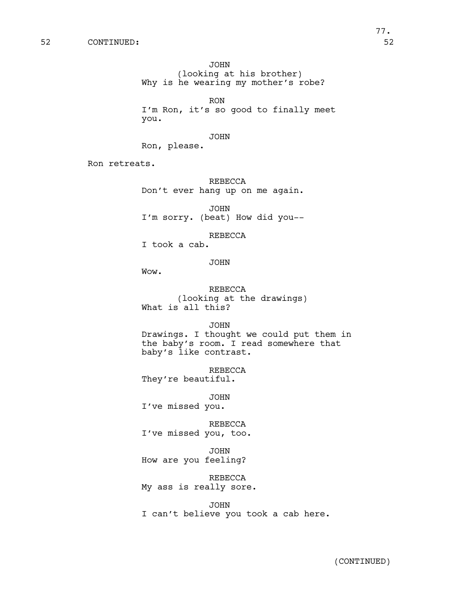JOHN (looking at his brother) Why is he wearing my mother's robe?

RON I'm Ron, it's so good to finally meet you.

JOHN

Ron, please.

Ron retreats.

REBECCA Don't ever hang up on me again.

JOHN I'm sorry. (beat) How did you--

REBECCA

I took a cab.

JOHN

Wow.

REBECCA (looking at the drawings) What is all this?

JOHN

Drawings. I thought we could put them in the baby's room. I read somewhere that baby's like contrast.

REBECCA They're beautiful.

JOHN I've missed you.

REBECCA I've missed you, too.

JOHN How are you feeling?

REBECCA My ass is really sore.

JOHN I can't believe you took a cab here.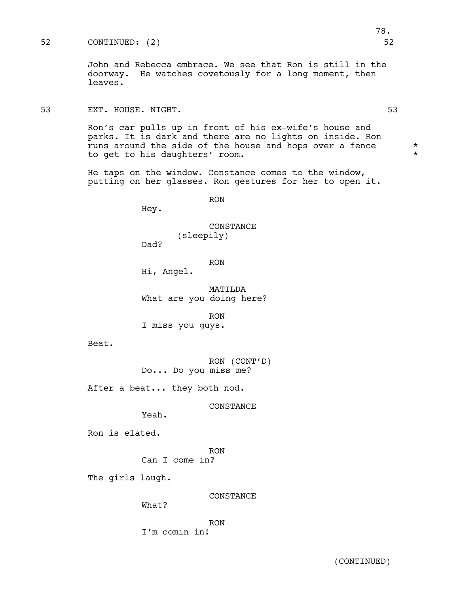## 52 CONTINUED: (2) 52

John and Rebecca embrace. We see that Ron is still in the doorway. He watches covetously for a long moment, then leaves.

## 53 EXT. HOUSE. NIGHT. 53

Ron's car pulls up in front of his ex-wife's house and parks. It is dark and there are no lights on inside. Ron runs around the side of the house and hops over a fence  $*$ to get to his daughters' room.

He taps on the window. Constance comes to the window, putting on her glasses. Ron gestures for her to open it.

RON

Hey.

CONSTANCE (sleepily)

Dad?

RON

Hi, Angel.

MATILDA What are you doing here?

RON

I miss you guys.

Beat.

RON (CONT'D) Do... Do you miss me?

After a beat... they both nod.

CONSTANCE

Yeah.

Ron is elated.

RON Can I come in?

The girls laugh.

CONSTANCE

What?

RON

I'm comin in!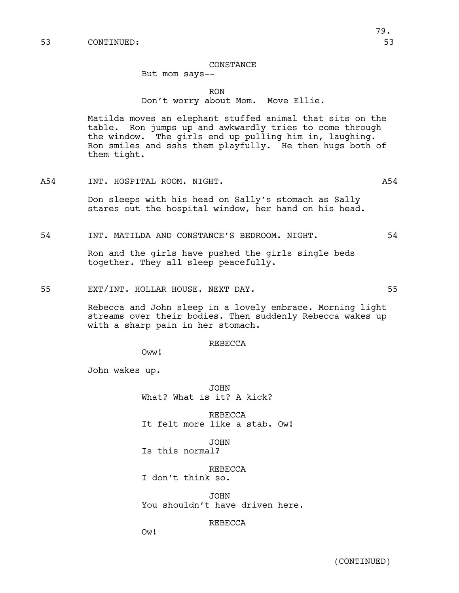### CONSTANCE

## But mom says--

## RON Don't worry about Mom. Move Ellie.

Matilda moves an elephant stuffed animal that sits on the table. Ron jumps up and awkwardly tries to come through the window. The girls end up pulling him in, laughing. Ron smiles and sshs them playfully. He then hugs both of them tight.

A54 INT. HOSPITAL ROOM. NIGHT. A54

Don sleeps with his head on Sally's stomach as Sally stares out the hospital window, her hand on his head.

54 INT. MATILDA AND CONSTANCE'S BEDROOM. NIGHT. 54

Ron and the girls have pushed the girls single beds together. They all sleep peacefully.

55 EXT/INT. HOLLAR HOUSE. NEXT DAY. 55

Rebecca and John sleep in a lovely embrace. Morning light streams over their bodies. Then suddenly Rebecca wakes up with a sharp pain in her stomach.

### REBECCA

Oww!

John wakes up.

JOHN What? What is it? A kick?

REBECCA It felt more like a stab. Ow!

JOHN

Is this normal?

REBECCA I don't think so.

JOHN You shouldn't have driven here.

REBECCA

Ow!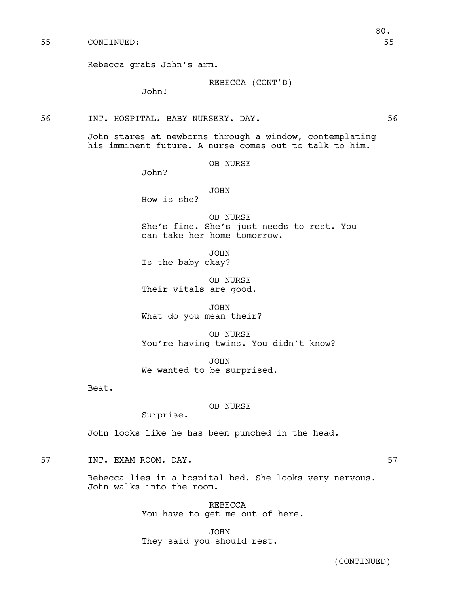REBECCA (CONT'D)

John!

56 INT. HOSPITAL. BABY NURSERY. DAY. 56

John stares at newborns through a window, contemplating his imminent future. A nurse comes out to talk to him.

OB NURSE

John?

JOHN

How is she?

OB NURSE She's fine. She's just needs to rest. You can take her home tomorrow.

JOHN Is the baby okay?

OB NURSE Their vitals are good.

JOHN What do you mean their?

OB NURSE You're having twins. You didn't know?

JOHN We wanted to be surprised.

Beat.

### OB NURSE

Surprise.

John looks like he has been punched in the head.

57 INT. EXAM ROOM. DAY. 57

Rebecca lies in a hospital bed. She looks very nervous. John walks into the room.

> REBECCA You have to get me out of here.

JOHN They said you should rest. 80.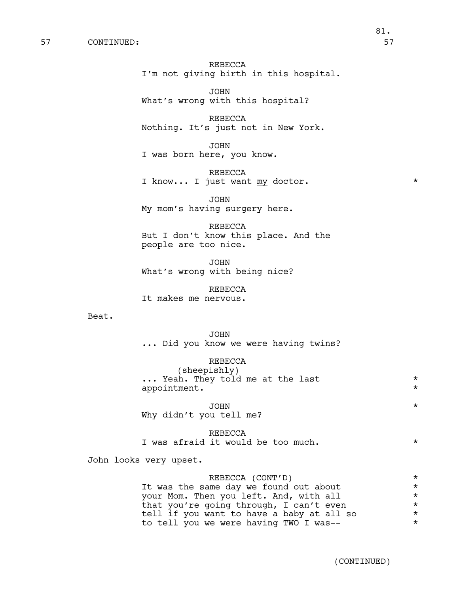## REBECCA I'm not giving birth in this hospital.

JOHN What's wrong with this hospital?

REBECCA Nothing. It's just not in New York.

JOHN

I was born here, you know.

REBECCA I know... I just want  $\underline{my}$  doctor. \*

JOHN My mom's having surgery here.

REBECCA But I don't know this place. And the people are too nice.

JOHN What's wrong with being nice?

REBECCA It makes me nervous.

Beat.

JOHN ... Did you know we were having twins?

REBECCA (sheepishly) ... Yeah. They told me at the last  $*$ appointment.  $*$ 

JOHN \* Why didn't you tell me?

REBECCA I was afraid it would be too much.  $*$ 

John looks very upset.

REBECCA (CONT'D) \* It was the same day we found out about \*\* your Mom. Then you left. And, with all \* that you're going through, I can't even  $*$ tell if you want to have a baby at all so  $*$ <br>to tell you we were having TWO I was-to tell you we were having TWO I was-- \*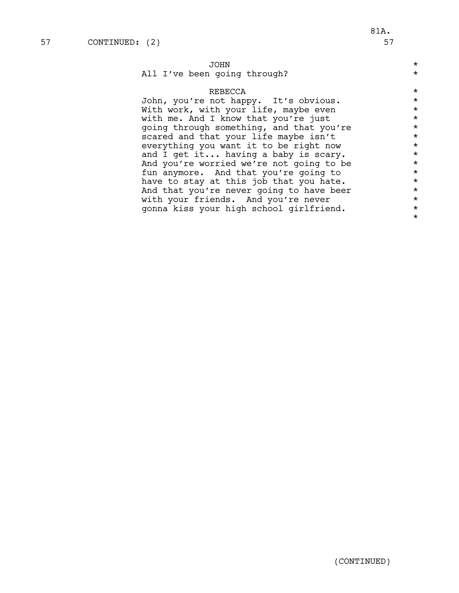\*

## JOHN \*

## All I've been going through?  $*$

## REBECCA \*

John, you're not happy. It's obvious.<br>With work, with your life, maybe even \*\* With work, with your life, maybe even with me. And I know that you're just  $*$ <br>going through something, and that you're  $*$ going through something, and that you're  $*$ <br>scared and that your life maybe isn't scared and that your life maybe isn't<br>everything you want it to be right now  $*$ everything you want it to be right now  $*$ and I get it... having a baby is scary.  $*$ And you're worried we're not going to be  $*$ <br>fun anymore. And that you're going to  $*$ fun anymore. And that you're going to  $*$ <br>have to stay at this job that you hate. have to stay at this job that you hate.  $*$ And that you're never going to have beer  $*$ with your friends. And you're never  $*$ <br>sonna kiss your high school girlfriend. gonna kiss your high school girlfriend. \*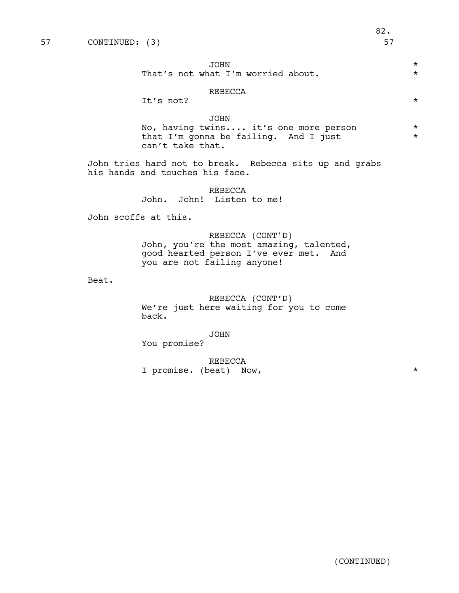(CONTINUED)

## JOHN \*

That's not what I'm worried about. \* \*

## REBECCA

It's not?  $\star$ 

## JOHN

No, having twins.... it's one more person \* that I'm gonna be failing. And I just  $*$ can't take that.

John tries hard not to break. Rebecca sits up and grabs his hands and touches his face.

## REBECCA John. John! Listen to me!

John scoffs at this.

REBECCA (CONT'D) John, you're the most amazing, talented, good hearted person I've ever met. And you are not failing anyone!

Beat.

REBECCA (CONT'D) We're just here waiting for you to come back.

JOHN

You promise?

REBECCA I promise. (beat) Now,  $*$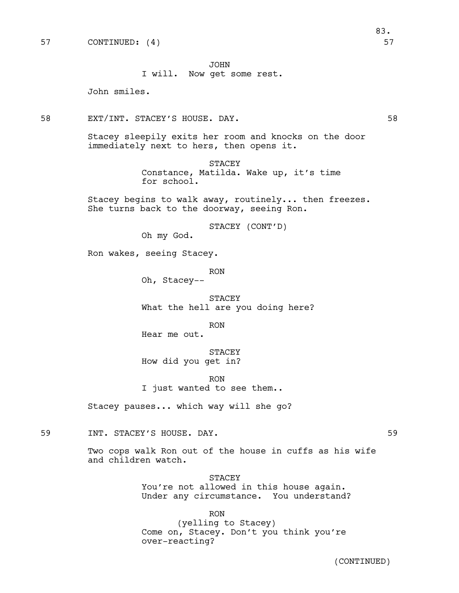JOHN

I will. Now get some rest.

John smiles.

58 EXT/INT. STACEY'S HOUSE. DAY. 58

Stacey sleepily exits her room and knocks on the door immediately next to hers, then opens it.

> STACEY Constance, Matilda. Wake up, it's time for school.

Stacey begins to walk away, routinely... then freezes. She turns back to the doorway, seeing Ron.

STACEY (CONT'D)

Oh my God.

Ron wakes, seeing Stacey.

RON Oh, Stacey--

STACEY What the hell are you doing here?

RON

Hear me out.

STACEY How did you get in?

RON I just wanted to see them..

Stacey pauses... which way will she go?

59 INT. STACEY'S HOUSE. DAY. 59

Two cops walk Ron out of the house in cuffs as his wife and children watch.

> STACEY You're not allowed in this house again. Under any circumstance. You understand?

RON (yelling to Stacey) Come on, Stacey. Don't you think you're over-reacting?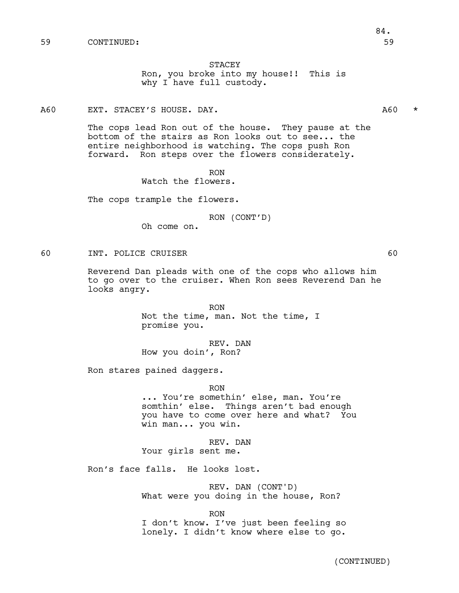### STACEY

Ron, you broke into my house!! This is why I have full custody.

### A60 EXT. STACEY'S HOUSE. DAY. The contract of the contract of the contract of the contract of the contract of the contract of the contract of the contract of the contract of the contract of the contract of the contract of

The cops lead Ron out of the house. They pause at the bottom of the stairs as Ron looks out to see... the entire neighborhood is watching. The cops push Ron forward. Ron steps over the flowers considerately.

RON

Watch the flowers.

The cops trample the flowers.

RON (CONT'D)

Oh come on.

### 60 INT. POLICE CRUISER 60

Reverend Dan pleads with one of the cops who allows him to go over to the cruiser. When Ron sees Reverend Dan he looks angry.

> RON Not the time, man. Not the time, I promise you.

REV. DAN How you doin', Ron?

Ron stares pained daggers.

RON ... You're somethin' else, man. You're somthin' else. Things aren't bad enough you have to come over here and what? You win man... you win.

REV. DAN Your girls sent me.

Ron's face falls. He looks lost.

REV. DAN (CONT'D) What were you doing in the house, Ron?

RON I don't know. I've just been feeling so lonely. I didn't know where else to go.

(CONTINUED)

# 84.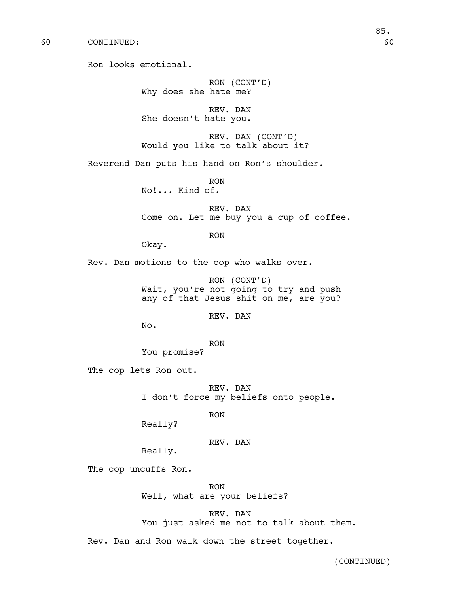60 CONTINUED: 60

Ron looks emotional.

RON (CONT'D) Why does she hate me?

REV. DAN She doesn't hate you.

REV. DAN (CONT'D) Would you like to talk about it?

Reverend Dan puts his hand on Ron's shoulder.

RON No!... Kind of.

REV. DAN Come on. Let me buy you a cup of coffee.

RON

Okay.

Rev. Dan motions to the cop who walks over.

RON (CONT'D) Wait, you're not going to try and push any of that Jesus shit on me, are you?

REV. DAN

No.

RON

You promise?

The cop lets Ron out.

REV. DAN I don't force my beliefs onto people.

RON

Really?

REV. DAN

Really.

The cop uncuffs Ron.

RON Well, what are your beliefs?

REV. DAN

You just asked me not to talk about them.

Rev. Dan and Ron walk down the street together.

(CONTINUED)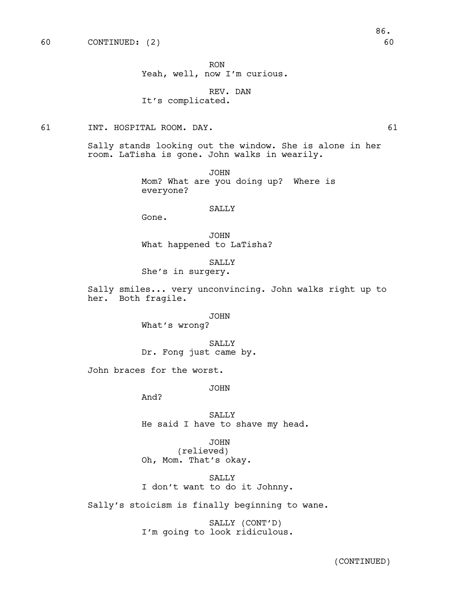RON

Yeah, well, now I'm curious.

REV. DAN It's complicated.

61 INT. HOSPITAL ROOM. DAY. 61

Sally stands looking out the window. She is alone in her room. LaTisha is gone. John walks in wearily.

> JOHN Mom? What are you doing up? Where is everyone?

## SALLY

Gone.

JOHN What happened to LaTisha?

SALLY She's in surgery.

Sally smiles... very unconvincing. John walks right up to her. Both fragile.

### JOHN

What's wrong?

SALLY Dr. Fong just came by.

John braces for the worst.

JOHN

And?

SALLY He said I have to shave my head.

JOHN

(relieved) Oh, Mom. That's okay.

SALLY I don't want to do it Johnny.

Sally's stoicism is finally beginning to wane.

SALLY (CONT'D) I'm going to look ridiculous.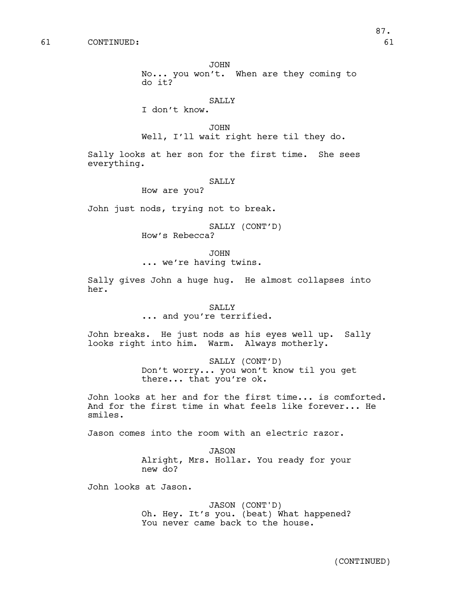JOHN

No... you won't. When are they coming to do it?

### SALLY

I don't know.

JOHN Well, I'll wait right here til they do.

Sally looks at her son for the first time. She sees everything.

### SALLY

How are you?

John just nods, trying not to break.

SALLY (CONT'D)

How's Rebecca?

JOHN

... we're having twins.

Sally gives John a huge hug. He almost collapses into her.

## SALLY ... and you're terrified.

John breaks. He just nods as his eyes well up. Sally looks right into him. Warm. Always motherly.

> SALLY (CONT'D) Don't worry... you won't know til you get there... that you're ok.

John looks at her and for the first time... is comforted. And for the first time in what feels like forever... He smiles.

Jason comes into the room with an electric razor.

JASON Alright, Mrs. Hollar. You ready for your new do?

John looks at Jason.

JASON (CONT'D) Oh. Hey. It's you. (beat) What happened? You never came back to the house.

87.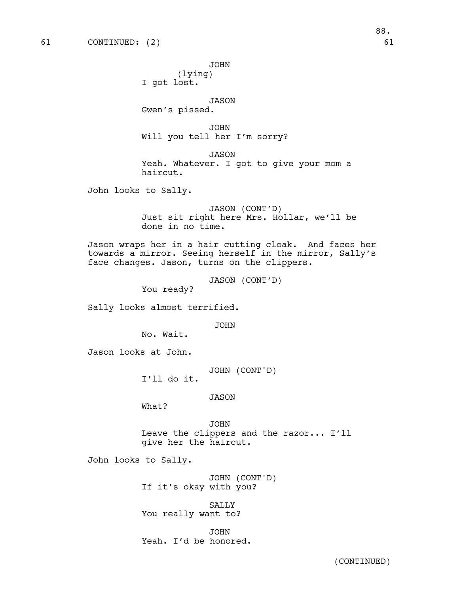JOHN

(lying) I got lost.

JASON

Gwen's pissed.

JOHN Will you tell her I'm sorry?

JASON Yeah. Whatever. I got to give your mom a haircut.

John looks to Sally.

JASON (CONT'D) Just sit right here Mrs. Hollar, we'll be done in no time.

Jason wraps her in a hair cutting cloak. And faces her towards a mirror. Seeing herself in the mirror, Sally's face changes. Jason, turns on the clippers.

JASON (CONT'D)

You ready?

Sally looks almost terrified.

JOHN

No. Wait.

Jason looks at John.

JOHN (CONT'D) I'll do it.

JASON

What?

JOHN Leave the clippers and the razor... I'll give her the haircut.

John looks to Sally.

JOHN (CONT'D) If it's okay with you?

SALLY You really want to?

JOHN Yeah. I'd be honored.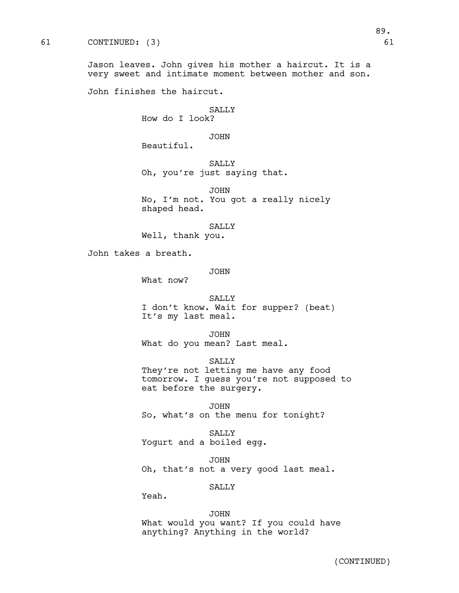Jason leaves. John gives his mother a haircut. It is a very sweet and intimate moment between mother and son.

John finishes the haircut.

### **SALLY** How do I look?

JOHN

Beautiful.

SALLY Oh, you're just saying that.

JOHN No, I'm not. You got a really nicely shaped head.

SALLY Well, thank you.

John takes a breath.

JOHN

What now?

SALLY I don't know. Wait for supper? (beat) It's my last meal.

JOHN What do you mean? Last meal.

SALLY They're not letting me have any food tomorrow. I guess you're not supposed to eat before the surgery.

JOHN So, what's on the menu for tonight?

SALLY Yogurt and a boiled egg.

JOHN Oh, that's not a very good last meal.

SALLY

Yeah.

JOHN What would you want? If you could have anything? Anything in the world?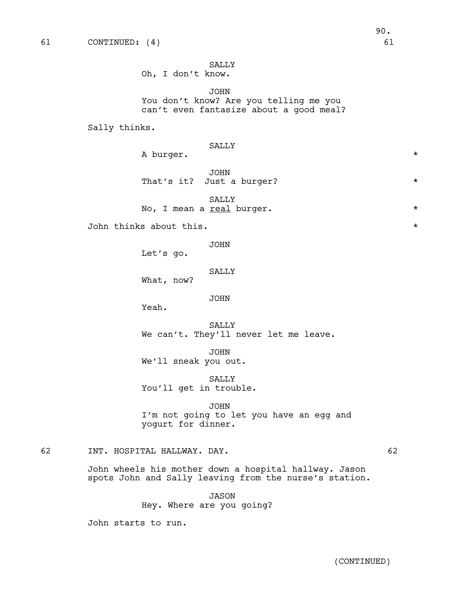SALLY Oh, I don't know.

JOHN You don't know? Are you telling me you can't even fantasize about a good meal?

Sally thinks.

|    |                                                                                                                 | A burger.                 | SALLY                                                   | $^\star$ |
|----|-----------------------------------------------------------------------------------------------------------------|---------------------------|---------------------------------------------------------|----------|
|    |                                                                                                                 | That's it?                | <b>JOHN</b><br>Just a burger?                           | $\star$  |
|    |                                                                                                                 | No, I mean a real burger. | SALLY                                                   | $^\star$ |
|    | John thinks about this.                                                                                         |                           |                                                         |          |
|    |                                                                                                                 | Let's go.                 | <b>JOHN</b>                                             |          |
|    |                                                                                                                 | What, now?                | SALLY                                                   |          |
|    |                                                                                                                 | Yeah.                     | JOHN                                                    |          |
|    |                                                                                                                 |                           | SALLY<br>We can't. They'll never let me leave.          |          |
|    |                                                                                                                 | We'll sneak you out.      | <b>JOHN</b>                                             |          |
|    |                                                                                                                 | You'll get in trouble.    | SALLY                                                   |          |
|    |                                                                                                                 | yogurt for dinner.        | <b>JOHN</b><br>I'm not going to let you have an egg and |          |
| 62 | INT. HOSPITAL HALLWAY. DAY.                                                                                     |                           |                                                         | 62       |
|    | John wheels his mother down a hospital hallway. Jason<br>spots John and Sally leaving from the nurse's station. |                           |                                                         |          |
|    |                                                                                                                 | Hey. Where are you going? | <b>JASON</b>                                            |          |
|    | John starts to run.                                                                                             |                           |                                                         |          |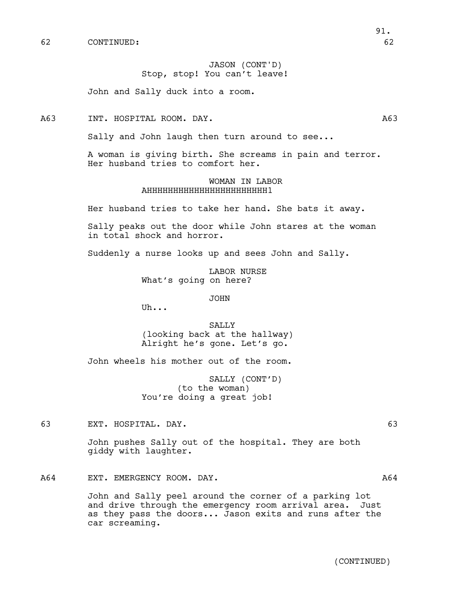JASON (CONT'D) Stop, stop! You can't leave!

John and Sally duck into a room.

A63 INT. HOSPITAL ROOM. DAY. A63

Sally and John laugh then turn around to see...

A woman is giving birth. She screams in pain and terror. Her husband tries to comfort her.

## WOMAN IN LABOR AHHHHHHHHHHHHHHHHHHHHHHH1

Her husband tries to take her hand. She bats it away.

Sally peaks out the door while John stares at the woman in total shock and horror.

Suddenly a nurse looks up and sees John and Sally.

LABOR NURSE What's going on here?

JOHN

Uh...

SALLY (looking back at the hallway) Alright he's gone. Let's go.

John wheels his mother out of the room.

SALLY (CONT'D) (to the woman) You're doing a great job!

63 EXT. HOSPITAL. DAY. 63

John pushes Sally out of the hospital. They are both giddy with laughter.

A64 EXT. EMERGENCY ROOM. DAY. The contract of the contract of the contract of the contract of the contract of the contract of the contract of the contract of the contract of the contract of the contract of the contract of

John and Sally peel around the corner of a parking lot and drive through the emergency room arrival area. Just as they pass the doors... Jason exits and runs after the car screaming.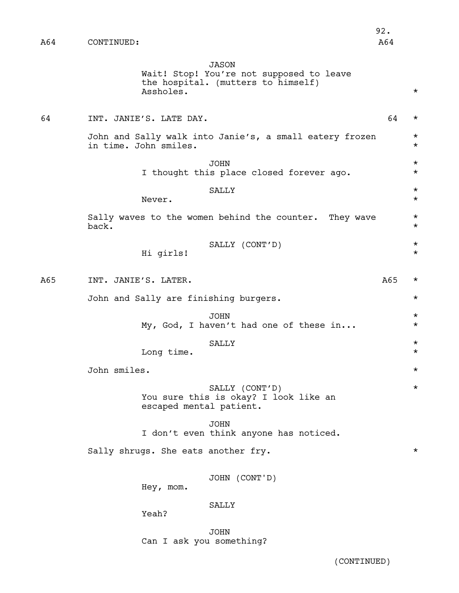92.

JASON

Wait! Stop! You're not supposed to leave the hospital. (mutters to himself) Assholes. \*

64 INT. JANIE'S. LATE DAY. 64 \* John and Sally walk into Janie's, a small eatery frozen \* in time. John smiles. \* JOHN \* I thought this place closed forever ago.  $*$ SALLY  $\quad$   $\star$ Never.  $\star$ Sally waves to the women behind the counter. They wave  $*$  back.  $\mathsf{back.}$   $\star$ SALLY (CONT'D) \* Hi girls! \* A65 INT. JANIE'S. LATER. A65 \* John and Sally are finishing burgers. \* JOHN \* My, God, I haven't had one of these in...  $*$ SALLY  $\quad$   $\quad$ Long time.  $\star$ John smiles. \* SALLY (CONT'D) \* You sure this is okay? I look like an escaped mental patient. JOHN I don't even think anyone has noticed. Sally shrugs. She eats another fry.  $*$ JOHN (CONT'D) Hey, mom. SALLY Yeah? JOHN Can I ask you something?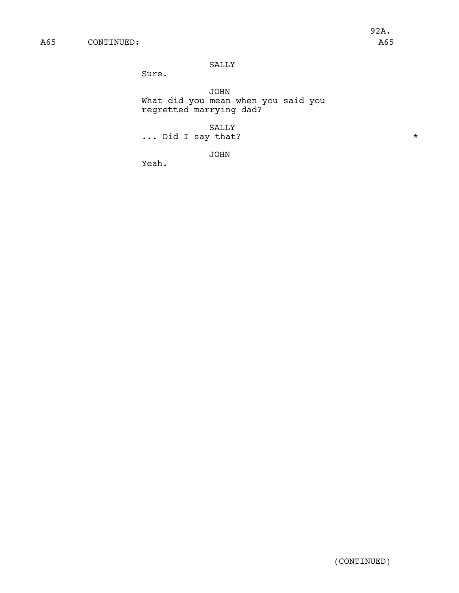## SALLY

Sure.

JOHN What did you mean when you said you regretted marrying dad?

SALLY

... Did I say that? \*

JOHN

Yeah.

(CONTINUED)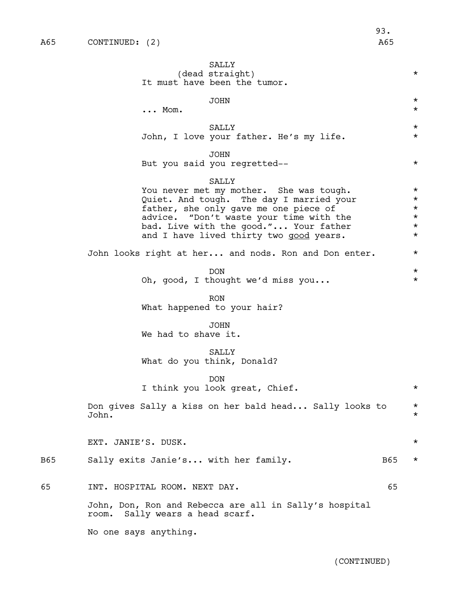|     | SALLY<br>(dead straight)<br>It must have been the tumor.                                                                                                                                                                                                                    | $\star$                                                            |
|-----|-----------------------------------------------------------------------------------------------------------------------------------------------------------------------------------------------------------------------------------------------------------------------------|--------------------------------------------------------------------|
|     | <b>JOHN</b><br>$\ldots$ Mom.                                                                                                                                                                                                                                                | $\star$<br>$^\star$                                                |
|     | SALLY<br>John, I love your father. He's my life.                                                                                                                                                                                                                            | $\star$<br>$^\star$                                                |
|     | <b>JOHN</b><br>But you said you regretted--                                                                                                                                                                                                                                 | $\star$                                                            |
|     | <b>SALLY</b><br>You never met my mother. She was tough.<br>Quiet. And tough. The day I married your<br>father, she only gave me one piece of<br>advice. "Don't waste your time with the<br>bad. Live with the good." Your father<br>and I have lived thirty two good years. | $\star$<br>$\star$<br>$^\star$<br>$^\star$<br>$^\star$<br>$^\star$ |
|     | John looks right at her and nods. Ron and Don enter.                                                                                                                                                                                                                        | $^\star$                                                           |
|     | <b>DON</b><br>Oh, good, I thought we'd miss you                                                                                                                                                                                                                             | $^\star$<br>$\star$                                                |
|     | <b>RON</b><br>What happened to your hair?                                                                                                                                                                                                                                   |                                                                    |
|     | <b>JOHN</b><br>We had to shave it.                                                                                                                                                                                                                                          |                                                                    |
|     | SALLY<br>What do you think, Donald?                                                                                                                                                                                                                                         |                                                                    |
|     | <b>DON</b><br>I think you look great, Chief.                                                                                                                                                                                                                                | $\star$                                                            |
|     | Don gives Sally a kiss on her bald head Sally looks to<br>John.                                                                                                                                                                                                             | *<br>$^\star$                                                      |
|     | EXT. JANIE'S. DUSK.                                                                                                                                                                                                                                                         | $\star$                                                            |
| B65 | Sally exits Janie's with her family.<br><b>B65</b>                                                                                                                                                                                                                          | $^\star$                                                           |
| 65  | INT. HOSPITAL ROOM. NEXT DAY.<br>65                                                                                                                                                                                                                                         |                                                                    |
|     | John, Don, Ron and Rebecca are all in Sally's hospital<br>Sally wears a head scarf.<br>room.                                                                                                                                                                                |                                                                    |

No one says anything.

(CONTINUED)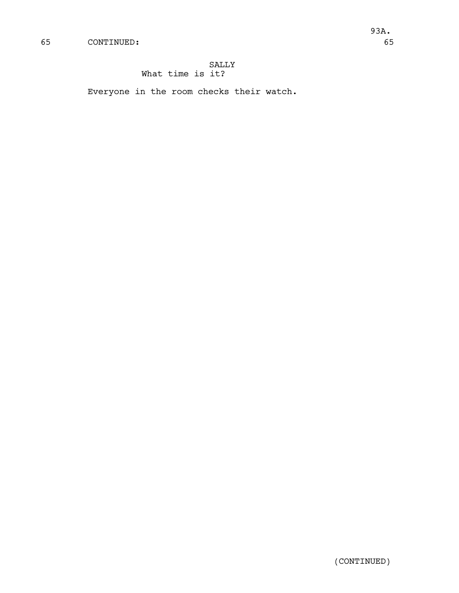## SALLY What time is it?

Everyone in the room checks their watch.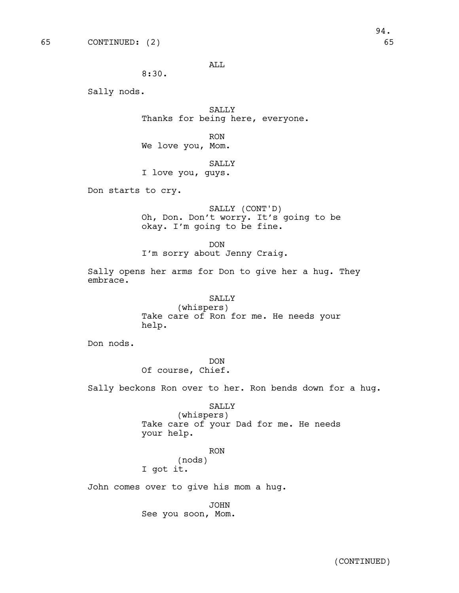ALL

8:30.

Sally nods.

SALLY Thanks for being here, everyone.

RON We love you, Mom.

### SALLY

I love you, guys.

Don starts to cry.

SALLY (CONT'D) Oh, Don. Don't worry. It's going to be okay. I'm going to be fine.

DON

I'm sorry about Jenny Craig.

Sally opens her arms for Don to give her a hug. They embrace.

> SALLY (whispers) Take care of Ron for me. He needs your help.

Don nods.

DON Of course, Chief.

Sally beckons Ron over to her. Ron bends down for a hug.

SALLY

(whispers) Take care of your Dad for me. He needs your help.

RON

(nods) I got it.

John comes over to give his mom a hug.

JOHN See you soon, Mom.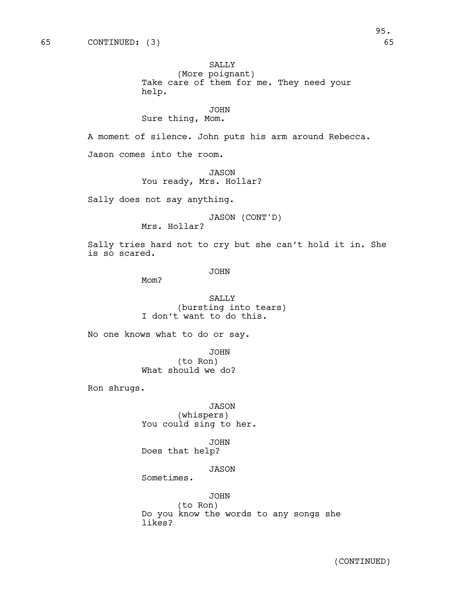## SALLY

(More poignant) Take care of them for me. They need your help.

JOHN

## Sure thing, Mom.

A moment of silence. John puts his arm around Rebecca.

Jason comes into the room.

JASON You ready, Mrs. Hollar?

Sally does not say anything.

JASON (CONT'D)

Mrs. Hollar?

Sally tries hard not to cry but she can't hold it in. She is so scared.

JOHN

Mom?

SALLY (bursting into tears) I don't want to do this.

No one knows what to do or say.

JOHN (to Ron) What should we do?

Ron shrugs.

JASON (whispers) You could sing to her.

JOHN Does that help?

## JASON

Sometimes.

## JOHN

(to Ron) Do you know the words to any songs she likes?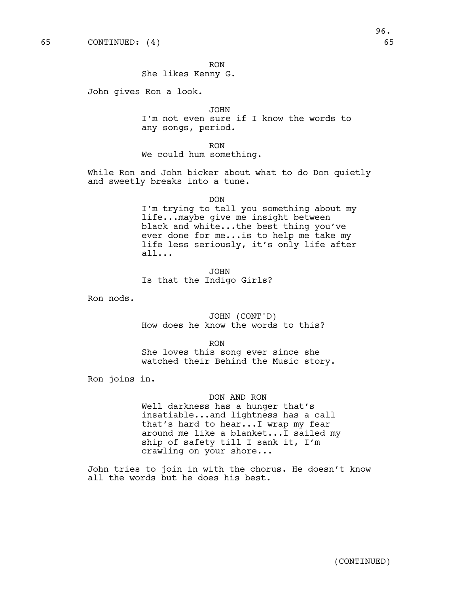RON She likes Kenny G.

John gives Ron a look.

JOHN I'm not even sure if I know the words to any songs, period.

RON We could hum something.

While Ron and John bicker about what to do Don quietly and sweetly breaks into a tune.

DON

I'm trying to tell you something about my life...maybe give me insight between black and white...the best thing you've ever done for me...is to help me take my life less seriously, it's only life after all...

JOHN Is that the Indigo Girls?

Ron nods.

JOHN (CONT'D) How does he know the words to this?

RON

She loves this song ever since she watched their Behind the Music story.

Ron joins in.

### DON AND RON

Well darkness has a hunger that's insatiable...and lightness has a call that's hard to hear...I wrap my fear around me like a blanket...I sailed my ship of safety till I sank it, I'm crawling on your shore...

John tries to join in with the chorus. He doesn't know all the words but he does his best.

96.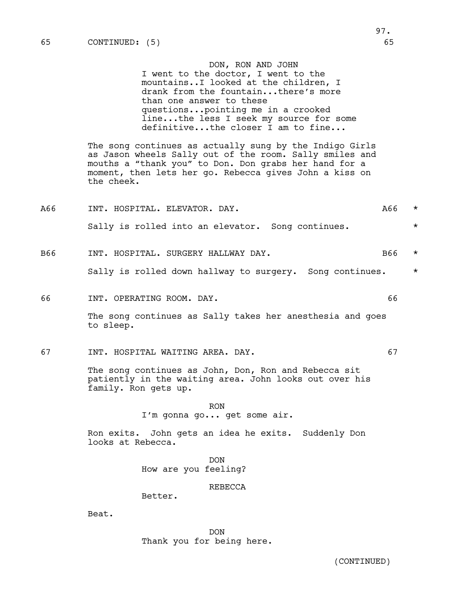#### DON, RON AND JOHN

I went to the doctor, I went to the mountains..I looked at the children, I drank from the fountain...there's more than one answer to these questions...pointing me in a crooked line...the less I seek my source for some definitive...the closer I am to fine...

The song continues as actually sung by the Indigo Girls as Jason wheels Sally out of the room. Sally smiles and mouths a "thank you" to Don. Don grabs her hand for a moment, then lets her go. Rebecca gives John a kiss on the cheek.

| A66 | INT. HOSPITAL. ELEVATOR. DAY. |                                                   | A66 |  |
|-----|-------------------------------|---------------------------------------------------|-----|--|
|     |                               | Sally is rolled into an elevator. Song continues. |     |  |

## B66 INT. HOSPITAL. SURGERY HALLWAY DAY. The mass of the set of  $\star$

Sally is rolled down hallway to surgery. Song continues. \*

66 INT. OPERATING ROOM. DAY. 66

The song continues as Sally takes her anesthesia and goes to sleep.

67 INT. HOSPITAL WAITING AREA. DAY. 67

The song continues as John, Don, Ron and Rebecca sit patiently in the waiting area. John looks out over his family. Ron gets up.

> RON I'm gonna go... get some air.

Ron exits. John gets an idea he exits. Suddenly Don looks at Rebecca.

> DON How are you feeling?

### REBECCA

Better.

Beat.

DON Thank you for being here.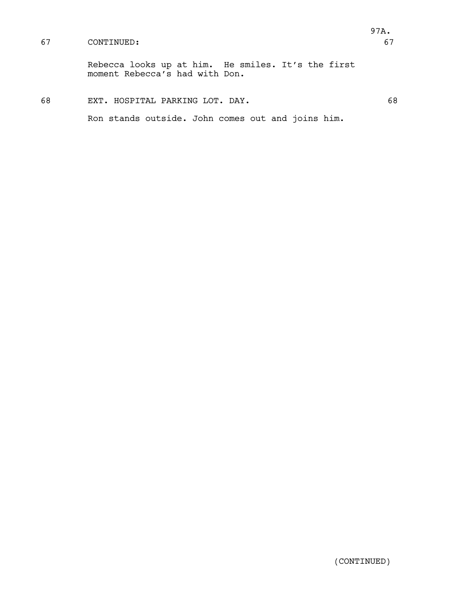## 67 CONTINUED: 67

Rebecca looks up at him. He smiles. It's the first moment Rebecca's had with Don.

## 68 EXT. HOSPITAL PARKING LOT. DAY. 68

Ron stands outside. John comes out and joins him.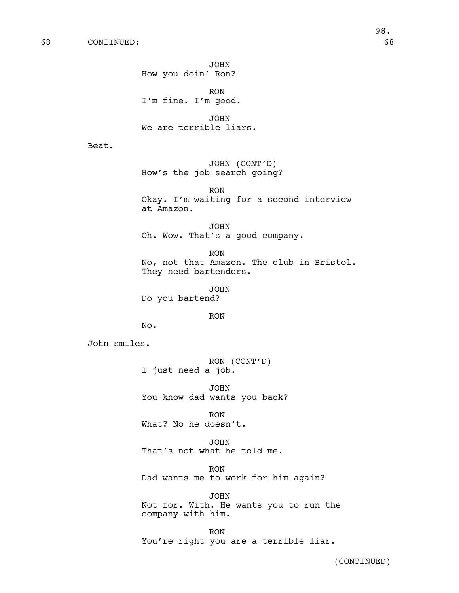JOHN How you doin' Ron?

RON I'm fine. I'm good.

JOHN We are terrible liars.

Beat.

JOHN (CONT'D) How's the job search going?

RON Okay. I'm waiting for a second interview at Amazon.

JOHN Oh. Wow. That's a good company.

RON No, not that Amazon. The club in Bristol. They need bartenders.

JOHN Do you bartend?

RON

No.

John smiles.

RON (CONT'D) I just need a job.

JOHN You know dad wants you back?

RON What? No he doesn't.

JOHN That's not what he told me.

RON Dad wants me to work for him again?

JOHN Not for. With. He wants you to run the company with him.

RON You're right you are a terrible liar.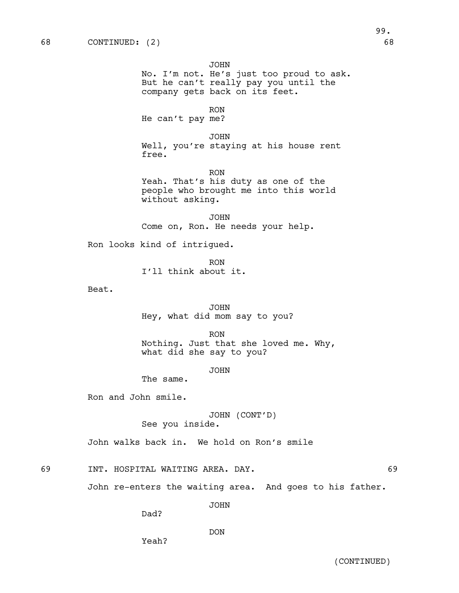Beat.

JOHN No. I'm not. He's just too proud to ask. But he can't really pay you until the company gets back on its feet. RON He can't pay me? JOHN Well, you're staying at his house rent free. RON Yeah. That's his duty as one of the people who brought me into this world without asking. JOHN Come on, Ron. He needs your help. Ron looks kind of intrigued. RON I'll think about it. JOHN Hey, what did mom say to you? RON Nothing. Just that she loved me. Why, what did she say to you?

JOHN

The same.

Ron and John smile.

JOHN (CONT'D) See you inside.

John walks back in. We hold on Ron's smile

69 INT. HOSPITAL WAITING AREA. DAY. 69

John re-enters the waiting area. And goes to his father.

JOHN

Dad?

Yeah?

DON

99.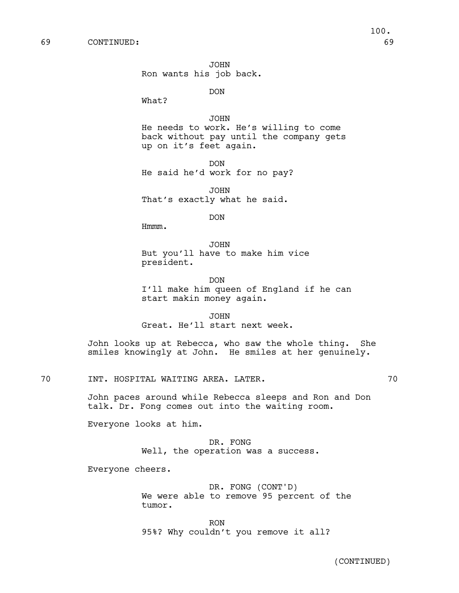JOHN Ron wants his job back.

DON

What?

JOHN He needs to work. He's willing to come back without pay until the company gets up on it's feet again.

DON He said he'd work for no pay?

JOHN That's exactly what he said.

DON

Hmmm.

JOHN But you'll have to make him vice president.

DON I'll make him queen of England if he can start makin money again.

JOHN Great. He'll start next week.

John looks up at Rebecca, who saw the whole thing. She smiles knowingly at John. He smiles at her genuinely.

70 INT. HOSPITAL WAITING AREA. LATER. **70** 

John paces around while Rebecca sleeps and Ron and Don talk. Dr. Fong comes out into the waiting room.

Everyone looks at him.

DR. FONG Well, the operation was a success.

Everyone cheers.

DR. FONG (CONT'D) We were able to remove 95 percent of the tumor.

RON 95%? Why couldn't you remove it all?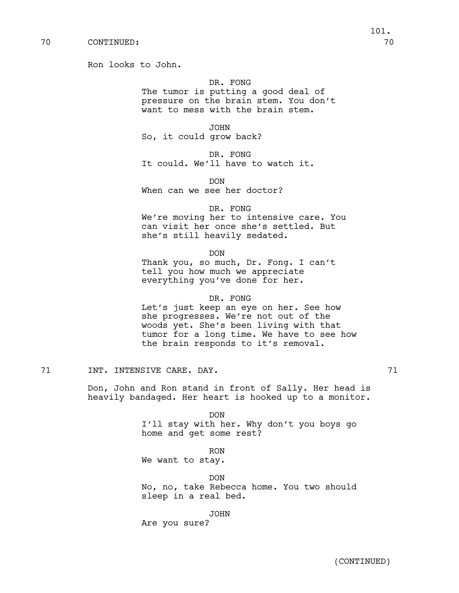Ron looks to John.

# DR. FONG

The tumor is putting a good deal of pressure on the brain stem. You don't want to mess with the brain stem.

JOHN So, it could grow back?

DR. FONG It could. We'll have to watch it.

DON When can we see her doctor?

### DR. FONG

We're moving her to intensive care. You can visit her once she's settled. But she's still heavily sedated.

DON

Thank you, so much, Dr. Fong. I can't tell you how much we appreciate everything you've done for her.

#### DR. FONG

Let's just keep an eye on her. See how she progresses. We're not out of the woods yet. She's been living with that tumor for a long time. We have to see how the brain responds to it's removal.

71 1NT. INTENSIVE CARE. DAY. 21

Don, John and Ron stand in front of Sally. Her head is heavily bandaged. Her heart is hooked up to a monitor.

#### DON

I'll stay with her. Why don't you boys go home and get some rest?

RON

We want to stay.

DON No, no, take Rebecca home. You two should sleep in a real bed.

JOHN

Are you sure?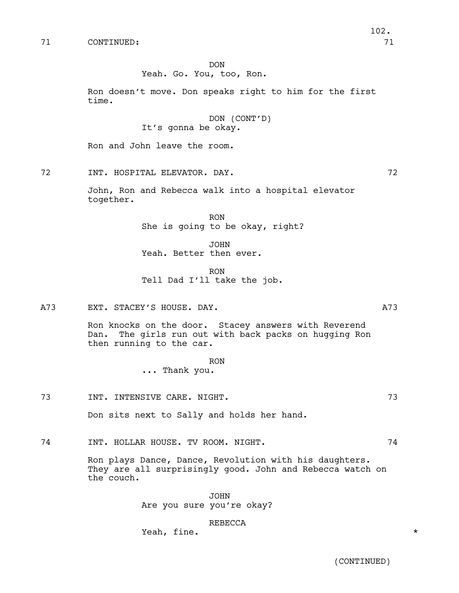#### DON

## Yeah. Go. You, too, Ron.

Ron doesn't move. Don speaks right to him for the first time.

## DON (CONT'D) It's gonna be okay.

Ron and John leave the room.

72 INT. HOSPITAL ELEVATOR. DAY. 72

John, Ron and Rebecca walk into a hospital elevator together.

> RON She is going to be okay, right?

JOHN Yeah. Better then ever.

RON Tell Dad I'll take the job.

A73 EXT. STACEY'S HOUSE. DAY. A73

Ron knocks on the door. Stacey answers with Reverend Dan. The girls run out with back packs on hugging Ron then running to the car.

> RON ... Thank you.

73 INT. INTENSIVE CARE. NIGHT. 73

Don sits next to Sally and holds her hand.

74 INT. HOLLAR HOUSE. TV ROOM. NIGHT. 74

Ron plays Dance, Dance, Revolution with his daughters. They are all surprisingly good. John and Rebecca watch on the couch.

> JOHN Are you sure you're okay?

> > REBECCA

Yeah, fine.  $*$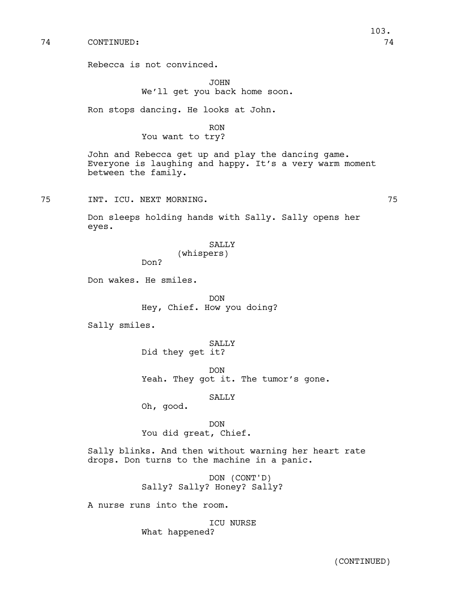Rebecca is not convinced.

JOHN We'll get you back home soon.

Ron stops dancing. He looks at John.

RON You want to try?

John and Rebecca get up and play the dancing game. Everyone is laughing and happy. It's a very warm moment between the family.

75 INT. ICU. NEXT MORNING. 75

103.

Don sleeps holding hands with Sally. Sally opens her eyes.

> SALLY (whispers)

Don wakes. He smiles.

Don?

DON Hey, Chief. How you doing?

Sally smiles.

SALLY Did they get it?

DON Yeah. They got it. The tumor's gone.

SALLY

Oh, good.

DON You did great, Chief.

Sally blinks. And then without warning her heart rate drops. Don turns to the machine in a panic.

> DON (CONT'D) Sally? Sally? Honey? Sally?

A nurse runs into the room.

ICU NURSE What happened?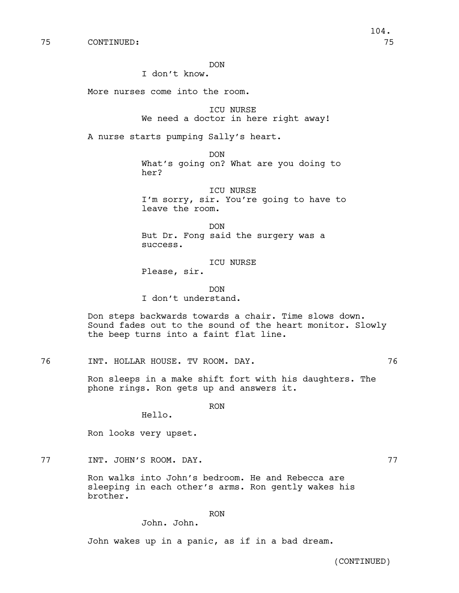DON

I don't know.

More nurses come into the room.

ICU NURSE We need a doctor in here right away!

A nurse starts pumping Sally's heart.

DON What's going on? What are you doing to her?

ICU NURSE I'm sorry, sir. You're going to have to leave the room.

DON But Dr. Fong said the surgery was a success.

ICU NURSE Please, sir.

DON I don't understand.

Don steps backwards towards a chair. Time slows down. Sound fades out to the sound of the heart monitor. Slowly the beep turns into a faint flat line.

76 INT. HOLLAR HOUSE. TV ROOM. DAY. 76

Ron sleeps in a make shift fort with his daughters. The phone rings. Ron gets up and answers it.

RON

Hello.

Ron looks very upset.

77 INT. JOHN'S ROOM. DAY. 27

Ron walks into John's bedroom. He and Rebecca are sleeping in each other's arms. Ron gently wakes his brother.

RON

John. John.

John wakes up in a panic, as if in a bad dream.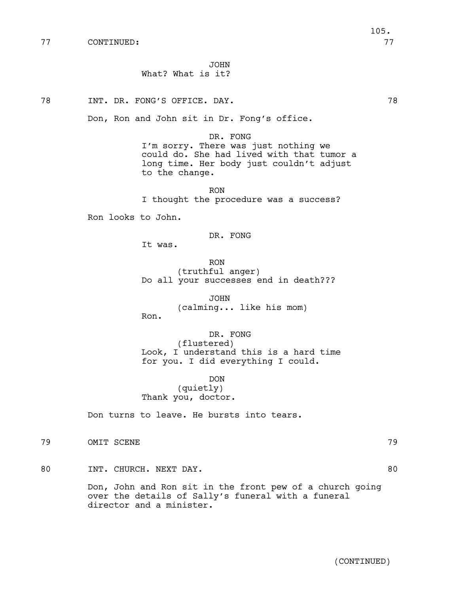JOHN

78 INT. DR. FONG'S OFFICE. DAY. 78

Don, Ron and John sit in Dr. Fong's office.

What? What is it?

I'm sorry. There was just nothing we could do. She had lived with that tumor a long time. Her body just couldn't adjust to the change.

RON I thought the procedure was a success?

Ron looks to John.

DR. FONG

It was.

RON (truthful anger) Do all your successes end in death???

JOHN (calming... like his mom) Ron.

DR. FONG (flustered) Look, I understand this is a hard time for you. I did everything I could.

DON (quietly) Thank you, doctor.

Don turns to leave. He bursts into tears.

79 OMIT SCENE 79

80 INT. CHURCH. NEXT DAY. 80

Don, John and Ron sit in the front pew of a church going over the details of Sally's funeral with a funeral director and a minister.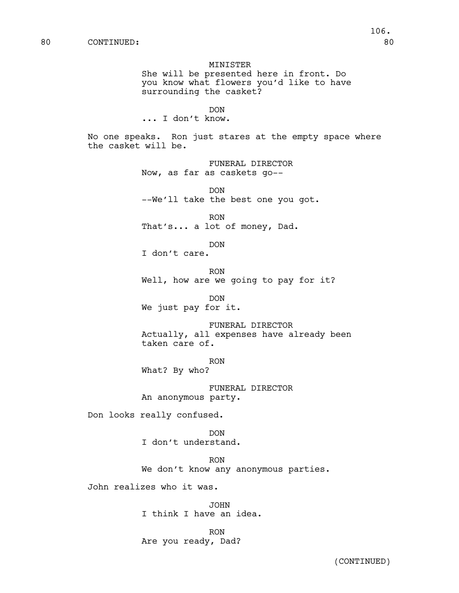MINISTER She will be presented here in front. Do you know what flowers you'd like to have surrounding the casket? DON ... I don't know. No one speaks. Ron just stares at the empty space where the casket will be. FUNERAL DIRECTOR Now, as far as caskets go-- DON --We'll take the best one you got. RON That's... a lot of money, Dad. DON I don't care. RON Well, how are we going to pay for it? DON We just pay for it. FUNERAL DIRECTOR Actually, all expenses have already been taken care of. RON What? By who? FUNERAL DIRECTOR An anonymous party. Don looks really confused. DON I don't understand. RON We don't know any anonymous parties. John realizes who it was.

> JOHN I think I have an idea.

RON Are you ready, Dad?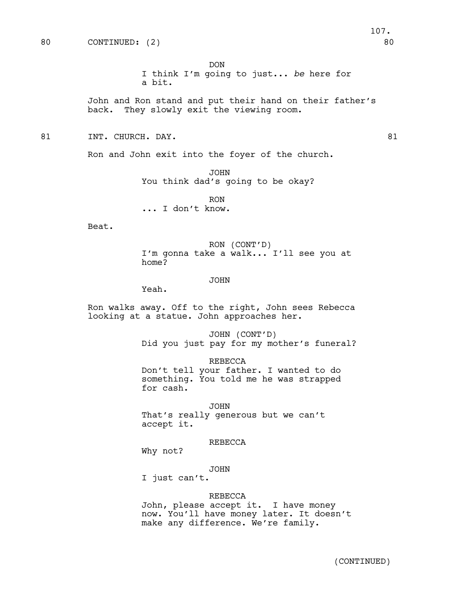DON

I think I'm going to just... *be* here for a bit.

John and Ron stand and put their hand on their father's back. They slowly exit the viewing room.

81 INT. CHURCH. DAY. 81

Ron and John exit into the foyer of the church.

JOHN You think dad's going to be okay?

RON ... I don't know.

Beat.

RON (CONT'D) I'm gonna take a walk... I'll see you at home?

#### JOHN

Yeah.

Ron walks away. Off to the right, John sees Rebecca looking at a statue. John approaches her.

> JOHN (CONT'D) Did you just pay for my mother's funeral?

REBECCA Don't tell your father. I wanted to do something. You told me he was strapped for cash.

JOHN That's really generous but we can't accept it.

#### REBECCA

Why not?

JOHN

I just can't.

### REBECCA

John, please accept it. I have money now. You'll have money later. It doesn't make any difference. We're family.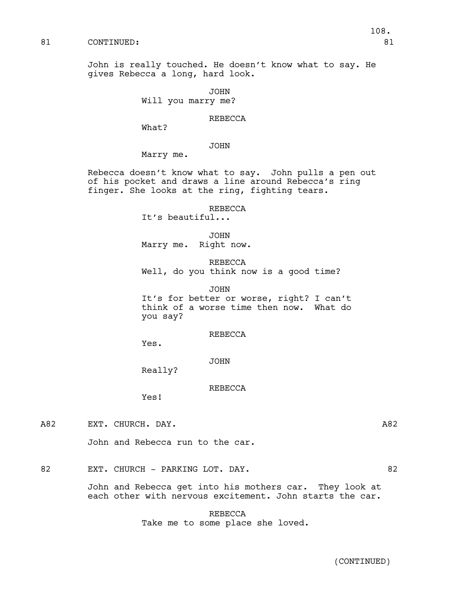John is really touched. He doesn't know what to say. He gives Rebecca a long, hard look.

> JOHN Will you marry me?

### REBECCA

What?

JOHN

Marry me.

Rebecca doesn't know what to say. John pulls a pen out of his pocket and draws a line around Rebecca's ring finger. She looks at the ring, fighting tears.

REBECCA

It's beautiful...

JOHN Marry me. Right now.

REBECCA Well, do you think now is a good time?

JOHN It's for better or worse, right? I can't think of a worse time then now. What do you say?

## REBECCA

Yes.

JOHN

Really?

REBECCA

Yes!

A82 EXT. CHURCH. DAY.

John and Rebecca run to the car.

82 EXT. CHURCH - PARKING LOT. DAY. 82

John and Rebecca get into his mothers car. They look at each other with nervous excitement. John starts the car.

> REBECCA Take me to some place she loved.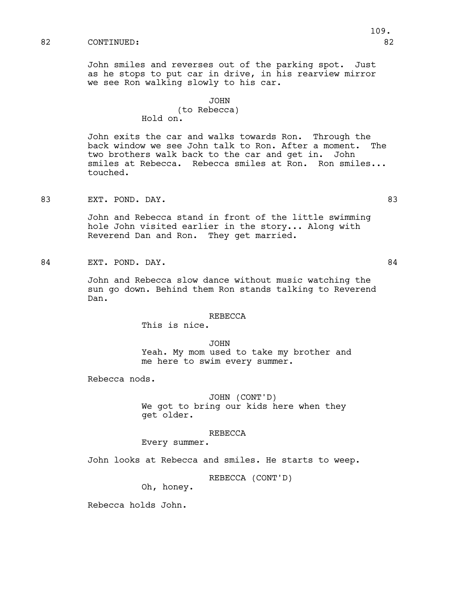John smiles and reverses out of the parking spot. Just as he stops to put car in drive, in his rearview mirror we see Ron walking slowly to his car.

## JOHN

## (to Rebecca) Hold on.

John exits the car and walks towards Ron. Through the back window we see John talk to Ron. After a moment. The two brothers walk back to the car and get in. John smiles at Rebecca. Rebecca smiles at Ron. Ron smiles... touched.

83 EXT. POND. DAY. 83

John and Rebecca stand in front of the little swimming hole John visited earlier in the story... Along with Reverend Dan and Ron. They get married.

84 EXT. POND. DAY. 2008 2012 12:30 12:30 12:30 12:30 12:31 12:32 13:41

John and Rebecca slow dance without music watching the sun go down. Behind them Ron stands talking to Reverend Dan.

#### REBECCA

This is nice.

JOHN Yeah. My mom used to take my brother and me here to swim every summer.

Rebecca nods.

JOHN (CONT'D) We got to bring our kids here when they get older.

### REBECCA

Every summer.

John looks at Rebecca and smiles. He starts to weep.

REBECCA (CONT'D)

Oh, honey.

Rebecca holds John.

109.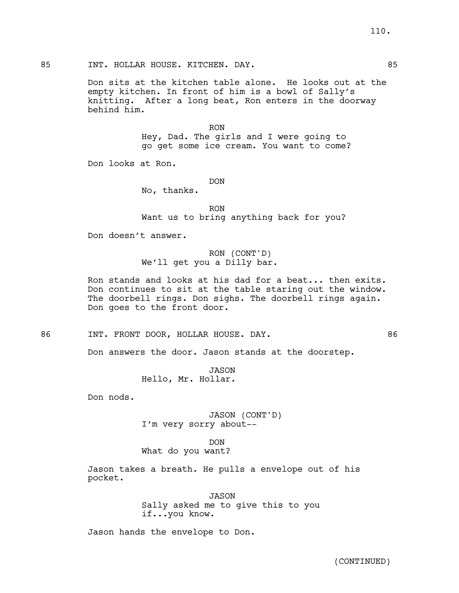## 85 INT. HOLLAR HOUSE. KITCHEN. DAY. 85

Don sits at the kitchen table alone. He looks out at the empty kitchen. In front of him is a bowl of Sally's knitting. After a long beat, Ron enters in the doorway behind him.

> RON Hey, Dad. The girls and I were going to go get some ice cream. You want to come?

Don looks at Ron.

DON

No, thanks.

RON Want us to bring anything back for you?

Don doesn't answer.

# RON (CONT'D) We'll get you a Dilly bar.

Ron stands and looks at his dad for a beat... then exits. Don continues to sit at the table staring out the window. The doorbell rings. Don sighs. The doorbell rings again. Don goes to the front door.

86 INT. FRONT DOOR, HOLLAR HOUSE. DAY. 86

Don answers the door. Jason stands at the doorstep.

JASON Hello, Mr. Hollar.

Don nods.

JASON (CONT'D) I'm very sorry about--

DON

What do you want?

Jason takes a breath. He pulls a envelope out of his pocket.

> JASON Sally asked me to give this to you if...you know.

Jason hands the envelope to Don.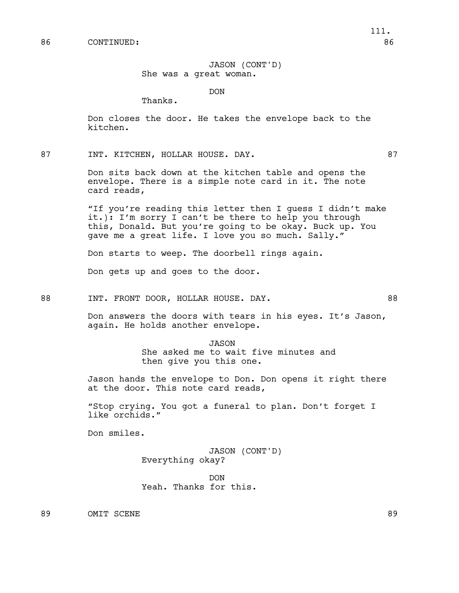### JASON (CONT'D) She was a great woman.

DON

Thanks.

Don closes the door. He takes the envelope back to the kitchen.

87 INT. KITCHEN, HOLLAR HOUSE. DAY. 87

Don sits back down at the kitchen table and opens the envelope. There is a simple note card in it. The note card reads,

"If you're reading this letter then I guess I didn't make it.): I'm sorry I can't be there to help you through this, Donald. But you're going to be okay. Buck up. You gave me a great life. I love you so much. Sally."

Don starts to weep. The doorbell rings again.

Don gets up and goes to the door.

88 INT. FRONT DOOR, HOLLAR HOUSE. DAY. 68

Don answers the doors with tears in his eyes. It's Jason, again. He holds another envelope.

> JASON She asked me to wait five minutes and then give you this one.

Jason hands the envelope to Don. Don opens it right there at the door. This note card reads,

"Stop crying. You got a funeral to plan. Don't forget I like orchids."

Don smiles.

JASON (CONT'D) Everything okay?

DON Yeah. Thanks for this.

89 OMIT SCENE 89

111.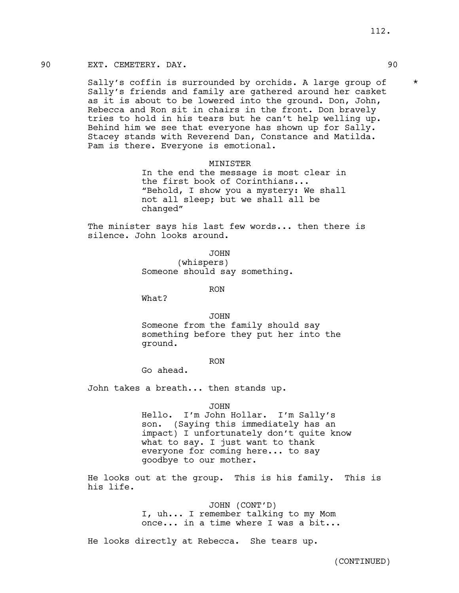## 90 EXT. CEMETERY. DAY. 90

Sally's coffin is surrounded by orchids. A large group of  $*$ Sally's friends and family are gathered around her casket as it is about to be lowered into the ground. Don, John, Rebecca and Ron sit in chairs in the front. Don bravely tries to hold in his tears but he can't help welling up. Behind him we see that everyone has shown up for Sally. Stacey stands with Reverend Dan, Constance and Matilda. Pam is there. Everyone is emotional.

#### MINISTER

In the end the message is most clear in the first book of Corinthians... "Behold, I show you a mystery: We shall not all sleep; but we shall all be changed"

The minister says his last few words... then there is silence. John looks around.

JOHN

(whispers) Someone should say something.

RON

What?

JOHN

Someone from the family should say something before they put her into the ground.

### RON

Go ahead.

John takes a breath... then stands up.

#### JOHN

Hello. I'm John Hollar. I'm Sally's son. (Saying this immediately has an impact) I unfortunately don't quite know what to say. I just want to thank everyone for coming here... to say goodbye to our mother.

He looks out at the group. This is his family. This is his life.

> JOHN (CONT'D) I, uh... I remember talking to my Mom once... in a time where I was a bit...

He looks directly at Rebecca. She tears up.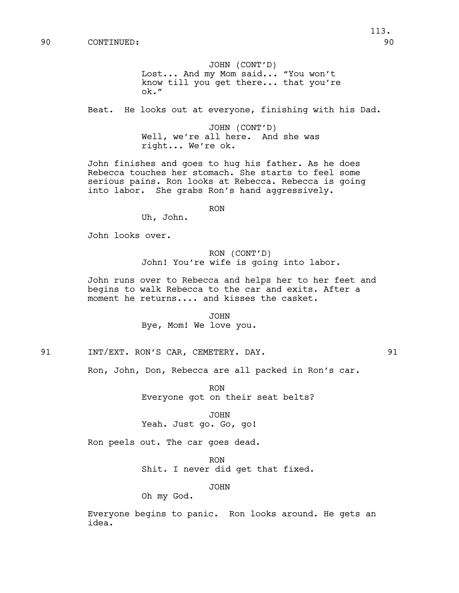JOHN (CONT'D) Lost... And my Mom said... "You won't know till you get there... that you're ok."

Beat. He looks out at everyone, finishing with his Dad.

JOHN (CONT'D) Well, we're all here. And she was right... We're ok.

John finishes and goes to hug his father. As he does Rebecca touches her stomach. She starts to feel some serious pains. Ron looks at Rebecca. Rebecca is going into labor. She grabs Ron's hand aggressively.

RON

Uh, John.

John looks over.

RON (CONT'D) John! You're wife is going into labor.

John runs over to Rebecca and helps her to her feet and begins to walk Rebecca to the car and exits. After a moment he returns.... and kisses the casket.

> JOHN Bye, Mom! We love you.

91 INT/EXT. RON'S CAR, CEMETERY. DAY. 91

Ron, John, Don, Rebecca are all packed in Ron's car.

RON Everyone got on their seat belts?

JOHN Yeah. Just go. Go, go!

Ron peels out. The car goes dead.

RON Shit. I never did get that fixed.

JOHN

Oh my God.

Everyone begins to panic. Ron looks around. He gets an idea.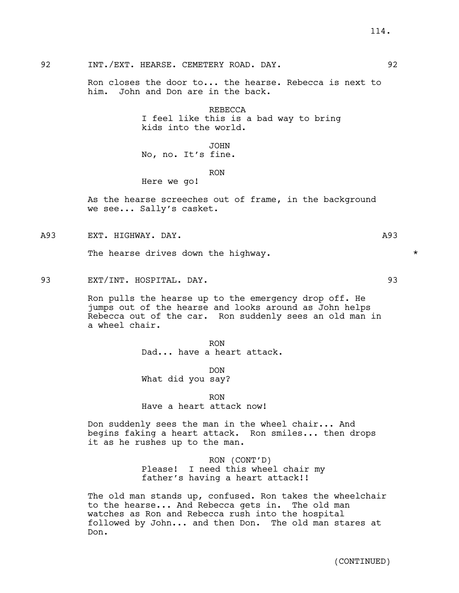92 INT./EXT. HEARSE. CEMETERY ROAD. DAY. 92

Ron closes the door to... the hearse. Rebecca is next to him. John and Don are in the back.

> REBECCA I feel like this is a bad way to bring kids into the world.

JOHN No, no. It's fine.

RON

As the hearse screeches out of frame, in the background we see... Sally's casket.

A93 EXT. HIGHWAY. DAY. A93

The hearse drives down the highway.  $\star$ 

Here we go!

93 EXT/INT. HOSPITAL. DAY. 93

Ron pulls the hearse up to the emergency drop off. He jumps out of the hearse and looks around as John helps Rebecca out of the car. Ron suddenly sees an old man in a wheel chair.

> RON Dad... have a heart attack.

DON What did you say?

RON Have a heart attack now!

Don suddenly sees the man in the wheel chair... And begins faking a heart attack. Ron smiles... then drops it as he rushes up to the man.

> RON (CONT'D) Please! I need this wheel chair my father's having a heart attack!!

The old man stands up, confused. Ron takes the wheelchair to the hearse... And Rebecca gets in. The old man watches as Ron and Rebecca rush into the hospital followed by John... and then Don. The old man stares at Don.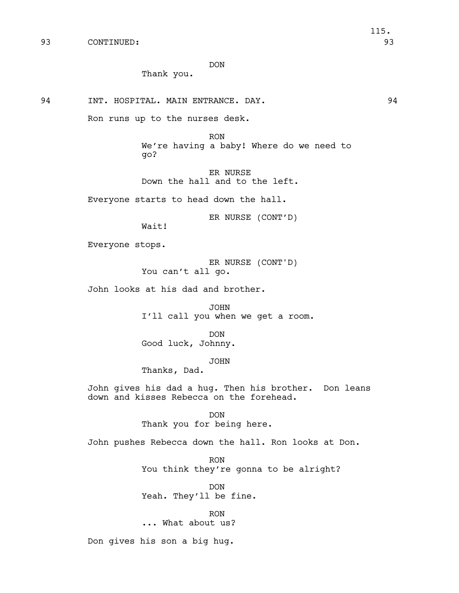DON

Thank you.

94 INT. HOSPITAL. MAIN ENTRANCE. DAY. 94

Ron runs up to the nurses desk.

RON We're having a baby! Where do we need to go?

ER NURSE Down the hall and to the left.

Everyone starts to head down the hall.

ER NURSE (CONT'D)

Wait!

Everyone stops.

ER NURSE (CONT'D) You can't all go.

John looks at his dad and brother.

JOHN I'll call you when we get a room.

DON Good luck, Johnny.

JOHN

Thanks, Dad.

John gives his dad a hug. Then his brother. Don leans down and kisses Rebecca on the forehead.

> DON Thank you for being here.

John pushes Rebecca down the hall. Ron looks at Don.

RON You think they're gonna to be alright?

DON Yeah. They'll be fine.

RON ... What about us?

Don gives his son a big hug.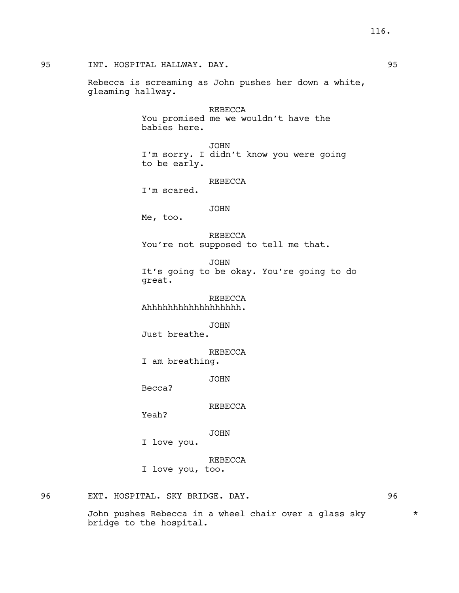95 INT. HOSPITAL HALLWAY. DAY. 95

Rebecca is screaming as John pushes her down a white, gleaming hallway.

> REBECCA You promised me we wouldn't have the babies here.

JOHN I'm sorry. I didn't know you were going to be early.

### REBECCA

I'm scared.

## JOHN

Me, too.

REBECCA You're not supposed to tell me that.

JOHN It's going to be okay. You're going to do great.

REBECCA Ahhhhhhhhhhhhhhhhhh.

# JOHN

Just breathe.

REBECCA

I am breathing.

JOHN

Becca?

REBECCA

Yeah?

# JOHN

I love you.

REBECCA

I love you, too.

96 EXT. HOSPITAL. SKY BRIDGE. DAY. 96

John pushes Rebecca in a wheel chair over a glass sky  $*$ bridge to the hospital.